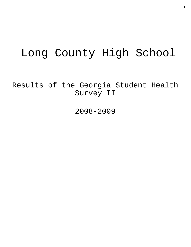# Long County High School

Results of the Georgia Student Health Survey II

2008-2009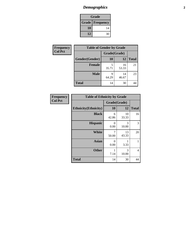# *Demographics* **2**

| Grade                    |    |  |
|--------------------------|----|--|
| <b>Grade   Frequency</b> |    |  |
| 10                       | 14 |  |
| 12<br>30                 |    |  |

| <b>Frequency</b> | <b>Table of Gender by Grade</b> |              |             |              |  |
|------------------|---------------------------------|--------------|-------------|--------------|--|
| <b>Col Pct</b>   |                                 | Grade(Grade) |             |              |  |
|                  | Gender(Gender)                  | 10           | 12          | <b>Total</b> |  |
|                  | <b>Female</b>                   | 35.71        | 16<br>53.33 | 21           |  |
|                  | <b>Male</b>                     | q<br>64.29   | 14<br>46.67 | 23           |  |
|                  | <b>Total</b>                    | 14           | 30          | 44           |  |

| Frequency      | <b>Table of Ethnicity by Grade</b> |              |             |                |
|----------------|------------------------------------|--------------|-------------|----------------|
| <b>Col Pct</b> |                                    | Grade(Grade) |             |                |
|                | <b>Ethnicity</b> (Ethnicity)       | 10           | 12          | <b>Total</b>   |
|                | <b>Black</b>                       | 6<br>42.86   | 10<br>33.33 | 16             |
|                | <b>Hispanic</b>                    | 0<br>0.00    | 3<br>10.00  | 3              |
|                | <b>White</b>                       | 7<br>50.00   | 13<br>43.33 | 20             |
|                | <b>Asian</b>                       | 0<br>0.00    | 1<br>3.33   |                |
|                | <b>Other</b>                       | 7.14         | 3<br>10.00  | $\overline{4}$ |
|                | <b>Total</b>                       | 14           | 30          | 44             |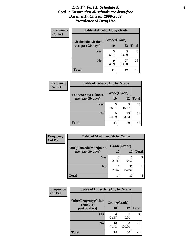#### *Title IV, Part A, Schedule A* **3** *Goal 1: Ensure that all schools are drug-free Baseline Data: Year 2008-2009 Prevalence of Drug Use*

| Frequency<br><b>Col Pct</b> | <b>Table of AlcoholAlt by Grade</b> |              |             |              |  |
|-----------------------------|-------------------------------------|--------------|-------------|--------------|--|
|                             | AlcoholAlt(Alcohol                  | Grade(Grade) |             |              |  |
|                             | use, past 30 days)                  | 10           | <b>12</b>   | <b>Total</b> |  |
|                             | <b>Yes</b>                          | 5<br>35.71   | 3<br>10.00  | 8            |  |
|                             | N <sub>0</sub>                      | q<br>64.29   | 27<br>90.00 | 36           |  |
|                             | <b>Total</b>                        | 14           | 30          | 44           |  |

| <b>Frequency</b><br><b>Col Pct</b> | <b>Table of TobaccoAny by Grade</b> |              |             |              |  |
|------------------------------------|-------------------------------------|--------------|-------------|--------------|--|
|                                    | TobaccoAny(Tobacco                  | Grade(Grade) |             |              |  |
|                                    | use, past 30 days)                  | <b>10</b>    | 12          | <b>Total</b> |  |
|                                    | Yes                                 | 5<br>35.71   | 5<br>16.67  | 10           |  |
|                                    | N <sub>0</sub>                      | q<br>64.29   | 25<br>83.33 | 34           |  |
|                                    | <b>Total</b>                        | 14           | 30          | 44           |  |

| Frequency      | <b>Table of MarijuanaAlt by Grade</b> |              |                  |              |  |
|----------------|---------------------------------------|--------------|------------------|--------------|--|
| <b>Col Pct</b> | MarijuanaAlt(Marijuana                | Grade(Grade) |                  |              |  |
|                | use, past 30 days)                    | <b>10</b>    | 12               | <b>Total</b> |  |
|                | Yes                                   | 3<br>21.43   | $\left($<br>0.00 | 3            |  |
|                | N <sub>0</sub>                        | 11<br>78.57  | 30<br>100.00     | 41           |  |
|                | <b>Total</b>                          | 14           | 30               | 44           |  |

| Frequency<br><b>Col Pct</b> | <b>Table of OtherDrugAny by Grade</b>                  |             |                       |              |
|-----------------------------|--------------------------------------------------------|-------------|-----------------------|--------------|
|                             | <b>OtherDrugAny(Other</b><br>Grade(Grade)<br>drug use, |             |                       |              |
|                             | past 30 days)                                          | 10          | 12                    | <b>Total</b> |
|                             | <b>Yes</b>                                             | 4<br>28.57  | $\mathcal{O}$<br>0.00 | 4            |
|                             | N <sub>0</sub>                                         | 10<br>71.43 | 30<br>100.00          | 40           |
|                             | <b>Total</b>                                           | 14          | 30                    | 44           |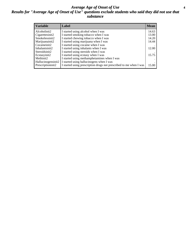#### *Average Age of Onset of Use* **4** *Results for "Average Age of Onset of Use" questions exclude students who said they did not use that substance*

| <b>Variable</b>    | Label                                                              | <b>Mean</b> |
|--------------------|--------------------------------------------------------------------|-------------|
| Alcoholinit2       | I started using alcohol when I was                                 | 14.63       |
| Cigarettesinit2    | I started smoking tobacco when I was                               | 13.00       |
| Smokelessinit2     | I started chewing tobacco when I was                               | 14.20       |
| Marijuanainit2     | I started using marijuana when I was                               | 14.44       |
| Cocaineinit2       | I started using cocaine when I was                                 |             |
| Inhalantsinit2     | I started using inhalants when I was                               | 12.00       |
| Steroidsinit2      | I started using steroids when I was                                |             |
| Ecstasyinit2       | I started using ecstasy when I was                                 | 15.75       |
| Methinit2          | I started using methamphetamines when I was                        |             |
| Hallucinogensinit2 | I started using hallucinogens when I was                           |             |
| Prescriptioninit2  | I started using prescription drugs not prescribed to me when I was | 15.00       |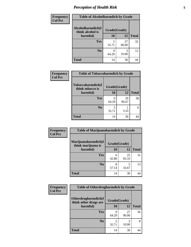# *Perception of Health Risk* **5**

| Frequency      | <b>Table of Alcoholharmdich by Grade</b> |              |             |              |
|----------------|------------------------------------------|--------------|-------------|--------------|
| <b>Col Pct</b> | Alcoholharmdich(I<br>think alcohol is    | Grade(Grade) |             |              |
|                | harmful)                                 | 10           | 12          | <b>Total</b> |
|                | Yes                                      | 5<br>35.71   | 27<br>90.00 | 32           |
|                | N <sub>0</sub>                           | q<br>64.29   | 10.00       | 12           |
|                | <b>Total</b>                             | 14           | 30          | 44           |

| <b>Frequency</b> | <b>Table of Tobaccoharmdich by Grade</b> |              |             |              |
|------------------|------------------------------------------|--------------|-------------|--------------|
| <b>Col Pct</b>   | Tobaccoharmdich(I<br>think tobacco is    | Grade(Grade) |             |              |
|                  | harmful)                                 | 10           | 12          | <b>Total</b> |
|                  | Yes                                      | q<br>64.29   | 29<br>96.67 | 38           |
|                  | N <sub>0</sub>                           | 5<br>35.71   | 3.33        | 6            |
|                  | Total                                    | 14           | 30          |              |

| <b>Frequency</b> | <b>Table of Marijuanaharmdich by Grade</b> |              |             |              |  |
|------------------|--------------------------------------------|--------------|-------------|--------------|--|
| <b>Col Pct</b>   | Marijuanaharmdich(I<br>think marijuana is  | Grade(Grade) |             |              |  |
|                  | harmful)                                   | <b>10</b>    | 12          | <b>Total</b> |  |
|                  | <b>Yes</b>                                 | 6<br>42.86   | 25<br>83.33 | 31           |  |
|                  | N <sub>0</sub>                             | 8<br>57.14   | 5<br>16.67  | 13           |  |
|                  | <b>Total</b>                               | 14           | 30          | 44           |  |

| Frequency      | <b>Table of Otherdrugharmdich by Grade</b>                   |            |             |              |
|----------------|--------------------------------------------------------------|------------|-------------|--------------|
| <b>Col Pct</b> | Otherdrugharmdich(I<br>Grade(Grade)<br>think other drugs are |            |             |              |
|                | harmful)                                                     | <b>10</b>  | 12          | <b>Total</b> |
|                | Yes                                                          | Q<br>64.29 | 27<br>90.00 | 36           |
|                | N <sub>0</sub>                                               | 35.71      | 10.00       | 8            |
|                | <b>Total</b>                                                 | 14         | 30          | 44           |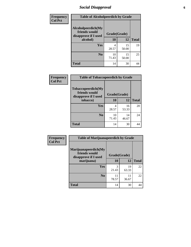### *Social Disapproval* **6**

| <b>Frequency</b> | <b>Table of Alcoholpeerdich by Grade</b>                    |              |             |              |  |
|------------------|-------------------------------------------------------------|--------------|-------------|--------------|--|
| <b>Col Pct</b>   | Alcoholpeerdich(My<br>friends would<br>disapprove if I used | Grade(Grade) |             |              |  |
|                  | alcohol)                                                    | 10           | 12          | <b>Total</b> |  |
|                  | <b>Yes</b>                                                  | 4<br>28.57   | 15<br>50.00 | 19           |  |
|                  | N <sub>0</sub>                                              | 10<br>71.43  | 15<br>50.00 | 25           |  |
|                  | <b>Total</b>                                                | 14           | 30          | 44           |  |

| <b>Frequency</b> |
|------------------|
| <b>Col Pct</b>   |

| <b>Table of Tobaccopeerdich by Grade</b>                    |              |             |              |  |  |  |
|-------------------------------------------------------------|--------------|-------------|--------------|--|--|--|
| Tobaccopeerdich(My<br>friends would<br>disapprove if I used | Grade(Grade) |             |              |  |  |  |
| tobacco)                                                    | 10           | 12          | <b>Total</b> |  |  |  |
| Yes                                                         | 4<br>28.57   | 16<br>53.33 | 20           |  |  |  |
| N <sub>0</sub>                                              | 10<br>71.43  | 14<br>46.67 | 24           |  |  |  |
| <b>Total</b>                                                | 14           | 30          |              |  |  |  |

| Frequency      | <b>Table of Marijuanapeerdich by Grade</b>                    |              |             |              |  |
|----------------|---------------------------------------------------------------|--------------|-------------|--------------|--|
| <b>Col Pct</b> | Marijuanapeerdich(My<br>friends would<br>disapprove if I used | Grade(Grade) |             |              |  |
|                | marijuana)                                                    | 10           | 12          | <b>Total</b> |  |
|                | <b>Yes</b>                                                    | 3<br>21.43   | 19<br>63.33 | 22           |  |
|                | N <sub>0</sub>                                                | 11<br>78.57  | 11<br>36.67 | 22           |  |
|                | <b>Total</b>                                                  | 14           | 30          | 44           |  |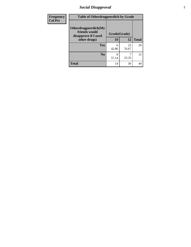### *Social Disapproval* **7**

| Frequency      | <b>Table of Otherdrugpeerdich by Grade</b>                    |              |             |              |  |
|----------------|---------------------------------------------------------------|--------------|-------------|--------------|--|
| <b>Col Pct</b> | Otherdrugpeerdich(My<br>friends would<br>disapprove if I used | Grade(Grade) |             |              |  |
|                | other drugs)                                                  | 10           | 12          | <b>Total</b> |  |
|                | <b>Yes</b>                                                    | 6<br>42.86   | 23<br>76.67 | 29           |  |
|                | N <sub>0</sub>                                                | 8<br>57.14   | 23.33       | 15           |  |
|                | <b>Total</b>                                                  | 14           | 30          | 44           |  |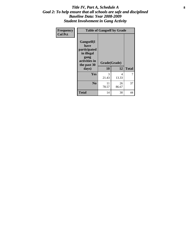#### Title IV, Part A, Schedule A **8** *Goal 2: To help ensure that all schools are safe and disciplined Baseline Data: Year 2008-2009 Student Involvement in Gang Activity*

| Frequency      | <b>Table of Gangself by Grade</b>                                                                 |                    |             |              |  |
|----------------|---------------------------------------------------------------------------------------------------|--------------------|-------------|--------------|--|
| <b>Col Pct</b> | Gangself(I<br>have<br>participated<br>in illegal<br>gang<br>activities in<br>the past 30<br>days) | Grade(Grade)<br>10 | 12          | <b>Total</b> |  |
|                | Yes                                                                                               | 3<br>21.43         | 4<br>13.33  | 7            |  |
|                | N <sub>0</sub>                                                                                    | 11<br>78.57        | 26<br>86.67 | 37           |  |
|                | <b>Total</b>                                                                                      | 14                 | 30          | 44           |  |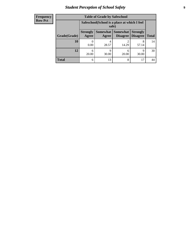# *Student Perception of School Safety* **9**

| <b>Frequency</b><br>Row Pct |
|-----------------------------|
|                             |

| <b>Table of Grade by Safeschool</b> |                          |                                                                                                               |            |            |    |  |  |  |
|-------------------------------------|--------------------------|---------------------------------------------------------------------------------------------------------------|------------|------------|----|--|--|--|
|                                     |                          | Safeschool (School is a place at which I feel<br>safe)                                                        |            |            |    |  |  |  |
| Grade(Grade)                        | <b>Strongly</b><br>Agree | Somewhat<br><b>Somewhat</b><br><b>Strongly</b><br><b>Disagree</b><br><b>Disagree</b><br><b>Total</b><br>Agree |            |            |    |  |  |  |
| 10                                  | 0.00                     | 4<br>28.57                                                                                                    | 2<br>14.29 | 8<br>57.14 | 14 |  |  |  |
| 12                                  | 6<br>20.00               | q<br>30.00                                                                                                    | 6<br>20.00 | 9<br>30.00 | 30 |  |  |  |
| Total                               | 6                        | 13                                                                                                            | 8          | 17         |    |  |  |  |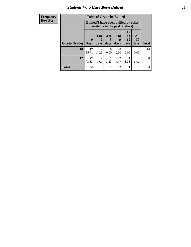#### *Students Who Have Been Bullied* **10**

| <b>Frequency</b> | <b>Table of Grade by Bullied</b> |                                                                               |                         |           |                                     |                       |           |              |
|------------------|----------------------------------|-------------------------------------------------------------------------------|-------------------------|-----------|-------------------------------------|-----------------------|-----------|--------------|
| <b>Row Pct</b>   |                                  | <b>Bullied</b> (I have been bullied by other<br>students in the past 30 days) |                         |           |                                     |                       |           |              |
|                  |                                  | $\mathbf 0$                                                                   | 1 or                    | 3 to<br>5 | 6 to<br>9                           | <b>10</b><br>to<br>19 | All<br>30 |              |
|                  | Grade(Grade)                     | <b>Days</b>                                                                   | days                    | days      | days                                | days                  | days      | <b>Total</b> |
|                  | <b>10</b>                        | 12<br>85.71                                                                   | $\overline{2}$<br>14.29 | 0<br>0.00 | $\Omega$<br>0.00                    | $\Omega$<br>0.00      | 0<br>0.00 | 14           |
|                  | 12                               | 22<br>73.33                                                                   | $\mathfrak{D}$<br>6.67  | 3.33      | $\mathcal{D}_{\mathcal{L}}$<br>6.67 | 3.33                  | 2<br>6.67 | 30           |
|                  | <b>Total</b>                     | 34                                                                            | 4                       |           | $\mathfrak{D}$                      |                       | 2         | 44           |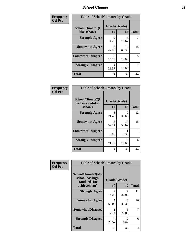#### *School Climate* **11**

| Frequency      | <b>Table of SchoolClimate1 by Grade</b> |                         |             |              |  |
|----------------|-----------------------------------------|-------------------------|-------------|--------------|--|
| <b>Col Pct</b> | SchoolClimate1(I<br>like school)        | Grade(Grade)<br>10      | 12          | <b>Total</b> |  |
|                | <b>Strongly Agree</b>                   | $\mathfrak{D}$<br>14.29 | 5<br>16.67  |              |  |
|                | <b>Somewhat Agree</b>                   | 6<br>42.86              | 19<br>63.33 | 25           |  |
|                | <b>Somewhat Disagree</b>                | $\mathfrak{D}$<br>14.29 | 3<br>10.00  | 5            |  |
|                | <b>Strongly Disagree</b>                | 4<br>28.57              | 3<br>10.00  | 7            |  |
|                | <b>Total</b>                            | 14                      | 30          | 44           |  |

| Frequency<br>Col Pct |  |
|----------------------|--|
|                      |  |

| <b>Table of SchoolClimate2 by Grade</b>           |            |                    |              |  |  |  |
|---------------------------------------------------|------------|--------------------|--------------|--|--|--|
| SchoolClimate2(I<br>feel successful at<br>school) | 10         | Grade(Grade)<br>12 | <b>Total</b> |  |  |  |
| <b>Strongly Agree</b>                             | 3<br>21.43 | 9<br>30.00         | 12           |  |  |  |
| <b>Somewhat Agree</b>                             | 8<br>57.14 | 17<br>56.67        | 25           |  |  |  |
| <b>Somewhat Disagree</b>                          | 0<br>0.00  | 3.33               |              |  |  |  |
| <b>Strongly Disagree</b>                          | 3<br>21.43 | 3<br>10.00         | 6            |  |  |  |
| <b>Total</b>                                      | 14         | 30                 | 44           |  |  |  |

| Frequency      | <b>Table of SchoolClimate3 by Grade</b>               |                                      |             |              |
|----------------|-------------------------------------------------------|--------------------------------------|-------------|--------------|
| <b>Col Pct</b> | SchoolClimate3(My<br>school has high<br>standards for | Grade(Grade)                         |             |              |
|                | achievement)                                          | 10                                   | 12          | <b>Total</b> |
|                | <b>Strongly Agree</b>                                 | $\mathcal{D}_{\mathcal{L}}$<br>14.29 | 9<br>30.00  | 11           |
|                | <b>Somewhat Agree</b>                                 | 50.00                                | 13<br>43.33 | 20           |
|                | <b>Somewhat Disagree</b>                              | 7.14                                 | 6<br>20.00  |              |
|                | <b>Strongly Disagree</b>                              | 4<br>28.57                           | 2<br>6.67   | 6            |
|                | Total                                                 | 14                                   | 30          | 44           |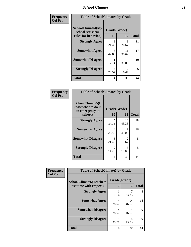#### *School Climate* **12**

| Frequency      | <b>Table of SchoolClimate4 by Grade</b>                              |                    |                        |              |
|----------------|----------------------------------------------------------------------|--------------------|------------------------|--------------|
| <b>Col Pct</b> | <b>SchoolClimate4(My</b><br>school sets clear<br>rules for behavior) | Grade(Grade)<br>10 | 12                     | <b>Total</b> |
|                | <b>Strongly Agree</b>                                                | 3<br>21.43         | 8<br>26.67             | 11           |
|                | <b>Somewhat Agree</b>                                                | 6<br>42.86         | 11<br>36.67            | 17           |
|                | <b>Somewhat Disagree</b>                                             | 7.14               | 9<br>30.00             | 10           |
|                | <b>Strongly Disagree</b>                                             | 4<br>28.57         | $\mathfrak{D}$<br>6.67 | 6            |
|                | <b>Total</b>                                                         | 14                 | 30                     | 44           |

| <b>Table of SchoolClimate5 by Grade</b>                              |                    |                        |    |  |
|----------------------------------------------------------------------|--------------------|------------------------|----|--|
| SchoolClimate5(I<br>know what to do in<br>an emergency at<br>school) | Grade(Grade)<br>10 | <b>Total</b>           |    |  |
|                                                                      |                    | 12                     |    |  |
| <b>Strongly Agree</b>                                                | 5<br>35.71         | 13<br>43.33            | 18 |  |
| <b>Somewhat Agree</b>                                                | 4<br>28.57         | 12<br>40.00            | 16 |  |
| <b>Somewhat Disagree</b>                                             | 3<br>21.43         | $\mathfrak{D}$<br>6.67 | 5  |  |
| <b>Strongly Disagree</b>                                             | 2<br>14.29         | 3<br>10.00             | 5  |  |
| <b>Total</b>                                                         | 14                 | 30                     | 44 |  |

| Frequency      | <b>Table of SchoolClimate6 by Grade</b>                  |                    |             |              |  |
|----------------|----------------------------------------------------------|--------------------|-------------|--------------|--|
| <b>Col Pct</b> | <b>SchoolClimate6(Teachers</b><br>treat me with respect) | Grade(Grade)<br>10 | 12          | <b>Total</b> |  |
|                | <b>Strongly Agree</b>                                    | 7.14               | 23.33       | 8            |  |
|                | <b>Somewhat Agree</b>                                    | 4<br>28.57         | 14<br>46.67 | 18           |  |
|                | <b>Somewhat Disagree</b>                                 | 4<br>28.57         | 5<br>16.67  | 9            |  |
|                | <b>Strongly Disagree</b>                                 | 5<br>35.71         | 4<br>13.33  | 9            |  |
|                | <b>Total</b>                                             | 14                 | 30          | 44           |  |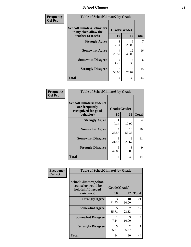#### *School Climate* **13**

| Frequency      | <b>Table of SchoolClimate7 by Grade</b>                                       |                         |             |              |
|----------------|-------------------------------------------------------------------------------|-------------------------|-------------|--------------|
| <b>Col Pct</b> | <b>SchoolClimate7(Behaviors</b><br>in my class allow the<br>teacher to teach) | Grade(Grade)<br>10      | 12          | <b>Total</b> |
|                | <b>Strongly Agree</b>                                                         | 7.14                    | 6<br>20.00  |              |
|                | <b>Somewhat Agree</b>                                                         | 4<br>28.57              | 12<br>40.00 | 16           |
|                | <b>Somewhat Disagree</b>                                                      | $\mathfrak{D}$<br>14.29 | 4<br>13.33  | 6            |
|                | <b>Strongly Disagree</b>                                                      | 7<br>50.00              | 8<br>26.67  | 15           |
|                | <b>Total</b>                                                                  | 14                      | 30          | 44           |

| Frequency      | <b>Table of SchoolClimate8 by Grade</b>                                 |              |             |              |
|----------------|-------------------------------------------------------------------------|--------------|-------------|--------------|
| <b>Col Pct</b> | <b>SchoolClimate8(Students</b><br>are frequently<br>recognized for good | Grade(Grade) |             |              |
|                | behavior)                                                               | 10           | 12          | <b>Total</b> |
|                | <b>Strongly Agree</b>                                                   | 7.14         | 3<br>10.00  | 4            |
|                | <b>Somewhat Agree</b>                                                   | 4<br>28.57   | 16<br>53.33 | 20           |
|                | <b>Somewhat Disagree</b>                                                | 3<br>21.43   | 8<br>26.67  | 11           |
|                | <b>Strongly Disagree</b>                                                | 6<br>42.86   | 3<br>10.00  | 9            |
|                | <b>Total</b>                                                            | 14           | 30          | 44           |

| <b>Frequency</b> | <b>Table of SchoolClimate9 by Grade</b>                                           |                                   |             |              |
|------------------|-----------------------------------------------------------------------------------|-----------------------------------|-------------|--------------|
| <b>Col Pct</b>   | SchoolClimate9(School<br>counselor would be<br>helpful if I needed<br>assistance) | Grade(Grade)<br>10                | 12          | <b>Total</b> |
|                  | <b>Strongly Agree</b>                                                             | 3<br>21.43                        | 18<br>60.00 | 21           |
|                  | <b>Somewhat Agree</b>                                                             | $\overline{\mathcal{L}}$<br>35.71 | 7<br>23.33  | 12           |
|                  | <b>Somewhat Disagree</b>                                                          | 7.14                              | 3<br>10.00  | 4            |
|                  | <b>Strongly Disagree</b>                                                          | 5<br>35.71                        | 2<br>6.67   | 7            |
|                  | Total                                                                             | 14                                | 30          | 44           |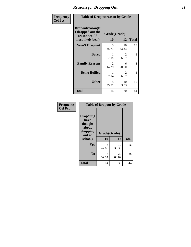#### *Reasons for Dropping Out* **14**

| Frequency      | <b>Table of Dropoutreason by Grade</b>                                   |                         |             |              |
|----------------|--------------------------------------------------------------------------|-------------------------|-------------|--------------|
| <b>Col Pct</b> | Dropoutreason(If<br>I dropped out the<br>reason would<br>most likely be) | Grade(Grade)<br>10      | 12          | <b>Total</b> |
|                | <b>Won't Drop out</b>                                                    | 5<br>35.71              | 10<br>33.33 | 15           |
|                | <b>Bored</b>                                                             | 1<br>7.14               | 2<br>6.67   | 3            |
|                | <b>Family Reasons</b>                                                    | $\mathfrak{D}$<br>14.29 | 6<br>20.00  | 8            |
|                | <b>Being Bullied</b>                                                     | 1<br>7.14               | 2<br>6.67   | 3            |
|                | <b>Other</b>                                                             | 5<br>35.71              | 10<br>33.33 | 15           |
|                | Total                                                                    | 14                      | 30          | 44           |

| Frequency<br><b>Col Pct</b> | <b>Table of Dropout by Grade</b>                                       |                    |             |              |  |
|-----------------------------|------------------------------------------------------------------------|--------------------|-------------|--------------|--|
|                             | Dropout(I<br>have<br>thought<br>about<br>dropping<br>out of<br>school) | Grade(Grade)<br>10 | 12          | <b>Total</b> |  |
|                             | Yes                                                                    | 6                  | 10          | 16           |  |
|                             |                                                                        | 42.86              | 33.33       |              |  |
|                             | N <sub>0</sub>                                                         | 8<br>57.14         | 20<br>66.67 | 28           |  |
|                             | <b>Total</b>                                                           | 14                 | 30          | 44           |  |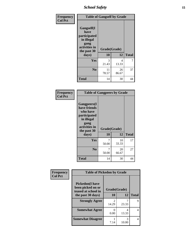*School Safety* **15**

| Frequency      |                                                                                                   | <b>Table of Gangself by Grade</b> |             |              |  |
|----------------|---------------------------------------------------------------------------------------------------|-----------------------------------|-------------|--------------|--|
| <b>Col Pct</b> | Gangself(I<br>have<br>participated<br>in illegal<br>gang<br>activities in<br>the past 30<br>days) | Grade(Grade)<br>10                | 12          | <b>Total</b> |  |
|                | Yes                                                                                               | 3<br>21.43                        | 4<br>13.33  | 7            |  |
|                | N <sub>0</sub>                                                                                    | 11<br>78.57                       | 26<br>86.67 | 37           |  |
|                | <b>Total</b>                                                                                      | 14                                | 30          | 44           |  |

| Frequency<br><b>Col Pct</b> | <b>Table of Gangpeers by Grade</b>                                                                                             |                    |             |              |
|-----------------------------|--------------------------------------------------------------------------------------------------------------------------------|--------------------|-------------|--------------|
|                             | <b>Gangpeers</b> (I<br>have friends<br>who have<br>participated<br>in illegal<br>gang<br>activities in<br>the past 30<br>days) | Grade(Grade)<br>10 | 12          | <b>Total</b> |
|                             | Yes                                                                                                                            | 7<br>50.00         | 10<br>33.33 | 17           |
|                             | N <sub>0</sub>                                                                                                                 | 7<br>50.00         | 20<br>66.67 | 27           |
|                             | <b>Total</b>                                                                                                                   | 14                 | 30          | 44           |

| Frequency      | <b>Table of Pickedon by Grade</b>                                  |                         |              |              |
|----------------|--------------------------------------------------------------------|-------------------------|--------------|--------------|
| <b>Col Pct</b> | <b>Pickedon(I have</b><br>been picked on or<br>teased at school in |                         | Grade(Grade) |              |
|                | the past 30 days)                                                  | 10                      | 12           | <b>Total</b> |
|                | <b>Strongly Agree</b>                                              | $\mathfrak{D}$<br>14.29 | 23.33        | Q            |
|                | <b>Somewhat Agree</b>                                              | 0.00                    | 4<br>13.33   | 4            |
|                | <b>Somewhat Disagree</b>                                           | 7.14                    | 3<br>10.00   | 4            |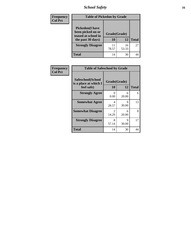# *School Safety* **16**

| <b>Frequency</b> |                                                                                          | <b>Table of Pickedon by Grade</b> |             |              |  |  |
|------------------|------------------------------------------------------------------------------------------|-----------------------------------|-------------|--------------|--|--|
| <b>Col Pct</b>   | <b>Pickedon</b> (I have<br>been picked on or<br>teased at school in<br>the past 30 days) | Grade(Grade)<br>10                | 12          | <b>Total</b> |  |  |
|                  | <b>Strongly Disagree</b>                                                                 | 11<br>78.57                       | 16<br>53.33 | 27           |  |  |
|                  | Total                                                                                    | 14                                | 30          |              |  |  |

| Frequency      |                                                          | <b>Table of Safeschool by Grade</b> |            |              |  |  |  |  |  |
|----------------|----------------------------------------------------------|-------------------------------------|------------|--------------|--|--|--|--|--|
| <b>Col Pct</b> | Safeschool(School<br>is a place at which I<br>feel safe) | Grade(Grade)<br><b>10</b>           | 12         | <b>Total</b> |  |  |  |  |  |
|                | <b>Strongly Agree</b>                                    | 0<br>0.00                           | 6<br>20.00 | 6            |  |  |  |  |  |
|                | <b>Somewhat Agree</b>                                    | 4<br>28.57                          | 9<br>30.00 | 13           |  |  |  |  |  |
|                | <b>Somewhat Disagree</b>                                 | 2<br>14.29                          | 6<br>20.00 | 8            |  |  |  |  |  |
|                | <b>Strongly Disagree</b>                                 | 8<br>57.14                          | 9<br>30.00 | 17           |  |  |  |  |  |
|                | <b>Total</b>                                             | 14                                  | 30         | 44           |  |  |  |  |  |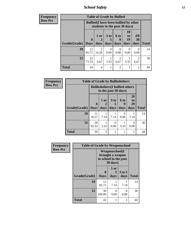*School Safety* **17**

| <b>Frequency</b> | <b>Table of Grade by Bullied</b> |              |                                                                               |                      |                  |                       |                |              |
|------------------|----------------------------------|--------------|-------------------------------------------------------------------------------|----------------------|------------------|-----------------------|----------------|--------------|
| Row Pct          |                                  |              | <b>Bullied</b> (I have been bullied by other<br>students in the past 30 days) |                      |                  |                       |                |              |
|                  |                                  | $\mathbf{0}$ | 1 or                                                                          | 3 <sub>to</sub><br>5 | <b>6 to</b><br>9 | <b>10</b><br>to<br>19 | All<br>30      |              |
|                  | <b>Grade</b> (Grade) Days        |              | days                                                                          | days                 | days             | days                  | days           | <b>Total</b> |
|                  | 10                               | 12<br>85.71  | $\mathfrak{D}$<br>14.29                                                       | $\Omega$<br>0.00     | $\Omega$<br>0.00 | 0<br>0.00             | 0<br>0.00      | 14           |
|                  | 12                               | 22<br>73.33  | $\overline{2}$<br>6.67                                                        | 3.33                 | 6.67             | 3.33                  | 2<br>6.67      | 30           |
|                  | <b>Total</b>                     | 34           | 4                                                                             |                      | $\overline{2}$   |                       | $\overline{2}$ | 44           |

| <b>Frequency</b> | <b>Table of Grade by Bulliedothers</b> |              |                                                                |                              |                   |                               |              |
|------------------|----------------------------------------|--------------|----------------------------------------------------------------|------------------------------|-------------------|-------------------------------|--------------|
| <b>Row Pct</b>   |                                        |              | <b>Bulliedothers</b> (I bullied others<br>in the past 30 days) |                              |                   |                               |              |
|                  | <b>Grade</b> (Grade) Days              | $\mathbf{0}$ | $1$ or $ $<br>days                                             | 3 <sub>to</sub><br>5<br>days | 6 to<br>g<br>days | <b>20</b><br>to<br>29<br>days | <b>Total</b> |
|                  | 10                                     | 11<br>78.57  | 7.14                                                           | 7.14                         | 0.00              | 7.14                          | 14           |
|                  | 12                                     | 28<br>93.33  | 3.33                                                           | 0<br>0.00                    | 3.33              | $\Omega$<br>0.00              | 30           |
|                  | <b>Total</b>                           | 39           | $\mathfrak{D}$                                                 | 1                            |                   | 1                             | 44           |

| Frequency      | <b>Table of Grade by Weaponschool</b> |                  |                                                                                 |                  |              |  |  |
|----------------|---------------------------------------|------------------|---------------------------------------------------------------------------------|------------------|--------------|--|--|
| <b>Row Pct</b> |                                       |                  | <b>Weaponschool</b> (I<br>brought a weapon<br>to school in the past<br>30 days) |                  |              |  |  |
|                | Grade(Grade)                          | 0<br><b>Days</b> | 1 or<br>$\mathbf{2}$<br>days                                                    | $3$ to 5<br>days | <b>Total</b> |  |  |
|                | 10                                    | 12<br>85.71      | 7.14                                                                            | 7.14             | 14           |  |  |
|                | 12                                    | 30<br>100.00     | 0<br>0.00                                                                       | 0<br>0.00        | 30           |  |  |
|                | <b>Total</b>                          | 42               | 1                                                                               |                  | 44           |  |  |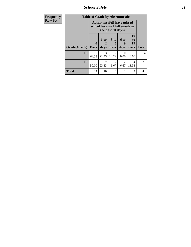*School Safety* **18**

| <b>Frequency</b> |              | <b>Table of Grade by Absentunsafe</b> |                                                                      |                                      |                          |                           |              |  |  |  |
|------------------|--------------|---------------------------------------|----------------------------------------------------------------------|--------------------------------------|--------------------------|---------------------------|--------------|--|--|--|
| <b>Row Pct</b>   |              |                                       | <b>Absentunsafe(I have missed</b><br>school because I felt unsafe in | the past 30 days)                    |                          |                           |              |  |  |  |
|                  | Grade(Grade) | $\mathbf{0}$<br><b>Days</b>           | 1 or<br>2<br>days                                                    | $3$ to<br>5<br>days                  | <b>6 to</b><br>9<br>days | 10<br>to<br>19<br>days    | <b>Total</b> |  |  |  |
|                  | 10           | 9<br>64.29                            | 3<br>21.43                                                           | $\mathcal{D}_{\mathcal{L}}$<br>14.29 | 0<br>0.00                | $\mathbf{\Omega}$<br>0.00 | 14           |  |  |  |
|                  | 12           | 15<br>50.00                           | 23.33                                                                | 2<br>6.67                            | $\overline{c}$<br>6.67   | 4<br>13.33                | 30           |  |  |  |
|                  | <b>Total</b> | 24                                    | 10                                                                   | 4                                    | $\overline{c}$           | 4                         | 44           |  |  |  |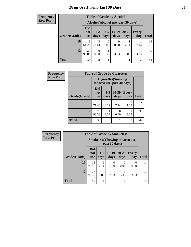### *Drug Use During Last 30 Days* **19**

#### **Frequency Row Pct**

| <b>Table of Grade by Alcohol</b> |                                 |                                    |                 |                 |               |                     |              |
|----------------------------------|---------------------------------|------------------------------------|-----------------|-----------------|---------------|---------------------|--------------|
|                                  |                                 | Alcohol(Alcohol use, past 30 days) |                 |                 |               |                     |              |
| Grade(Grade)                     | <b>Did</b><br>not<br><b>use</b> | $1 - 2$<br>days                    | $3 - 5$<br>days | $10-19$<br>days | 20-29<br>days | <b>Every</b><br>day | <b>Total</b> |
| 10                               | Q<br>64.29                      | 3<br>21.43                         | 0<br>0.00       | 0.00            | 7.14          | 7.14                | 14           |
| 12                               | 27<br>90.00                     | $\Omega$<br>0.00                   | 3.33            | 3.33            | 0.00          | 3.33                | 30           |
| <b>Total</b>                     | 36                              | 3                                  |                 |                 |               | 2                   | 44           |

| Frequency      |              |                                                          |                         | <b>Table of Grade by Cigarettes</b> |                     |              |
|----------------|--------------|----------------------------------------------------------|-------------------------|-------------------------------------|---------------------|--------------|
| <b>Row Pct</b> |              | <b>Cigarettes</b> (Smoking<br>tobacco use, past 30 days) |                         |                                     |                     |              |
|                | Grade(Grade) | <b>Did</b><br>not<br><b>use</b>                          | $1-2$<br>days           | $20 - 29$<br>days                   | <b>Every</b><br>day | <b>Total</b> |
|                | 10           | 10<br>71.43                                              | $\mathfrak{D}$<br>14.29 | 7.14                                | 7.14                | 14           |
|                | 12           | 28<br>93.33                                              | 3.33                    | 0<br>0.00                           | 3.33                | 30           |
|                | <b>Total</b> | 38                                                       | 3                       |                                     | $\overline{2}$      | 44           |

| Frequency      |              | <b>Table of Grade by Smokeless</b> |                 |                                                        |                           |                     |              |  |
|----------------|--------------|------------------------------------|-----------------|--------------------------------------------------------|---------------------------|---------------------|--------------|--|
| <b>Row Pct</b> |              |                                    |                 | <b>Smokeless</b> (Chewing tobaccouse,<br>past 30 days) |                           |                     |              |  |
|                | Grade(Grade) | <b>Did</b><br>not<br><b>use</b>    | $1 - 2$<br>days | $10-19$<br>days                                        | $20 - 29$<br>days         | <b>Every</b><br>day | <b>Total</b> |  |
|                | 10           | 13<br>92.86                        | 7.14            | $\Omega$<br>0.00                                       | $\mathbf{\Omega}$<br>0.00 | $\Omega$<br>0.00    | 14           |  |
|                | 12           | 27<br>90.00                        | 0<br>0.00       | 3.33                                                   | 3.33                      | 3.33                | 30           |  |
|                | <b>Total</b> | 40                                 |                 |                                                        |                           |                     | 44           |  |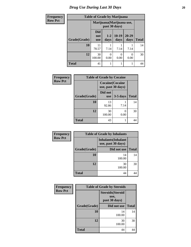# *Drug Use During Last 30 Days* 20

| <b>Frequency</b> |              | <b>Table of Grade by Marijuana</b> |                  |                           |                   |              |
|------------------|--------------|------------------------------------|------------------|---------------------------|-------------------|--------------|
| <b>Row Pct</b>   |              |                                    | past 30 days)    | Marijuana (Marijuana use, |                   |              |
|                  | Grade(Grade) | <b>Did</b><br>not<br><b>use</b>    | $1 - 2$<br>days  | $10-19$<br>days           | $20 - 29$<br>days | <b>Total</b> |
|                  | 10           | 11<br>78.57                        | 7.14             | 7.14                      | 7.14              | 14           |
|                  | 12           | 30<br>100.00                       | $\Omega$<br>0.00 | 0<br>0.00                 | 0<br>0.00         | 30           |
|                  | <b>Total</b> | 41                                 |                  |                           |                   | 44           |

| Frequency      |              | <b>Table of Grade by Cocaine</b>              |            |              |
|----------------|--------------|-----------------------------------------------|------------|--------------|
| <b>Row Pct</b> |              | <b>Cocaine</b> (Cocaine<br>use, past 30 days) |            |              |
|                | Grade(Grade) | Did not<br><b>use</b>                         | $3-5$ days | <b>Total</b> |
|                | 10           | 13<br>92.86                                   | 7.14       | 14           |
|                | 12           | 30<br>100.00                                  | 0.00       | 30           |
|                | <b>Total</b> | 43                                            |            | 44           |

| Frequency      | <b>Table of Grade by Inhalants</b> |                                                  |              |  |  |  |
|----------------|------------------------------------|--------------------------------------------------|--------------|--|--|--|
| <b>Row Pct</b> |                                    | <b>Inhalants</b> (Inhalant<br>use, past 30 days) |              |  |  |  |
|                | Grade(Grade)                       | Did not use                                      | <b>Total</b> |  |  |  |
|                | 10                                 | 14<br>100.00                                     | 14           |  |  |  |
|                | 12                                 | 30<br>100.00                                     | 30           |  |  |  |
|                | <b>Total</b>                       | 44                                               | 44           |  |  |  |

| Frequency      | <b>Table of Grade by Steroids</b> |                                                   |              |  |  |
|----------------|-----------------------------------|---------------------------------------------------|--------------|--|--|
| <b>Row Pct</b> |                                   | <b>Steroids</b> (Steroid<br>use,<br>past 30 days) |              |  |  |
|                | Grade(Grade)                      | Did not use                                       | <b>Total</b> |  |  |
|                | 10                                | 14<br>100.00                                      | 14           |  |  |
|                | 12                                | 30<br>100.00                                      | 30           |  |  |
|                | <b>Total</b>                      | 44                                                | 44           |  |  |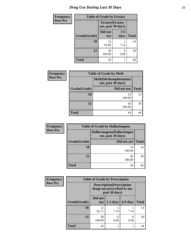# *Drug Use During Last 30 Days* **21**

| <b>Frequency</b> | <b>Table of Grade by Ecstasy</b> |                         |                    |              |  |
|------------------|----------------------------------|-------------------------|--------------------|--------------|--|
| <b>Row Pct</b>   |                                  | <b>Ecstasy</b> (Ecstasy | use, past 30 days) |              |  |
|                  | Grade(Grade)                     | Did not<br><b>use</b>   | $3 - 5$<br>days    | <b>Total</b> |  |
|                  | 10                               | 13<br>92.86             | 7.14               | 14           |  |
|                  | 12                               | 30<br>100.00            | 0<br>0.00          | 30           |  |
|                  | <b>Total</b>                     | 43                      |                    | 44           |  |

| <b>Frequency</b> |                                                    | <b>Table of Grade by Meth</b> |              |  |  |
|------------------|----------------------------------------------------|-------------------------------|--------------|--|--|
| <b>Row Pct</b>   | <b>Meth</b> (Methamphetamine<br>use, past 30 days) |                               |              |  |  |
|                  | Grade(Grade)                                       | Did not use                   | <b>Total</b> |  |  |
|                  | 10                                                 | 14<br>100.00                  | 14           |  |  |
|                  | 12                                                 | 30<br>100.00                  | 30           |  |  |
|                  | <b>Total</b>                                       | 44                            |              |  |  |

| <b>Frequency</b> | <b>Table of Grade by Hallucinogens</b>            |              |              |  |  |  |
|------------------|---------------------------------------------------|--------------|--------------|--|--|--|
| <b>Row Pct</b>   | Hallucinogens (Hallucinogen<br>use, past 30 days) |              |              |  |  |  |
|                  | Grade(Grade)                                      | Did not use  | <b>Total</b> |  |  |  |
|                  | 10                                                | 14<br>100.00 | 14           |  |  |  |
|                  | 12                                                | 30<br>100.00 | 30           |  |  |  |
|                  | <b>Total</b>                                      | 44           |              |  |  |  |

| <b>Frequency</b> | <b>Table of Grade by Prescription</b> |                                                                                   |            |          |              |  |
|------------------|---------------------------------------|-----------------------------------------------------------------------------------|------------|----------|--------------|--|
| <b>Row Pct</b>   |                                       | <b>Prescription</b> (Prescription<br>drugs not prescribed to me,<br>past 30 days) |            |          |              |  |
|                  | Grade(Grade)                          | Did not<br><b>use</b>                                                             | $1-2$ days | 6-9 days | <b>Total</b> |  |
|                  | 10                                    | 12<br>85.71                                                                       | 7.14       | 7.14     | 14           |  |
|                  | 12                                    | 30<br>100.00                                                                      | 0.00       | 0.00     | 30           |  |
|                  | <b>Total</b>                          | 42                                                                                |            |          |              |  |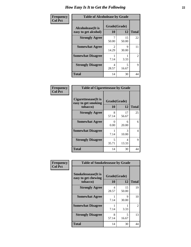| Frequency      | <b>Table of Alcoholease by Grade</b>              |                         |             |                |  |
|----------------|---------------------------------------------------|-------------------------|-------------|----------------|--|
| <b>Col Pct</b> | <b>Alcoholease</b> (It is<br>easy to get alcohol) | Grade(Grade)<br>10      | 12          | <b>Total</b>   |  |
|                | <b>Strongly Agree</b>                             | 50.00                   | 15<br>50.00 | 22             |  |
|                | <b>Somewhat Agree</b>                             | $\mathfrak{D}$<br>14.29 | 9<br>30.00  | 11             |  |
|                | <b>Somewhat Disagree</b>                          | 7.14                    | 3.33        | $\overline{2}$ |  |
|                | <b>Strongly Disagree</b>                          | 4<br>28.57              | 5<br>16.67  | 9              |  |
|                | <b>Total</b>                                      | 14                      | 30          | 44             |  |

| Frequency<br>Col Pct |
|----------------------|

| <b>Table of Cigarettesease by Grade</b>                 |                    |             |              |  |  |
|---------------------------------------------------------|--------------------|-------------|--------------|--|--|
| Cigarettesease(It is<br>easy to get smoking<br>tobacco) | Grade(Grade)<br>10 | 12          | <b>Total</b> |  |  |
| <b>Strongly Agree</b>                                   | 8<br>57.14         | 17<br>56.67 | 25           |  |  |
| <b>Somewhat Agree</b>                                   | ∩<br>0.00          | 6<br>20.00  | 6            |  |  |
| <b>Somewhat Disagree</b>                                | 7.14               | 3<br>10.00  | 4            |  |  |
| <b>Strongly Disagree</b>                                | 5<br>35.71         | 4<br>13.33  | 9            |  |  |
| <b>Total</b>                                            | 14                 | 30          | 44           |  |  |

| Frequency      | <b>Table of Smokelessease by Grade</b>                         |                    |             |                |  |
|----------------|----------------------------------------------------------------|--------------------|-------------|----------------|--|
| <b>Col Pct</b> | <b>Smokelessease</b> (It is<br>easy to get chewing<br>tobacco) | Grade(Grade)<br>10 | 12          | <b>Total</b>   |  |
|                | <b>Strongly Agree</b>                                          | 4<br>28.57         | 15<br>50.00 | 19             |  |
|                | <b>Somewhat Agree</b>                                          | 7.14               | 9<br>30.00  | 10             |  |
|                | <b>Somewhat Disagree</b>                                       | 7.14               | 3.33        | $\mathfrak{D}$ |  |
|                | <b>Strongly Disagree</b>                                       | 8<br>57.14         | 5<br>16.67  | 13             |  |
|                | <b>Total</b>                                                   | 14                 | 30          | 44             |  |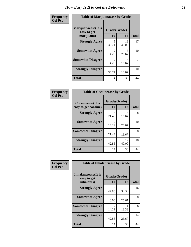| Frequency      | <b>Table of Marijuanaease by Grade</b>           |                         |             |              |  |
|----------------|--------------------------------------------------|-------------------------|-------------|--------------|--|
| <b>Col Pct</b> | Marijuanaease(It is<br>easy to get<br>marijuana) | Grade(Grade)<br>10      | 12          | <b>Total</b> |  |
|                | <b>Strongly Agree</b>                            | 5<br>35.71              | 12<br>40.00 | 17           |  |
|                | <b>Somewhat Agree</b>                            | $\mathfrak{D}$<br>14.29 | 8<br>26.67  | 10           |  |
|                | <b>Somewhat Disagree</b>                         | $\mathfrak{D}$<br>14.29 | 5<br>16.67  | 7            |  |
|                | <b>Strongly Disagree</b>                         | 5<br>35.71              | 5<br>16.67  | 10           |  |
|                | <b>Total</b>                                     | 14                      | 30          | 44           |  |

| <b>Table of Cocaineease by Grade</b>      |                         |             |    |  |  |  |
|-------------------------------------------|-------------------------|-------------|----|--|--|--|
| Cocaineease(It is<br>easy to get cocaine) | <b>Total</b>            |             |    |  |  |  |
| <b>Strongly Agree</b>                     | 3<br>21.43              | 5<br>16.67  | 8  |  |  |  |
| <b>Somewhat Agree</b>                     | $\mathfrak{D}$<br>14.29 | 8<br>26.67  | 10 |  |  |  |
| <b>Somewhat Disagree</b>                  | 3<br>21.43              | 5<br>16.67  | 8  |  |  |  |
| <b>Strongly Disagree</b>                  | 6<br>42.86              | 12<br>40.00 | 18 |  |  |  |
| <b>Total</b>                              | 14                      | 30          |    |  |  |  |

| Frequency      | <b>Table of Inhalantsease by Grade</b>                   |                                 |             |              |
|----------------|----------------------------------------------------------|---------------------------------|-------------|--------------|
| <b>Col Pct</b> | <b>Inhalantsease</b> (It is<br>easy to get<br>inhalants) | Grade(Grade)<br>12<br><b>10</b> |             | <b>Total</b> |
|                | <b>Strongly Agree</b>                                    | 6<br>42.86                      | 10<br>33.33 | 16           |
|                | <b>Somewhat Agree</b>                                    | 0<br>0.00                       | 8<br>26.67  | 8            |
|                | <b>Somewhat Disagree</b>                                 | $\mathfrak{D}$<br>14.29         | 4<br>13.33  | 6            |
|                | <b>Strongly Disagree</b>                                 | 6<br>42.86                      | 8<br>26.67  | 14           |
|                | <b>Total</b>                                             | 14                              | 30          | 44           |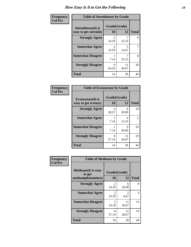| Frequency      | <b>Table of Steroidsease by Grade</b>               |                         |             |              |  |  |  |  |
|----------------|-----------------------------------------------------|-------------------------|-------------|--------------|--|--|--|--|
| <b>Col Pct</b> | <b>Steroidsease</b> (It is<br>easy to get steroids) | Grade(Grade)<br>10      | 12          | <b>Total</b> |  |  |  |  |
|                | <b>Strongly Agree</b>                               | $\mathfrak{D}$<br>14.29 | 23.33       | 9            |  |  |  |  |
|                | <b>Somewhat Agree</b>                               | $\mathfrak{D}$<br>14.29 | 5<br>16.67  | 7            |  |  |  |  |
|                | <b>Somewhat Disagree</b>                            | 7.14                    | 23.33       | 8            |  |  |  |  |
|                | <b>Strongly Disagree</b>                            | 9<br>64.29              | 11<br>36.67 | 20           |  |  |  |  |
|                | <b>Total</b>                                        | 14                      | 30          | 44           |  |  |  |  |

| Frequency      | <b>Table of Ecstasyease by Grade</b>              |                          |             |              |  |  |
|----------------|---------------------------------------------------|--------------------------|-------------|--------------|--|--|
| <b>Col Pct</b> | <b>Ecstasyease</b> (It is<br>easy to get ecstasy) | Grade(Grade)<br>10<br>12 |             | <b>Total</b> |  |  |
|                | <b>Strongly Agree</b>                             | 4<br>28.57               | 6<br>20.00  | 10           |  |  |
|                | <b>Somewhat Agree</b>                             | 7.14                     | 4<br>13.33  | 5            |  |  |
|                | <b>Somewhat Disagree</b>                          | 7.14                     | 9<br>30.00  | 10           |  |  |
|                | <b>Strongly Disagree</b>                          | 8<br>57.14               | 11<br>36.67 | 19           |  |  |
|                | <b>Total</b>                                      | 14                       | 30          | 44           |  |  |

| <b>Frequency</b> | <b>Table of Methease by Grade</b>                          |                    |                        |                |  |  |  |  |  |
|------------------|------------------------------------------------------------|--------------------|------------------------|----------------|--|--|--|--|--|
| <b>Col Pct</b>   | <b>Methease</b> (It is easy<br>to get<br>methamphetamines) | Grade(Grade)<br>10 | 12                     | <b>Total</b>   |  |  |  |  |  |
|                  | <b>Strongly Agree</b>                                      | 2<br>14.29         | 6<br>20.00             | 8              |  |  |  |  |  |
|                  | <b>Somewhat Agree</b>                                      | 2<br>14.29         | $\mathfrak{D}$<br>6.67 | $\overline{4}$ |  |  |  |  |  |
|                  | <b>Somewhat Disagree</b>                                   | 2<br>14.29         | 11<br>36.67            | 13             |  |  |  |  |  |
|                  | <b>Strongly Disagree</b>                                   | 8<br>57.14         | 11<br>36.67            | 19             |  |  |  |  |  |
|                  | <b>Total</b>                                               | 14                 | 30                     | 44             |  |  |  |  |  |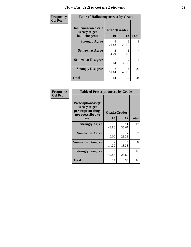| <b>Frequency</b> | <b>Table of Hallucinogensease by Grade</b>               |                                      |                       |              |  |  |  |
|------------------|----------------------------------------------------------|--------------------------------------|-----------------------|--------------|--|--|--|
| <b>Col Pct</b>   | Hallucinogensease(It<br>is easy to get<br>hallucinogens) | Grade(Grade)<br>10                   | 12                    | <b>Total</b> |  |  |  |
|                  | <b>Strongly Agree</b>                                    | 3<br>21.43                           | 6<br>20.00            | 9            |  |  |  |
|                  | <b>Somewhat Agree</b>                                    | $\mathcal{D}_{\mathcal{L}}$<br>14.29 | $\mathcal{L}$<br>6.67 | 4            |  |  |  |
|                  | <b>Somewhat Disagree</b>                                 | 7.14                                 | 10<br>33.33           | 11           |  |  |  |
|                  | <b>Strongly Disagree</b>                                 | 8<br>57.14                           | 12<br>40.00           | 20           |  |  |  |
|                  | <b>Total</b>                                             | 14                                   | 30                    | 44           |  |  |  |

| Frequency<br>  Col Pct |
|------------------------|

| <b>Table of Prescriptionease by Grade</b>                                                |                                      |             |              |  |  |  |
|------------------------------------------------------------------------------------------|--------------------------------------|-------------|--------------|--|--|--|
| <b>Prescriptionease</b> (It<br>is easy to get<br>prescription drugs<br>not prescribed to | Grade(Grade)                         |             |              |  |  |  |
| me)                                                                                      | 10                                   | 12          | <b>Total</b> |  |  |  |
| <b>Strongly Agree</b>                                                                    | 6<br>42.86                           | 11<br>36.67 | 17           |  |  |  |
| <b>Somewhat Agree</b>                                                                    | 0<br>0.00                            | 7<br>23.33  | 7            |  |  |  |
| <b>Somewhat Disagree</b>                                                                 | $\mathcal{D}_{\mathcal{L}}$<br>14.29 | Δ<br>13.33  | 6            |  |  |  |
| <b>Strongly Disagree</b>                                                                 | 6<br>42.86                           | 8<br>26.67  | 14           |  |  |  |
| <b>Total</b>                                                                             | 14                                   | 30          | 44           |  |  |  |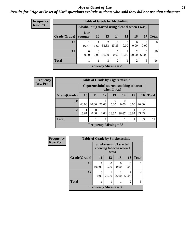#### *Age at Onset of Use* **26** *Results for "Age at Onset of Use" questions exclude students who said they did not use that substance*

| Frequency      | <b>Table of Grade by Alcoholinit</b> |           |                                                  |            |                               |                  |       |            |              |  |
|----------------|--------------------------------------|-----------|--------------------------------------------------|------------|-------------------------------|------------------|-------|------------|--------------|--|
| <b>Row Pct</b> |                                      |           | Alcoholinit (I started using alcohol when I was) |            |                               |                  |       |            |              |  |
|                | Grade(Grade)   younger               | 8 or      | <b>10</b>                                        | 13         | 14                            | 15               | 16    | 17         | <b>Total</b> |  |
|                | 10                                   | 16.67     | 16.67                                            | 2<br>33.33 | 2<br>33.33                    | $\Omega$<br>0.00 | 0.00  | 0.00       | 6            |  |
|                | 12                                   | 0<br>0.00 | $\Omega$<br>0.00                                 | 10.00      | $\theta$<br>0.00              | 10.00            | 20.00 | 6<br>60.00 | 10           |  |
|                | <b>Total</b>                         |           |                                                  | 3          | 2                             |                  | 2     | 6          | 16           |  |
|                |                                      |           |                                                  |            | <b>Frequency Missing = 28</b> |                  |       |            |              |  |

| <b>Frequency</b> |              | <b>Table of Grade by Cigarettesinit</b>                 |           |                          |                  |                  |                  |                         |              |
|------------------|--------------|---------------------------------------------------------|-----------|--------------------------|------------------|------------------|------------------|-------------------------|--------------|
| <b>Row Pct</b>   |              | Cigarettesinit(I started smoking tobacco<br>when I was) |           |                          |                  |                  |                  |                         |              |
|                  | Grade(Grade) | 10                                                      | 11        | 12                       | 13               | 14               | 15               | <b>16</b>               | <b>Total</b> |
|                  | <b>10</b>    | $\mathcal{D}$<br>40.00                                  | 20.00     | 20.00                    | $\theta$<br>0.00 | $\Omega$<br>0.00 | $\theta$<br>0.00 | 20.00                   |              |
|                  | 12           | 16.67                                                   | 0<br>0.00 | 0.00                     | 16.67            | 16.67            | 16.67            | $\mathfrak{D}$<br>33.33 | 6            |
|                  | <b>Total</b> | 3                                                       |           |                          |                  |                  |                  | 3                       | 11           |
|                  |              |                                                         |           | Frequency Missing $=$ 33 |                  |                  |                  |                         |              |

| Frequency      |              | <b>Table of Grade by Smokelessinit</b>                   |       |                  |                         |              |
|----------------|--------------|----------------------------------------------------------|-------|------------------|-------------------------|--------------|
| <b>Row Pct</b> |              | <b>Smokelessinit(I started</b><br>chewing tobacco when I |       |                  |                         |              |
|                | Grade(Grade) | <b>11</b>                                                | 13    | 15               | <b>16</b>               | <b>Total</b> |
|                | 10           | 100.00                                                   | 0.00  | $\Omega$<br>0.00 | 0.00                    |              |
|                | 12           | 0.00                                                     | 25.00 | 25.00            | $\mathfrak{D}$<br>50.00 | 4            |
|                | <b>Total</b> |                                                          |       |                  | 2                       | 5            |
|                |              | Frequency Missing $=$ 39                                 |       |                  |                         |              |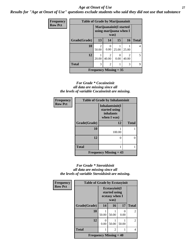#### *Age at Onset of Use* **27**

*Results for "Age at Onset of Use" questions exclude students who said they did not use that substance*

| <b>Frequency</b> | <b>Table of Grade by Marijuanainit</b> |                                                    |                  |                  |            |              |  |  |
|------------------|----------------------------------------|----------------------------------------------------|------------------|------------------|------------|--------------|--|--|
| <b>Row Pct</b>   |                                        | Marijuanainit (I started<br>using marijuana when I |                  |                  |            |              |  |  |
|                  | Grade(Grade)                           | 13                                                 | 14               | 15               | 16         | <b>Total</b> |  |  |
|                  | 10                                     | $\mathcal{D}$<br>50.00                             | $\Omega$<br>0.00 | 25.00            | 25.00      | 4            |  |  |
|                  | 12                                     | 20.00                                              | 2<br>40.00       | $\Omega$<br>0.00 | 2<br>40.00 | 5            |  |  |
|                  | <b>Total</b>                           | 3                                                  | $\overline{2}$   | 1                | 3          | $\mathbf Q$  |  |  |
|                  | Frequency Missing $= 35$               |                                                    |                  |                  |            |              |  |  |

#### *For Grade \* Cocaineinit all data are missing since all the levels of variable Cocaineinit are missing.*

| Frequency      | <b>Table of Grade by Inhalantsinit</b> |                          |              |  |  |  |  |
|----------------|----------------------------------------|--------------------------|--------------|--|--|--|--|
| <b>Row Pct</b> |                                        |                          |              |  |  |  |  |
|                | Grade(Grade)                           | 12                       | <b>Total</b> |  |  |  |  |
|                | 10                                     | 100.00                   |              |  |  |  |  |
|                | 12                                     | 0                        |              |  |  |  |  |
|                | <b>Total</b>                           |                          |              |  |  |  |  |
|                |                                        | Frequency Missing $= 43$ |              |  |  |  |  |

#### *For Grade \* Steroidsinit all data are missing since all the levels of variable Steroidsinit are missing.*

| <b>Frequency</b> | <b>Table of Grade by Ecstasyinit</b>       |                                                          |                |       |                |
|------------------|--------------------------------------------|----------------------------------------------------------|----------------|-------|----------------|
| <b>Row Pct</b>   |                                            | Ecstasyinit(I<br>started using<br>ecstasy when I<br>was) |                |       |                |
|                  | Grade(Grade)                               | 14                                                       | 16             | 17    | <b>Total</b>   |
|                  | 10                                         | 50.00                                                    | 50.00          | 0.00  | $\overline{2}$ |
|                  | 12                                         | 0<br>0.00                                                | 50.00          | 50.00 | $\overline{2}$ |
|                  | <b>Total</b>                               | 1                                                        | $\overline{2}$ |       | 4              |
|                  | <b>Frequency Missing <math>= 40</math></b> |                                                          |                |       |                |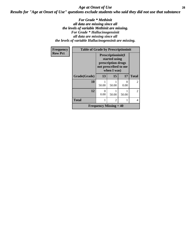#### *Age at Onset of Use* **28** *Results for "Age at Onset of Use" questions exclude students who said they did not use that substance*

*For Grade \* Methinit all data are missing since all the levels of variable Methinit are missing. For Grade \* Hallucinogensinit all data are missing since all the levels of variable Hallucinogensinit are missing.*

| Frequency      | <b>Table of Grade by Prescriptioninit</b> |                                                                                                          |                |                  |                |
|----------------|-------------------------------------------|----------------------------------------------------------------------------------------------------------|----------------|------------------|----------------|
| <b>Row Pct</b> |                                           | <b>Prescriptioninit(I)</b><br>started using<br>prescription drugs<br>not prescribed to me<br>when I was) |                |                  |                |
|                | Grade(Grade)                              | 13                                                                                                       | 15             | 17               | <b>Total</b>   |
|                | 10                                        | 50.00                                                                                                    | 50.00          | $\Omega$<br>0.00 | $\mathfrak{D}$ |
|                | 12                                        | 0<br>0.00                                                                                                | 50.00          | 50.00            | $\overline{2}$ |
|                | <b>Total</b>                              | 1                                                                                                        | $\overline{c}$ |                  | 4              |
|                |                                           | <b>Frequency Missing = 40</b>                                                                            |                |                  |                |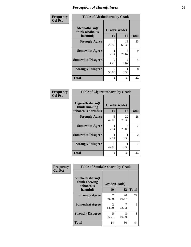| Frequency      | <b>Table of Alcoholharm by Grade</b>          |                         |                        |              |
|----------------|-----------------------------------------------|-------------------------|------------------------|--------------|
| <b>Col Pct</b> | Alcoholharm(I<br>think alcohol is<br>harmful) | Grade(Grade)<br>10      | 12                     | <b>Total</b> |
|                | <b>Strongly Agree</b>                         | 4<br>28.57              | 19<br>63.33            | 23           |
|                | <b>Somewhat Agree</b>                         | 7.14                    | 8<br>26.67             | 9            |
|                | <b>Somewhat Disagree</b>                      | $\mathfrak{D}$<br>14.29 | $\mathfrak{D}$<br>6.67 | 4            |
|                | <b>Strongly Disagree</b>                      | 50.00                   | 3.33                   | 8            |
|                | <b>Total</b>                                  | 14                      | 30                     | 44           |

| <b>Table of Cigarettesharm by Grade</b>                  |                    |             |              |  |  |
|----------------------------------------------------------|--------------------|-------------|--------------|--|--|
| Cigarettesharm(I<br>think smoking<br>tobacco is harmful) | Grade(Grade)<br>10 | 12          | <b>Total</b> |  |  |
| <b>Strongly Agree</b>                                    | 6<br>42.86         | 22<br>73.33 | 28           |  |  |
| <b>Somewhat Agree</b>                                    | 1<br>7.14          | 6<br>20.00  | 7            |  |  |
| <b>Somewhat Disagree</b>                                 | 1<br>7.14          | 3.33        | 2            |  |  |
| <b>Strongly Disagree</b>                                 | 6<br>42.86         | 3.33        | 7            |  |  |
| <b>Total</b>                                             | 14                 | 30          | 44           |  |  |

| Frequency      | <b>Table of Smokelessharm by Grade</b>         |                                      |             |              |  |
|----------------|------------------------------------------------|--------------------------------------|-------------|--------------|--|
| <b>Col Pct</b> | Smokelessharm(I<br>think chewing<br>tobacco is | Grade(Grade)                         |             |              |  |
|                | harmful)                                       | 10                                   | 12          | <b>Total</b> |  |
|                | <b>Strongly Agree</b>                          | 50.00                                | 20<br>66.67 | 27           |  |
|                | <b>Somewhat Agree</b>                          | $\mathcal{D}_{\mathcal{A}}$<br>14.29 | 23.33       | 9            |  |
|                | <b>Strongly Disagree</b>                       | 5<br>35.71                           | 3<br>10.00  | 8            |  |
|                | <b>Total</b>                                   | 14                                   | 30          |              |  |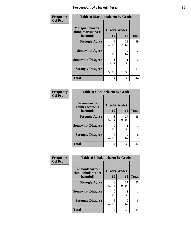| Frequency      | <b>Table of Marijuanaharm by Grade</b>            |                    |             |                |
|----------------|---------------------------------------------------|--------------------|-------------|----------------|
| <b>Col Pct</b> | Marijuanaharm(I<br>think marijuana is<br>harmful) | Grade(Grade)<br>10 | 12          | <b>Total</b>   |
|                | <b>Strongly Agree</b>                             | 6<br>42.86         | 23<br>76.67 | 29             |
|                | <b>Somewhat Agree</b>                             | 0<br>0.00          | 2<br>6.67   | 2              |
|                | <b>Somewhat Disagree</b>                          | 7.14               | 3.33        | $\overline{2}$ |
|                | <b>Strongly Disagree</b>                          | 50.00              | 4<br>13.33  | 11             |
|                | <b>Total</b>                                      | 14                 | 30          | 44             |

| <b>Table of Cocaineharm by Grade</b> |              |                        |              |  |  |
|--------------------------------------|--------------|------------------------|--------------|--|--|
| Cocaineharm(I<br>think cocaine is    | Grade(Grade) |                        |              |  |  |
| harmful)                             | 10           | 12                     | <b>Total</b> |  |  |
| <b>Strongly Agree</b>                | 8<br>57.14   | 27<br>90.00            | 35           |  |  |
| <b>Somewhat Disagree</b>             | 0.00         | 3.33                   |              |  |  |
| <b>Strongly Disagree</b>             | 6<br>42.86   | $\mathfrak{D}$<br>6.67 | 8            |  |  |
| <b>Total</b>                         | 14           | 30                     |              |  |  |

| Frequency      | <b>Table of Inhalantsharm by Grade</b>  |              |             |              |
|----------------|-----------------------------------------|--------------|-------------|--------------|
| <b>Col Pct</b> | Inhalantsharm(I)<br>think inhalants are | Grade(Grade) |             |              |
|                | harmful)                                | 10           | 12          | <b>Total</b> |
|                | <b>Strongly Agree</b>                   | 8<br>57.14   | 27<br>90.00 | 35           |
|                | <b>Somewhat Disagree</b>                | 0.00         | 3.33        |              |
|                | <b>Strongly Disagree</b>                | 6<br>42.86   | 2<br>6.67   | 8            |
|                | <b>Total</b>                            | 14           | 30          | 44           |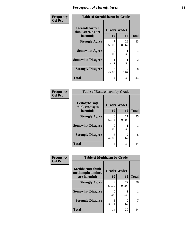| Frequency      | <b>Table of Steroidsharm by Grade</b>            |                    |                        |                |
|----------------|--------------------------------------------------|--------------------|------------------------|----------------|
| <b>Col Pct</b> | Steroidsharm(I<br>think steroids are<br>harmful) | Grade(Grade)<br>10 | 12                     | <b>Total</b>   |
|                | <b>Strongly Agree</b>                            | 50.00              | 26<br>86.67            | 33             |
|                | <b>Somewhat Agree</b>                            | 0<br>0.00          | 3.33                   |                |
|                | <b>Somewhat Disagree</b>                         | 7.14               | 3.33                   | $\mathfrak{D}$ |
|                | <b>Strongly Disagree</b>                         | 6<br>42.86         | $\mathfrak{D}$<br>6.67 | 8              |
|                | <b>Total</b>                                     | 14                 | 30                     | 44             |

| <b>Table of Ecstasyharm by Grade</b> |              |             |              |  |  |
|--------------------------------------|--------------|-------------|--------------|--|--|
| Ecstasyharm(I<br>think ecstasy is    | Grade(Grade) |             |              |  |  |
| harmful)                             | 10           | 12          | <b>Total</b> |  |  |
| <b>Strongly Agree</b>                | 8<br>57.14   | 27<br>90.00 | 35           |  |  |
| <b>Somewhat Disagree</b>             | 0<br>0.00    | 3.33        |              |  |  |
| <b>Strongly Disagree</b>             | 6<br>42.86   | 2<br>6.67   | 8            |  |  |
| <b>Total</b>                         | 14           | 30          |              |  |  |

| Frequency      | <b>Table of Methharm by Grade</b>            |              |                        |              |
|----------------|----------------------------------------------|--------------|------------------------|--------------|
| <b>Col Pct</b> | <b>Methharm</b> (I think<br>methamphetamines | Grade(Grade) |                        |              |
|                | are harmful)                                 | 10           | 12                     | <b>Total</b> |
|                | <b>Strongly Agree</b>                        | 9<br>64.29   | 27<br>90.00            | 36           |
|                | <b>Somewhat Disagree</b>                     | 0<br>0.00    | 3.33                   |              |
|                | <b>Strongly Disagree</b>                     | 5<br>35.71   | $\mathfrak{D}$<br>6.67 |              |
|                | <b>Total</b>                                 | 14           | 30                     | 44           |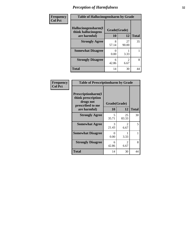| Frequency      | <b>Table of Hallucinogensharm by Grade</b> |              |                       |              |
|----------------|--------------------------------------------|--------------|-----------------------|--------------|
| <b>Col Pct</b> | Hallucinogensharm(I<br>think hallucinogens | Grade(Grade) |                       |              |
|                | are harmful)                               | 10           | 12                    | <b>Total</b> |
|                | <b>Strongly Agree</b>                      | 8<br>57.14   | 27<br>90.00           | 35           |
|                | <b>Somewhat Disagree</b>                   | 0.00         | 3.33                  |              |
|                | <b>Strongly Disagree</b>                   | 6<br>42.86   | $\mathcal{L}$<br>6.67 | 8            |
|                | <b>Total</b>                               | 14           | 30                    | 44           |

| Frequency      | <b>Table of Prescriptionharm by Grade</b>                                 |              |             |              |
|----------------|---------------------------------------------------------------------------|--------------|-------------|--------------|
| <b>Col Pct</b> | Prescriptionharm(I<br>think prescription<br>drugs not<br>prescribed to me | Grade(Grade) |             |              |
|                | are harmful)                                                              | 10           | 12          | <b>Total</b> |
|                | <b>Strongly Agree</b>                                                     | 5<br>35.71   | 25<br>83.33 | 30           |
|                | <b>Somewhat Agree</b>                                                     | 3<br>21.43   | 2<br>6.67   | 5            |
|                | <b>Somewhat Disagree</b>                                                  | 0<br>0.00    | 3.33        |              |
|                | <b>Strongly Disagree</b>                                                  | 6<br>42.86   | 2<br>6.67   | 8            |
|                | Total                                                                     | 14           | 30          | 44           |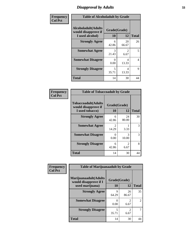### *Disapproval by Adults* **33**

| Frequency      | <b>Table of Alcoholadult by Grade</b>                                 |                    |                        |              |
|----------------|-----------------------------------------------------------------------|--------------------|------------------------|--------------|
| <b>Col Pct</b> | <b>Alcoholadult</b> (Adults<br>would disapprove if<br>I used alcohol) | Grade(Grade)<br>10 | 12                     | <b>Total</b> |
|                | <b>Strongly Agree</b>                                                 | 6<br>42.86         | 20<br>66.67            | 26           |
|                | <b>Somewhat Agree</b>                                                 | 3<br>21.43         | $\mathfrak{D}$<br>6.67 | 5            |
|                | <b>Somewhat Disagree</b>                                              | 0<br>0.00          | 4<br>13.33             | 4            |
|                | <b>Strongly Disagree</b>                                              | 5<br>35.71         | 4<br>13.33             | 9            |
|                | <b>Total</b>                                                          | 14                 | 30                     | 44           |

| <b>Table of Tobaccoadult by Grade</b>                                 |                                      |                       |    |  |  |
|-----------------------------------------------------------------------|--------------------------------------|-----------------------|----|--|--|
| <b>Tobaccoadult</b> (Adults<br>would disapprove if<br>I used tobacco) | Grade(Grade)<br>10                   | <b>Total</b>          |    |  |  |
| <b>Strongly Agree</b>                                                 | 6<br>42.86                           | 24<br>80.00           | 30 |  |  |
| <b>Somewhat Agree</b>                                                 | $\mathcal{D}_{\mathcal{L}}$<br>14.29 | 3.33                  | 3  |  |  |
| <b>Somewhat Disagree</b>                                              | 0<br>0.00                            | 3<br>10.00            | 3  |  |  |
| <b>Strongly Disagree</b>                                              | 6<br>42.86                           | $\mathcal{L}$<br>6.67 | 8  |  |  |
| <b>Total</b>                                                          | 14                                   | 30                    | 44 |  |  |

| Frequency      | <b>Table of Marijuanaadult by Grade</b>                           |                    |                        |              |
|----------------|-------------------------------------------------------------------|--------------------|------------------------|--------------|
| <b>Col Pct</b> | Marijuanaadult(Adults<br>would disapprove if I<br>used marijuana) | Grade(Grade)<br>10 | 12                     | <b>Total</b> |
|                | <b>Strongly Agree</b>                                             | 9<br>64.29         | 26<br>86.67            | 35           |
|                | <b>Somewhat Disagree</b>                                          | 0.00               | $\mathfrak{D}$<br>6.67 | 2            |
|                | <b>Strongly Disagree</b>                                          | 5<br>35.71         | $\mathfrak{D}$<br>6.67 |              |
|                | Total                                                             | 14                 | 30                     |              |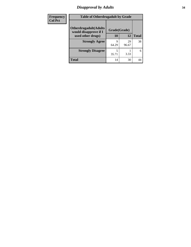### *Disapproval by Adults* **34**

| Frequency      | <b>Table of Otherdrugadult by Grade</b>                |              |             |              |
|----------------|--------------------------------------------------------|--------------|-------------|--------------|
| <b>Col Pct</b> | <b>Otherdrugadult</b> (Adults<br>would disapprove if I | Grade(Grade) |             |              |
|                | used other drugs)                                      | 10           | 12          | <b>Total</b> |
|                | <b>Strongly Agree</b>                                  | Q<br>64.29   | 29<br>96.67 | 38           |
|                | <b>Strongly Disagree</b>                               | 35.71        | 3.33        | 6            |
|                | <b>Total</b>                                           | 14           | 30          | 44           |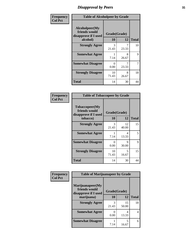### *Disapproval by Peers* **35**

| Frequency      | <b>Table of Alcoholpeer by Grade</b>                    |              |            |              |
|----------------|---------------------------------------------------------|--------------|------------|--------------|
| <b>Col Pct</b> | Alcoholpeer(My<br>friends would<br>disapprove if I used | Grade(Grade) |            |              |
|                | alcohol)                                                | 10           | 12         | <b>Total</b> |
|                | <b>Strongly Agree</b>                                   | 3<br>21.43   | 23.33      | 10           |
|                | <b>Somewhat Agree</b>                                   | 7.14         | 8<br>26.67 | 9            |
|                | <b>Somewhat Disagree</b>                                | 0<br>0.00    | 23.33      | 7            |
|                | <b>Strongly Disagree</b>                                | 10<br>71.43  | 8<br>26.67 | 18           |
|                | Total                                                   | 14           | 30         | 44           |

| Frequency      | <b>Table of Tobaccopeer by Grade</b>                                |                    |            |              |
|----------------|---------------------------------------------------------------------|--------------------|------------|--------------|
| <b>Col Pct</b> | Tobaccopeer(My<br>friends would<br>disapprove if I used<br>tobacco) | Grade(Grade)<br>10 | 12         | <b>Total</b> |
|                | <b>Strongly Agree</b>                                               | 3                  | 12         | 15           |
|                |                                                                     | 21.43              | 40.00      |              |
|                | <b>Somewhat Agree</b>                                               | 1<br>7.14          | 4<br>13.33 | 5            |
|                | <b>Somewhat Disagree</b>                                            | 0<br>0.00          | 9<br>30.00 | 9            |
|                | <b>Strongly Disagree</b>                                            | 10<br>71.43        | 5<br>16.67 | 15           |
|                | Total                                                               | 14                 | 30         | 44           |

| Frequency      | <b>Table of Marijuanapeer by Grade</b>                    |              |             |              |
|----------------|-----------------------------------------------------------|--------------|-------------|--------------|
| <b>Col Pct</b> | Marijuanapeer(My<br>friends would<br>disapprove if I used | Grade(Grade) |             |              |
|                | marijuana)                                                | 10           | 12          | <b>Total</b> |
|                | <b>Strongly Agree</b>                                     | 3<br>21.43   | 15<br>50.00 | 18           |
|                | <b>Somewhat Agree</b>                                     | 0<br>0.00    | 4<br>13.33  | 4            |
|                | <b>Somewhat Disagree</b>                                  | 7.14         | 5<br>16.67  | 6            |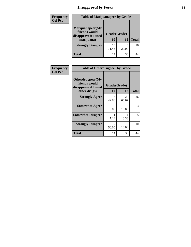# *Disapproval by Peers* **36**

| Frequency<br><b>Col Pct</b> | <b>Table of Marijuanapeer by Grade</b>                                  |                    |            |              |
|-----------------------------|-------------------------------------------------------------------------|--------------------|------------|--------------|
|                             | Marijuanapeer(My<br>friends would<br>disapprove if I used<br>marijuana) | Grade(Grade)<br>10 | 12         | <b>Total</b> |
|                             | <b>Strongly Disagree</b>                                                | 10<br>71.43        | 6<br>20.00 | 16           |
|                             | <b>Total</b>                                                            | 14                 | 30         | 44           |

| Frequency      | <b>Table of Otherdrugpeer by Grade</b>                                    |                    |             |              |
|----------------|---------------------------------------------------------------------------|--------------------|-------------|--------------|
| <b>Col Pct</b> | Otherdrugpeer(My<br>friends would<br>disapprove if I used<br>other drugs) | Grade(Grade)<br>10 | 12          | <b>Total</b> |
|                | <b>Strongly Agree</b>                                                     | 6<br>42.86         | 20<br>66.67 | 26           |
|                | <b>Somewhat Agree</b>                                                     | 0<br>0.00          | 3<br>10.00  | 3            |
|                | <b>Somewhat Disagree</b>                                                  | 7.14               | 4<br>13.33  | 5            |
|                | <b>Strongly Disagree</b>                                                  | 50.00              | 3<br>10.00  | 10           |
|                | Total                                                                     | 14                 | 30          | 44           |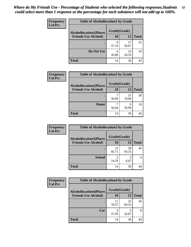| Frequency      | <b>Table of Alcohollocation1 by Grade</b> |              |             |              |  |
|----------------|-------------------------------------------|--------------|-------------|--------------|--|
| <b>Col Pct</b> | <b>Alcohollocation1(Places</b>            | Grade(Grade) |             |              |  |
|                | <b>Friends Use Alcohol)</b>               | 10           | 12          | <b>Total</b> |  |
|                |                                           | 8<br>57.14   | 17<br>56.67 | 25           |  |
|                | Do Not Use                                | 6<br>42.86   | 13<br>43.33 | 19           |  |
|                | <b>Total</b>                              | 14           | 30          | 44           |  |

| <b>Frequency</b> | <b>Table of Alcohollocation2 by Grade</b>                     |                    |             |              |
|------------------|---------------------------------------------------------------|--------------------|-------------|--------------|
| <b>Col Pct</b>   | <b>Alcohollocation2(Places</b><br><b>Friends Use Alcohol)</b> | Grade(Grade)<br>10 | 12          | <b>Total</b> |
|                  |                                                               | 50.00              | 21<br>70.00 | 28           |
|                  | Home                                                          | 50.00              | Q<br>30.00  | 16           |
|                  | <b>Total</b>                                                  | 14                 | 30          |              |

| Frequency<br><b>Col Pct</b> | <b>Table of Alcohollocation 3 by Grade</b>                    |                    |                       |              |
|-----------------------------|---------------------------------------------------------------|--------------------|-----------------------|--------------|
|                             | <b>Alcohollocation3(Places</b><br><b>Friends Use Alcohol)</b> | Grade(Grade)<br>10 | 12                    | <b>Total</b> |
|                             |                                                               | 12<br>85.71        | 28<br>93.33           | 40           |
|                             | <b>School</b>                                                 | 14.29              | $\mathcal{D}$<br>6.67 |              |
|                             | <b>Total</b>                                                  | 14                 | 30                    |              |

| <b>Frequency</b> | <b>Table of Alcohollocation4 by Grade</b> |              |             |              |
|------------------|-------------------------------------------|--------------|-------------|--------------|
| <b>Col Pct</b>   | <b>Alcohollocation4(Places</b>            | Grade(Grade) |             |              |
|                  | <b>Friends Use Alcohol)</b>               | 10           | 12          | <b>Total</b> |
|                  |                                           | 11<br>78.57  | 25<br>83.33 | 36           |
|                  | Car                                       | 3<br>21.43   | 5<br>16.67  | 8            |
|                  | <b>Total</b>                              | 14           | 30          | 44           |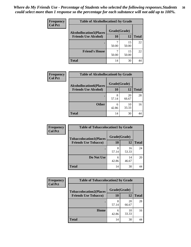| Frequency<br><b>Col Pct</b> | <b>Table of Alcohollocation5 by Grade</b> |              |             |              |  |
|-----------------------------|-------------------------------------------|--------------|-------------|--------------|--|
|                             | <b>Alcohollocation5(Places</b>            | Grade(Grade) |             |              |  |
|                             | <b>Friends Use Alcohol)</b>               | 10           | 12          | <b>Total</b> |  |
|                             |                                           | 50.00        | 15<br>50.00 | 22           |  |
|                             | <b>Friend's House</b>                     | 50.00        | 15<br>50.00 | 22           |  |
|                             | <b>Total</b>                              | 14           | 30          | 44           |  |

| <b>Frequency</b> | <b>Table of Alcohollocation6 by Grade</b>                     |                    |             |              |
|------------------|---------------------------------------------------------------|--------------------|-------------|--------------|
| <b>Col Pct</b>   | <b>Alcohollocation6(Places</b><br><b>Friends Use Alcohol)</b> | Grade(Grade)<br>10 | 12          | <b>Total</b> |
|                  |                                                               | 8<br>57.14         | 20<br>66.67 | 28           |
|                  | <b>Other</b>                                                  | 6<br>42.86         | 10<br>33.33 | 16           |
|                  | <b>Total</b>                                                  | 14                 | 30          |              |

| Frequency      | <b>Table of Tobaccolocation1 by Grade</b> |              |             |              |
|----------------|-------------------------------------------|--------------|-------------|--------------|
| <b>Col Pct</b> | <b>Tobaccolocation1(Places</b>            | Grade(Grade) |             |              |
|                | <b>Friends Use Tobacco)</b>               | 10           | <b>12</b>   | <b>Total</b> |
|                |                                           | 8<br>57.14   | 16<br>53.33 | 24           |
|                | Do Not Use                                | 6<br>42.86   | 14<br>46.67 | 20           |
|                | <b>Total</b>                              | 14           | 30          | 44           |

| Frequency      | <b>Table of Tobaccolocation2 by Grade</b> |              |             |              |  |
|----------------|-------------------------------------------|--------------|-------------|--------------|--|
| <b>Col Pct</b> | <b>Tobaccolocation2(Places</b>            | Grade(Grade) |             |              |  |
|                | <b>Friends Use Tobacco)</b>               | 10           | 12          | <b>Total</b> |  |
|                |                                           | 8<br>57.14   | 20<br>66.67 | 28           |  |
|                | Home                                      | 6<br>42.86   | 10<br>33.33 | 16           |  |
|                | <b>Total</b>                              | 14           | 30          | 44           |  |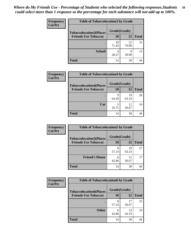| Frequency      | <b>Table of Tobaccolocation 3 by Grade</b> |              |             |              |
|----------------|--------------------------------------------|--------------|-------------|--------------|
| <b>Col Pct</b> | <b>Tobaccolocation3(Places</b>             | Grade(Grade) |             |              |
|                | <b>Friends Use Tobacco)</b>                | 10           | <b>12</b>   | <b>Total</b> |
|                |                                            | 10<br>71.43  | 21<br>70.00 | 31           |
|                | <b>School</b>                              | 4<br>28.57   | 9<br>30.00  | 13           |
|                | <b>Total</b>                               | 14           | 30          | 44           |

| <b>Frequency</b> | <b>Table of Tobaccolocation4 by Grade</b> |              |             |              |
|------------------|-------------------------------------------|--------------|-------------|--------------|
| <b>Col Pct</b>   | <b>Tobaccolocation4(Places</b>            | Grade(Grade) |             |              |
|                  | <b>Friends Use Tobacco)</b>               | 10           | 12          | <b>Total</b> |
|                  |                                           | q<br>64.29   | 19<br>63.33 | 28           |
|                  | Car                                       | 35.71        | 11<br>36.67 | 16           |
|                  | Total                                     | 14           | 30          |              |

| Frequency      | <b>Table of Tobaccolocation5 by Grade</b> |              |             |              |
|----------------|-------------------------------------------|--------------|-------------|--------------|
| <b>Col Pct</b> | <b>Tobaccolocation5(Places</b>            | Grade(Grade) |             |              |
|                | <b>Friends Use Tobacco)</b>               | 10           | 12          | <b>Total</b> |
|                |                                           | 8<br>57.14   | 19<br>63.33 | 27           |
|                | <b>Friend's House</b>                     | 6<br>42.86   | 11<br>36.67 | 17           |
|                | <b>Total</b>                              | 14           | 30          |              |

| <b>Frequency</b> | <b>Table of Tobaccolocation6 by Grade</b> |              |             |              |  |
|------------------|-------------------------------------------|--------------|-------------|--------------|--|
| <b>Col Pct</b>   | <b>Tobaccolocation6(Places</b>            | Grade(Grade) |             |              |  |
|                  | <b>Friends Use Tobacco)</b>               | 10           | 12          | <b>Total</b> |  |
|                  |                                           | 8<br>57.14   | 17<br>56.67 | 25           |  |
|                  | <b>Other</b>                              | 6<br>42.86   | 13<br>43.33 | 19           |  |
|                  | <b>Total</b>                              | 14           | 30          | 44           |  |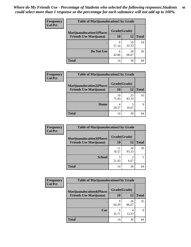| <b>Frequency</b> | <b>Table of Marijuanalocation1 by Grade</b> |            |              |              |
|------------------|---------------------------------------------|------------|--------------|--------------|
| <b>Col Pct</b>   | <b>Marijuanalocation1(Places</b>            |            | Grade(Grade) |              |
|                  | <b>Friends Use Marijuana</b> )              | 10         | 12           | <b>Total</b> |
|                  | ٠                                           | 8<br>57.14 | 10<br>33.33  | 18           |
|                  | Do Not Use                                  | 6<br>42.86 | 20<br>66.67  | 26           |
|                  | Total                                       | 14         | 30           |              |

| <b>Frequency</b> | <b>Table of Marijuanalocation2 by Grade</b>                        |                    |             |              |
|------------------|--------------------------------------------------------------------|--------------------|-------------|--------------|
| <b>Col Pct</b>   | <b>Marijuanalocation2(Places</b><br><b>Friends Use Marijuana</b> ) | Grade(Grade)<br>10 | 12          | <b>Total</b> |
|                  |                                                                    | 10<br>71.43        | 25<br>83.33 | 35           |
|                  | Home                                                               | 28.57              | 16.67       | Q            |
|                  | <b>Total</b>                                                       | 14                 | 30          |              |

| <b>Frequency</b><br><b>Col Pct</b> | <b>Table of Marijuanalocation3 by Grade</b> |              |             |              |
|------------------------------------|---------------------------------------------|--------------|-------------|--------------|
|                                    | <b>Marijuanalocation3(Places</b>            | Grade(Grade) |             |              |
|                                    | <b>Friends Use Marijuana</b> )              | 10           | 12          | <b>Total</b> |
|                                    |                                             | 11<br>78.57  | 28<br>93.33 | 39           |
|                                    | <b>School</b>                               | 21.43        | 6.67        |              |
|                                    | <b>Total</b>                                | 14           | 30          |              |

| <b>Frequency</b> | <b>Table of Marijuanalocation4 by Grade</b> |              |             |              |  |
|------------------|---------------------------------------------|--------------|-------------|--------------|--|
| <b>Col Pct</b>   | <b>Marijuanalocation4(Places</b>            | Grade(Grade) |             |              |  |
|                  | <b>Friends Use Marijuana</b> )              | <b>10</b>    | 12          | <b>Total</b> |  |
|                  |                                             | q<br>64.29   | 26<br>86.67 | 35           |  |
|                  | Car                                         | 35.71        | 13.33       | 9            |  |
|                  | <b>Total</b>                                | 14           | 30          | 44           |  |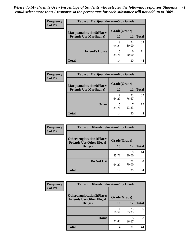| <b>Frequency</b> | <b>Table of Marijuanalocation5 by Grade</b> |              |             |              |
|------------------|---------------------------------------------|--------------|-------------|--------------|
| <b>Col Pct</b>   | <b>Marijuanalocation5(Places)</b>           | Grade(Grade) |             |              |
|                  | <b>Friends Use Marijuana</b> )              | 10           | 12          | <b>Total</b> |
|                  |                                             | q<br>64.29   | 24<br>80.00 | 33           |
|                  | <b>Friend's House</b>                       | 5<br>35.71   | 6<br>20.00  |              |
|                  | <b>Total</b>                                | 14           | 30          |              |

| <b>Frequency</b> | <b>Table of Marijuanalocation6 by Grade</b>                        |                    |             |              |
|------------------|--------------------------------------------------------------------|--------------------|-------------|--------------|
| <b>Col Pct</b>   | <b>Marijuanalocation6(Places</b><br><b>Friends Use Marijuana</b> ) | Grade(Grade)<br>10 | 12          | <b>Total</b> |
|                  |                                                                    | q<br>64.29         | 23<br>76.67 | 32           |
|                  | <b>Other</b>                                                       | 35.71              | 23.33       | 12           |
|                  | <b>Total</b>                                                       | 14                 | 30          |              |

| Frequency      | <b>Table of Otherdruglocation1 by Grade</b>                          |            |              |              |
|----------------|----------------------------------------------------------------------|------------|--------------|--------------|
| <b>Col Pct</b> | <b>Otherdruglocation1(Places</b><br><b>Friends Use Other Illegal</b> |            | Grade(Grade) |              |
|                | Drugs)                                                               | 10         | 12           | <b>Total</b> |
|                |                                                                      | 35.71      | 9<br>30.00   | 14           |
|                | Do Not Use                                                           | q<br>64.29 | 21<br>70.00  | 30           |
|                | <b>Total</b>                                                         | 14         | 30           |              |

| <b>Frequency</b> | <b>Table of Otherdruglocation2 by Grade</b>                          |              |             |              |
|------------------|----------------------------------------------------------------------|--------------|-------------|--------------|
| <b>Col Pct</b>   | <b>Otherdruglocation2(Places</b><br><b>Friends Use Other Illegal</b> | Grade(Grade) |             |              |
|                  | Drugs)                                                               | 10           | 12          | <b>Total</b> |
|                  |                                                                      | 11<br>78.57  | 25<br>83.33 | 36           |
|                  | Home                                                                 | 3<br>21.43   | 5<br>16.67  | 8            |
|                  | <b>Total</b>                                                         | 14           | 30          | 44           |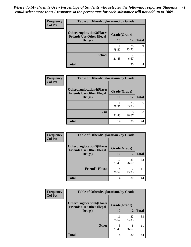| <b>Frequency</b> | <b>Table of Otherdruglocation 3 by Grade</b>                         |              |             |              |
|------------------|----------------------------------------------------------------------|--------------|-------------|--------------|
| <b>Col Pct</b>   | <b>Otherdruglocation3(Places</b><br><b>Friends Use Other Illegal</b> | Grade(Grade) |             |              |
|                  | Drugs)                                                               | 10           | 12          | <b>Total</b> |
|                  |                                                                      | 11<br>78.57  | 28<br>93.33 | 39           |
|                  | <b>School</b>                                                        | 3<br>21.43   | っ<br>6.67   |              |
|                  | <b>Total</b>                                                         | 14           | 30          |              |

| Frequency      | <b>Table of Otherdruglocation4 by Grade</b>                          |              |             |              |
|----------------|----------------------------------------------------------------------|--------------|-------------|--------------|
| <b>Col Pct</b> | <b>Otherdruglocation4(Places</b><br><b>Friends Use Other Illegal</b> | Grade(Grade) |             |              |
|                | Drugs)                                                               | 10           | 12          | <b>Total</b> |
|                |                                                                      | 11<br>78.57  | 25<br>83.33 | 36           |
|                | Car                                                                  | 21.43        | 16.67       | 8            |
|                | <b>Total</b>                                                         | 14           | 30          |              |

| Frequency      | <b>Table of Otherdruglocation5 by Grade</b>                          |              |             |              |
|----------------|----------------------------------------------------------------------|--------------|-------------|--------------|
| <b>Col Pct</b> | <b>Otherdruglocation5(Places</b><br><b>Friends Use Other Illegal</b> | Grade(Grade) |             |              |
|                | Drugs)                                                               | <b>10</b>    | 12          | <b>Total</b> |
|                |                                                                      | 10<br>71.43  | 23<br>76.67 | 33           |
|                | <b>Friend's House</b>                                                | 28.57        | 23.33       | 11           |
|                | <b>Total</b>                                                         | 14           | 30          | 44           |

| Frequency      | <b>Table of Otherdruglocation6 by Grade</b>                          |              |             |              |
|----------------|----------------------------------------------------------------------|--------------|-------------|--------------|
| <b>Col Pct</b> | <b>Otherdruglocation6(Places</b><br><b>Friends Use Other Illegal</b> | Grade(Grade) |             |              |
|                | Drugs)                                                               | <b>10</b>    | 12          | <b>Total</b> |
|                |                                                                      | 11<br>78.57  | 22<br>73.33 | 33           |
|                | <b>Other</b>                                                         | 21.43        | 8<br>26.67  | 11           |
|                | <b>Total</b>                                                         | 14           | 30          | 44           |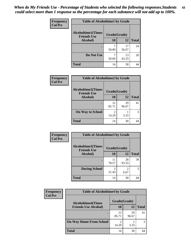| Frequency      | <b>Table of Alcoholtime1 by Grade</b>           |              |             |              |
|----------------|-------------------------------------------------|--------------|-------------|--------------|
| <b>Col Pct</b> | <b>Alcoholtime1(Times</b><br><b>Friends Use</b> | Grade(Grade) |             |              |
|                | Alcohol)                                        | 10           | <b>12</b>   | <b>Total</b> |
|                |                                                 | 50.00        | 17<br>56.67 | 24           |
|                | Do Not Use                                      | 50.00        | 13<br>43.33 | 20           |
|                | <b>Total</b>                                    | 14           | 30          | 44           |

| <b>Frequency</b> | <b>Table of Alcoholtime2 by Grade</b>           |              |             |              |
|------------------|-------------------------------------------------|--------------|-------------|--------------|
| <b>Col Pct</b>   | <b>Alcoholtime2(Times</b><br><b>Friends Use</b> | Grade(Grade) |             |              |
|                  | Alcohol)                                        | <b>10</b>    | 12          | <b>Total</b> |
|                  |                                                 | 12<br>85.71  | 29<br>96.67 | 41           |
|                  | <b>On Way to School</b>                         | 2<br>14.29   | 3.33        | 3            |
|                  | <b>Total</b>                                    | 14           | 30          |              |

| Frequency<br><b>Col Pct</b> | <b>Table of Alcoholtime3 by Grade</b>                           |             |                       |              |
|-----------------------------|-----------------------------------------------------------------|-------------|-----------------------|--------------|
|                             | <b>Alcoholtime3(Times</b><br>Grade(Grade)<br><b>Friends Use</b> |             |                       |              |
|                             | Alcohol)                                                        | 10          | <b>12</b>             | <b>Total</b> |
|                             |                                                                 | 11<br>78.57 | 28<br>93.33           | 39           |
|                             | <b>During School</b>                                            | 3<br>21.43  | $\mathcal{D}$<br>6.67 | 5            |
|                             | <b>Total</b>                                                    | 14          | 30                    | 44           |

| <b>Frequency</b> | <b>Table of Alcoholtime4 by Grade</b> |              |             |              |
|------------------|---------------------------------------|--------------|-------------|--------------|
| <b>Col Pct</b>   | <b>Alcoholtime4(Times</b>             | Grade(Grade) |             |              |
|                  | <b>Friends Use Alcohol)</b>           | 10           | 12          | <b>Total</b> |
|                  | ٠                                     | 12<br>85.71  | 29<br>96.67 | 41           |
|                  | <b>On Way Home From School</b>        | 2<br>14.29   | 3.33        | 3            |
|                  | <b>Total</b>                          | 14           | 30          |              |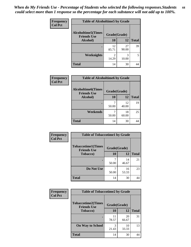*When do My Friends Use - Percentage of Students who selected the following responses.Students could select more than 1 response so the percentage for each substance will not add up to 100%.* **44**

| Frequency      | <b>Table of Alcoholtime5 by Grade</b>           |              |             |              |
|----------------|-------------------------------------------------|--------------|-------------|--------------|
| <b>Col Pct</b> | <b>Alcoholtime5(Times</b><br><b>Friends Use</b> | Grade(Grade) |             |              |
|                | Alcohol)                                        | 10           | <b>12</b>   | <b>Total</b> |
|                |                                                 | 12<br>85.71  | 27<br>90.00 | 39           |
|                | <b>Weeknights</b>                               | 2<br>14.29   | 3<br>10.00  | 5            |
|                | <b>Total</b>                                    | 14           | 30          | 44           |

| Frequency      | <b>Table of Alcoholtime6 by Grade</b>           |              |             |              |
|----------------|-------------------------------------------------|--------------|-------------|--------------|
| <b>Col Pct</b> | <b>Alcoholtime6(Times</b><br><b>Friends Use</b> | Grade(Grade) |             |              |
|                | Alcohol)                                        | 10           | 12          | <b>Total</b> |
|                | ٠                                               | 50.00        | 12<br>40.00 | 19           |
|                | Weekends                                        | 50.00        | 18<br>60.00 | 25           |
|                | <b>Total</b>                                    | 14           | 30          | 44           |

| Frequency<br><b>Col Pct</b> | <b>Table of Tobaccotime1 by Grade</b>           |              |             |              |
|-----------------------------|-------------------------------------------------|--------------|-------------|--------------|
|                             | <b>Tobaccotime1(Times</b><br><b>Friends Use</b> | Grade(Grade) |             |              |
|                             | <b>Tobacco</b> )                                | 10           | 12          | <b>Total</b> |
|                             |                                                 | 50.00        | 14<br>46.67 | 21           |
|                             | Do Not Use                                      | 50.00        | 16<br>53.33 | 23           |
|                             | <b>Total</b>                                    | 14           | 30          | 44           |

| <b>Frequency</b> | <b>Table of Tobaccotime2 by Grade</b>           |              |             |              |
|------------------|-------------------------------------------------|--------------|-------------|--------------|
| <b>Col Pct</b>   | <b>Tobaccotime2(Times</b><br><b>Friends Use</b> | Grade(Grade) |             |              |
|                  | <b>Tobacco</b> )                                | 10           | 12          | <b>Total</b> |
|                  |                                                 | 11<br>78.57  | 20<br>66.67 | 31           |
|                  | <b>On Way to School</b>                         | 3<br>21.43   | 10<br>33.33 | 13           |
|                  | <b>Total</b>                                    | 14           | 30          | 44           |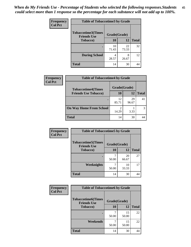*When do My Friends Use - Percentage of Students who selected the following responses.Students could select more than 1 response so the percentage for each substance will not add up to 100%.* **45**

| <b>Frequency</b> | <b>Table of Tobaccotime3 by Grade</b>           |              |             |              |
|------------------|-------------------------------------------------|--------------|-------------|--------------|
| <b>Col Pct</b>   | <b>Tobaccotime3(Times</b><br><b>Friends Use</b> | Grade(Grade) |             |              |
|                  | Tobacco)                                        | 10           | 12          | <b>Total</b> |
|                  |                                                 | 10<br>71.43  | 22<br>73.33 | 32           |
|                  | <b>During School</b>                            | 28.57        | 8<br>26.67  | 12           |
|                  | <b>Total</b>                                    | 14           | 30          | 44           |

| Frequency<br><b>Col Pct</b> | <b>Table of Tobaccotime4 by Grade</b> |              |             |              |
|-----------------------------|---------------------------------------|--------------|-------------|--------------|
|                             | <b>Tobaccotime4(Times</b>             | Grade(Grade) |             |              |
|                             | <b>Friends Use Tobacco)</b>           | 10           | 12          | <b>Total</b> |
|                             |                                       | 12<br>85.71  | 29<br>96.67 | 41           |
|                             | <b>On Way Home From School</b>        | ∍<br>14.29   | 3.33        |              |
|                             | Total                                 | 14           | 30          |              |

| Frequency      | <b>Table of Tobaccotime5 by Grade</b>            |              |             |              |
|----------------|--------------------------------------------------|--------------|-------------|--------------|
| <b>Col Pct</b> | <b>Tobaccotime5</b> (Times<br><b>Friends Use</b> | Grade(Grade) |             |              |
|                | <b>Tobacco</b> )                                 | 10           | 12          | <b>Total</b> |
|                |                                                  | 50.00        | 20<br>66.67 | 27           |
|                | Weeknights                                       | 50.00        | 10<br>33.33 | 17           |
|                | <b>Total</b>                                     | 14           | 30          | 44           |

| Frequency      | <b>Table of Tobaccotime6 by Grade</b>           |              |             |              |
|----------------|-------------------------------------------------|--------------|-------------|--------------|
| <b>Col Pct</b> | <b>Tobaccotime6(Times</b><br><b>Friends Use</b> | Grade(Grade) |             |              |
|                | <b>Tobacco</b> )                                | 10           | 12          | <b>Total</b> |
|                |                                                 | 50.00        | 15<br>50.00 | 22           |
|                | Weekends                                        | 50.00        | 15<br>50.00 | 22           |
|                | <b>Total</b>                                    | 14           | 30          | 44           |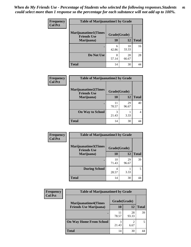| Frequency      | <b>Table of Marijuanatime1 by Grade</b>           |              |             |              |
|----------------|---------------------------------------------------|--------------|-------------|--------------|
| <b>Col Pct</b> | <b>Marijuanatime1(Times</b><br><b>Friends Use</b> | Grade(Grade) |             |              |
|                | Marijuana)                                        | 10           | 12          | <b>Total</b> |
|                |                                                   | 6<br>42.86   | 10<br>33.33 | 16           |
|                | Do Not Use                                        | 8<br>57.14   | 20<br>66.67 | 28           |
|                | <b>Total</b>                                      | 14           | 30          | 44           |

| <b>Frequency</b> | <b>Table of Marijuanatime2 by Grade</b>           |              |             |              |
|------------------|---------------------------------------------------|--------------|-------------|--------------|
| <b>Col Pct</b>   | <b>Marijuanatime2(Times</b><br><b>Friends Use</b> | Grade(Grade) |             |              |
|                  | Marijuana)                                        | 10           | 12          | <b>Total</b> |
|                  |                                                   | 11<br>78.57  | 29<br>96.67 | 40           |
|                  | <b>On Way to School</b>                           | 3<br>21.43   | 3.33        | 4            |
|                  | <b>Total</b>                                      | 14           | 30          | 44           |

| Frequency      | <b>Table of Marijuanatime3 by Grade</b>    |              |             |              |
|----------------|--------------------------------------------|--------------|-------------|--------------|
| <b>Col Pct</b> | Marijuanatime3(Times<br><b>Friends Use</b> | Grade(Grade) |             |              |
|                | Marijuana)                                 | 10           | 12          | <b>Total</b> |
|                |                                            | 10<br>71.43  | 29<br>96.67 | 39           |
|                | <b>During School</b>                       | 4<br>28.57   | 3.33        | 5            |
|                | <b>Total</b>                               | 14           | 30          | 44           |

| <b>Frequency</b> | <b>Table of Marijuanatime4 by Grade</b> |              |             |              |
|------------------|-----------------------------------------|--------------|-------------|--------------|
| <b>Col Pct</b>   | <b>Marijuanatime4(Times</b>             | Grade(Grade) |             |              |
|                  | <b>Friends Use Marijuana</b> )          | 10           | 12          | <b>Total</b> |
|                  |                                         | 11<br>78.57  | 28<br>93.33 | 39           |
|                  | <b>On Way Home From School</b>          | 3<br>21.43   | 6.67        |              |
|                  | <b>Total</b>                            | 14           | 30          |              |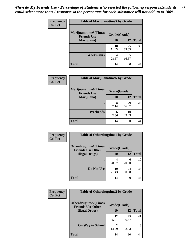| Frequency      | <b>Table of Marijuanatime5 by Grade</b>            |              |             |              |
|----------------|----------------------------------------------------|--------------|-------------|--------------|
| <b>Col Pct</b> | <b>Marijuanatime5</b> (Times<br><b>Friends Use</b> | Grade(Grade) |             |              |
|                | Marijuana)                                         | 10           | 12          | <b>Total</b> |
|                |                                                    | 10<br>71.43  | 25<br>83.33 | 35           |
|                | Weeknights                                         | 4<br>28.57   | 5<br>16.67  | Q            |
|                | <b>Total</b>                                       | 14           | 30          | 44           |

| Frequency      | <b>Table of Marijuanatime6 by Grade</b>           |              |             |              |
|----------------|---------------------------------------------------|--------------|-------------|--------------|
| <b>Col Pct</b> | <b>Marijuanatime6(Times</b><br><b>Friends Use</b> | Grade(Grade) |             |              |
|                | Marijuana)                                        | 10           | 12          | <b>Total</b> |
|                |                                                   | 8<br>57.14   | 20<br>66.67 | 28           |
|                | Weekends                                          | 6<br>42.86   | 10<br>33.33 | 16           |
|                | <b>Total</b>                                      | 14           | 30          | 44           |

| Frequency      | <b>Table of Otherdrugtime1 by Grade</b>                 |              |             |              |
|----------------|---------------------------------------------------------|--------------|-------------|--------------|
| <b>Col Pct</b> | <b>Otherdrugtime1(Times</b><br><b>Friends Use Other</b> | Grade(Grade) |             |              |
|                | <b>Illegal Drugs</b> )                                  | 10           | 12          | <b>Total</b> |
|                |                                                         | 4<br>28.57   | 6<br>20.00  | 10           |
|                | Do Not Use                                              | 10<br>71.43  | 24<br>80.00 | 34           |
|                | <b>Total</b>                                            | 14           | 30          | 44           |

| Frequency      | <b>Table of Otherdrugtime2 by Grade</b>                 |              |             |              |
|----------------|---------------------------------------------------------|--------------|-------------|--------------|
| <b>Col Pct</b> | <b>Otherdrugtime2(Times</b><br><b>Friends Use Other</b> | Grade(Grade) |             |              |
|                | <b>Illegal Drugs</b> )                                  | 10           | 12          | <b>Total</b> |
|                |                                                         | 12<br>85.71  | 29<br>96.67 | 41           |
|                | <b>On Way to School</b>                                 | 14.29        | 3.33        | 3            |
|                | <b>Total</b>                                            | 14           | 30          | 44           |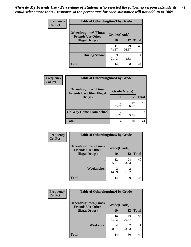| <b>Frequency</b> | <b>Table of Otherdrugtime3 by Grade</b>          |              |             |              |
|------------------|--------------------------------------------------|--------------|-------------|--------------|
| <b>Col Pct</b>   | Otherdrugtime3(Times<br><b>Friends Use Other</b> | Grade(Grade) |             |              |
|                  | <b>Illegal Drugs</b> )                           | 10           | 12          | <b>Total</b> |
|                  |                                                  | 11<br>78.57  | 29<br>96.67 | 40           |
|                  | <b>During School</b>                             | 3<br>21.43   | 3.33        | 4            |
|                  | Total                                            | 14           | 30          |              |

| Frequency      | <b>Table of Otherdrugtime4 by Grade</b>                         |                         |             |              |
|----------------|-----------------------------------------------------------------|-------------------------|-------------|--------------|
| <b>Col Pct</b> | <b>Otherdrugtime4(Times</b><br><b>Friends Use Other Illegal</b> | Grade(Grade)            |             |              |
|                | Drugs)                                                          | 10                      | 12          | <b>Total</b> |
|                | $\bullet$                                                       | 12<br>85.71             | 29<br>96.67 | 41           |
|                | <b>On Way Home From School</b>                                  | $\mathfrak{D}$<br>14.29 | 3.33        | 3            |
|                | <b>Total</b>                                                    | 14                      | 30          | 44           |

| <b>Frequency</b> | <b>Table of Otherdrugtime5 by Grade</b>                  |              |                        |              |
|------------------|----------------------------------------------------------|--------------|------------------------|--------------|
| <b>Col Pct</b>   | <b>Otherdrugtime5</b> (Times<br><b>Friends Use Other</b> | Grade(Grade) |                        |              |
|                  | <b>Illegal Drugs</b> )                                   | 10           | 12                     | <b>Total</b> |
|                  |                                                          | 12<br>85.71  | 28<br>93.33            | 40           |
|                  | Weeknights                                               | 2<br>14.29   | $\overline{c}$<br>6.67 | 4            |
|                  | <b>Total</b>                                             | 14           | 30                     | 44           |

| <b>Frequency</b> | <b>Table of Otherdrugtime6 by Grade</b>                 |              |             |              |
|------------------|---------------------------------------------------------|--------------|-------------|--------------|
| <b>Col Pct</b>   | <b>Otherdrugtime6(Times</b><br><b>Friends Use Other</b> | Grade(Grade) |             |              |
|                  | <b>Illegal Drugs</b> )                                  | 10           | 12          | <b>Total</b> |
|                  |                                                         | 10<br>71.43  | 23<br>76.67 | 33           |
|                  | Weekends                                                | 4<br>28.57   | ℸ<br>23.33  | 11           |
|                  | <b>Total</b>                                            | 14           | 30          | 44           |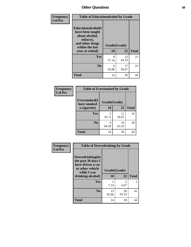| Frequency      | <b>Table of Educationalcohol by Grade</b>                                                                  |              |             |              |  |  |
|----------------|------------------------------------------------------------------------------------------------------------|--------------|-------------|--------------|--|--|
| <b>Col Pct</b> | Educationalcohol(I<br>have been taught<br>about alcohol,<br>tobacco,<br>and other drugs<br>within the last | Grade(Grade) |             |              |  |  |
|                | year at school)                                                                                            | 10           | 12          | <b>Total</b> |  |  |
|                | Yes                                                                                                        | 8<br>57.14   | 13<br>43.33 | 21           |  |  |
|                | N <sub>0</sub>                                                                                             | 6<br>42.86   | 17<br>56.67 | 23           |  |  |
|                | <b>Total</b>                                                                                               | 14           | 30          | 44           |  |  |

| Frequency      | <b>Table of Eversmoked by Grade</b> |            |             |              |  |  |
|----------------|-------------------------------------|------------|-------------|--------------|--|--|
| <b>Col Pct</b> | Eversmoked(I<br>have smoked         |            |             |              |  |  |
|                | a cigarette)                        | 10         | 12          | <b>Total</b> |  |  |
|                | Yes                                 | 5<br>35.71 | 11<br>36.67 | 16           |  |  |
|                | N <sub>0</sub>                      | 9<br>64.29 | 19<br>63.33 | 28           |  |  |
|                | <b>Total</b>                        | 14         | 30          | 44           |  |  |

| Frequency      | <b>Table of Drovedrinking by Grade</b>                                                                              |                    |                        |              |  |  |
|----------------|---------------------------------------------------------------------------------------------------------------------|--------------------|------------------------|--------------|--|--|
| <b>Col Pct</b> | Drovedrinking(In<br>the past 30 days I<br>have driven a car<br>or other vehicle<br>while I was<br>drinking alcohol) | Grade(Grade)<br>10 | 12                     | <b>Total</b> |  |  |
|                | <b>Yes</b>                                                                                                          | 7.14               | $\mathfrak{D}$<br>6.67 | 3            |  |  |
|                | N <sub>0</sub>                                                                                                      | 13<br>92.86        | 28<br>93.33            | 41           |  |  |
|                | <b>Total</b>                                                                                                        | 14                 | 30                     | 44           |  |  |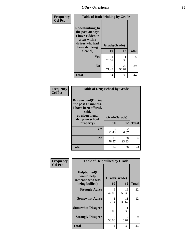| Frequency<br><b>Col Pct</b> | <b>Table of Rodedrinking by Grade</b>                                                                      |              |             |              |  |  |
|-----------------------------|------------------------------------------------------------------------------------------------------------|--------------|-------------|--------------|--|--|
|                             | Rodedrinking(In<br>the past 30 days<br>I have ridden in<br>a car with a<br>driver who had<br>been drinking | Grade(Grade) |             |              |  |  |
|                             | alcohol)                                                                                                   | 10           | 12          | <b>Total</b> |  |  |
|                             | <b>Yes</b>                                                                                                 | 4<br>28.57   | 3.33        | 5            |  |  |
|                             | N <sub>0</sub>                                                                                             | 10<br>71.43  | 29<br>96.67 | 39           |  |  |
|                             | <b>Total</b>                                                                                               | 14           | 30          | 44           |  |  |

#### **Frequency Col Pct**

| <b>Table of Drugsschool by Grade</b>                                                                              |              |             |              |  |  |
|-------------------------------------------------------------------------------------------------------------------|--------------|-------------|--------------|--|--|
| Drugsschool(During<br>the past 12 months,<br>I have been offered,<br>sold,<br>or given illegal<br>drugs on school | Grade(Grade) |             |              |  |  |
| property)                                                                                                         | 10           | 12          | <b>Total</b> |  |  |
| Yes                                                                                                               | 3<br>21.43   | 2<br>6.67   | 5            |  |  |
| N <sub>0</sub>                                                                                                    | 11<br>78.57  | 28<br>93.33 | 39           |  |  |
| <b>Total</b>                                                                                                      | 14           | 30          |              |  |  |

| Frequency      | <b>Table of Helpbullied by Grade</b>            |              |             |              |  |  |
|----------------|-------------------------------------------------|--------------|-------------|--------------|--|--|
| <b>Col Pct</b> | Helpbullied(I)<br>would help<br>someone who was | Grade(Grade) | 12          | <b>Total</b> |  |  |
|                | being bullied)                                  | <b>10</b>    |             |              |  |  |
|                | <b>Strongly Agree</b>                           | 6<br>42.86   | 16<br>53.33 | 22           |  |  |
|                | <b>Somewhat Agree</b>                           | 7.14         | 11<br>36.67 | 12           |  |  |
|                | <b>Somewhat Disagree</b>                        | 0<br>0.00    | 3.33        |              |  |  |
|                | <b>Strongly Disagree</b>                        | 50.00        | 2<br>6.67   | 9            |  |  |
|                | <b>Total</b>                                    | 14           | 30          | 44           |  |  |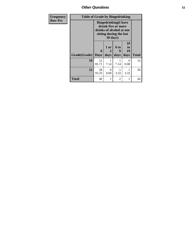*Other Questions* **51**

| <b>Frequency</b> | <b>Table of Grade by Bingedrinking</b> |                                                                                                                       |           |           |                |              |
|------------------|----------------------------------------|-----------------------------------------------------------------------------------------------------------------------|-----------|-----------|----------------|--------------|
| <b>Row Pct</b>   |                                        | <b>Bingedrinking</b> (I have<br>drunk five or more<br>drinks of alcohol at one<br>sitting during the last<br>30 days) |           |           |                |              |
|                  |                                        | 0                                                                                                                     | 1 or<br>2 | 6 to<br>9 | 10<br>to<br>19 |              |
|                  | Grade(Grade)                           | <b>Days</b>                                                                                                           | days      | days      | days           | <b>Total</b> |
|                  | 10                                     | 12<br>85.71                                                                                                           | 7.14      | 7.14      | 0<br>0.00      | 14           |
|                  | 12                                     | 28<br>93.33                                                                                                           | 0<br>0.00 | 3.33      | 3.33           | 30           |
|                  | <b>Total</b>                           | 40                                                                                                                    |           | 2         |                | 44           |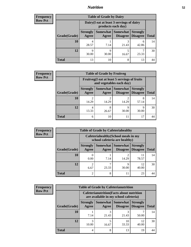## *Nutrition* **52**

| <b>Frequency</b> |  |
|------------------|--|
| Row Pct          |  |

| <b>Table of Grade by Dairy</b> |                          |                                                                                              |            |            |    |  |  |  |
|--------------------------------|--------------------------|----------------------------------------------------------------------------------------------|------------|------------|----|--|--|--|
|                                |                          | Dairy (I eat at least 3 servings of dairy<br>products each day)                              |            |            |    |  |  |  |
| Grade(Grade)                   | <b>Strongly</b><br>Agree | Somewhat Somewhat<br><b>Strongly</b><br><b>Disagree</b><br>Disagree<br><b>Total</b><br>Agree |            |            |    |  |  |  |
| 10                             | 4<br>28.57               | 7.14                                                                                         | 21.43      | 6<br>42.86 | 14 |  |  |  |
| 12                             | 9<br>30.00               | Q<br>30.00                                                                                   | 5<br>16.67 | 23.33      | 30 |  |  |  |
| <b>Total</b>                   | 13                       | 10                                                                                           | 8          | 13         |    |  |  |  |

| <b>Frequency</b> |
|------------------|
| <b>Row Pct</b>   |

| $C\bar{V}$ | <b>Table of Grade by Fruitveg</b> |                                                                          |                                                                                      |            |            |    |  |  |
|------------|-----------------------------------|--------------------------------------------------------------------------|--------------------------------------------------------------------------------------|------------|------------|----|--|--|
|            |                                   | Fruitveg(I eat at least 5 servings of fruits<br>and vegetables each day) |                                                                                      |            |            |    |  |  |
|            | Grade(Grade)                      | <b>Strongly</b><br>Agree                                                 | Somewhat Somewhat<br><b>Strongly</b><br>Disagree   Disagree<br><b>Total</b><br>Agree |            |            |    |  |  |
|            | 10                                | $\overline{2}$<br>14.29                                                  | 14.29                                                                                | 14.29      | 8<br>57.14 | 14 |  |  |
|            | 12                                | 4<br>13.33                                                               | 8<br>26.67                                                                           | q<br>30.00 | 9<br>30.00 | 30 |  |  |
|            | <b>Total</b>                      | 6                                                                        | 10                                                                                   | 11         | 17         | 44 |  |  |

| <b>Frequency</b> | <b>Table of Grade by Cafeteriahealthy</b> |                          |            |                                                                       |                                    |              |
|------------------|-------------------------------------------|--------------------------|------------|-----------------------------------------------------------------------|------------------------------------|--------------|
| <b>Row Pct</b>   |                                           |                          |            | Cafeteriahealthy (School meals in my<br>school cafeteria are healthy) |                                    |              |
|                  | Grade(Grade)                              | <b>Strongly</b><br>Agree | Agree      | Somewhat Somewhat<br><b>Disagree</b>                                  | <b>Strongly</b><br><b>Disagree</b> | <b>Total</b> |
|                  | <b>10</b>                                 | 0.00                     | 7.14       | 14.29                                                                 | 11<br>78.57                        | 14           |
|                  | 12                                        | ◠<br>6.67                | ┑<br>23.33 | Q<br>30.00                                                            | 12<br>40.00                        | 30           |
|                  | Total                                     | ◠                        | 8          | 11                                                                    | 23                                 |              |

| <b>Frequency</b> | <b>Table of Grade by Cafeterianutrition</b> |                                                                                           |            |                                   |                                    |              |  |  |
|------------------|---------------------------------------------|-------------------------------------------------------------------------------------------|------------|-----------------------------------|------------------------------------|--------------|--|--|
| <b>Row Pct</b>   |                                             | <b>Cafeterianutrition</b> (Facts about nutrition<br>are available in my school cafeteria) |            |                                   |                                    |              |  |  |
|                  | Grade(Grade)                                | <b>Strongly</b><br>Agree                                                                  | Agree      | Somewhat   Somewhat  <br>Disagree | <b>Strongly</b><br><b>Disagree</b> | <b>Total</b> |  |  |
|                  | 10                                          | 7.14                                                                                      | 3<br>21.43 | 21.43                             | 50.00                              | 14           |  |  |
|                  | 12                                          | 3<br>10.00                                                                                | 5<br>16.67 | 10<br>33.33                       | 12<br>40.00                        | 30           |  |  |
|                  | <b>Total</b>                                | 4                                                                                         | 8          | 13                                | 19                                 | 44           |  |  |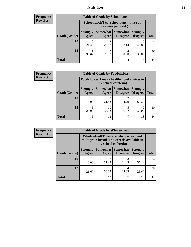## *Nutrition* **53**

| Frequency      |
|----------------|
| <b>Row Pct</b> |

| <b>Table of Grade by Schoollunch</b> |             |                                                                                                                                                                                                 |            |            |    |  |
|--------------------------------------|-------------|-------------------------------------------------------------------------------------------------------------------------------------------------------------------------------------------------|------------|------------|----|--|
|                                      |             | Schoollunch(I eat school lunch three or<br>more times per week)<br>Somewhat   Somewhat  <br><b>Strongly</b><br><b>Strongly</b><br><b>Disagree</b><br>Agree<br>Disagree<br><b>Total</b><br>Agree |            |            |    |  |
| Grade(Grade)                         |             |                                                                                                                                                                                                 |            |            |    |  |
| 10                                   | 21.43       | 28.57                                                                                                                                                                                           | 7.14       | 6<br>42.86 | 14 |  |
| 12                                   | 11<br>36.67 | 23.33                                                                                                                                                                                           | 3<br>10.00 | Q<br>30.00 | 30 |  |
| <b>Total</b>                         | 14          | 11                                                                                                                                                                                              | 4          | 15         |    |  |

| <b>Frequency</b> |  |
|------------------|--|
| <b>Row Pct</b>   |  |

| $\mathbf{y}$ | <b>Table of Grade by Foodchoices</b> |                          |                                                                     |                                              |                 |              |  |
|--------------|--------------------------------------|--------------------------|---------------------------------------------------------------------|----------------------------------------------|-----------------|--------------|--|
|              |                                      |                          | Foodchoices (I make healthy food choices in<br>my school cafeteria) |                                              |                 |              |  |
|              | Grade(Grade)                         | <b>Strongly</b><br>Agree | Agree                                                               | Somewhat   Somewhat  <br>Disagree   Disagree | <b>Strongly</b> | <b>Total</b> |  |
|              | 10                                   | 0.00                     | 3<br>21.43                                                          | 14.29                                        | 9<br>64.29      | 14           |  |
|              | 12                                   | 6<br>20.00               | 10<br>33.33                                                         | 16.67                                        | 9<br>30.00      | 30           |  |
|              | <b>Total</b>                         | 6                        | 13                                                                  |                                              | 18              | 44           |  |

| <b>Frequency</b> | <b>Table of Grade by Wholewheat</b> |                                                                                                             |             |                     |                                        |              |  |  |
|------------------|-------------------------------------|-------------------------------------------------------------------------------------------------------------|-------------|---------------------|----------------------------------------|--------------|--|--|
| <b>Row Pct</b>   |                                     | Wholewheat (There are whole wheat and<br>multigrain breads and cereals available in<br>my school cafeteria) |             |                     |                                        |              |  |  |
|                  | Grade(Grade)                        | <b>Strongly</b><br>Agree                                                                                    | Agree       | Somewhat   Somewhat | <b>Strongly</b><br>Disagree   Disagree | <b>Total</b> |  |  |
|                  | 10                                  | 0.00                                                                                                        | 3<br>21.43  | 21.43               | 8<br>57.14                             | 14           |  |  |
|                  | 12                                  | 8<br>26.67                                                                                                  | 10<br>33.33 | 4<br>13.33          | 8<br>26.67                             | 30           |  |  |
|                  | <b>Total</b>                        | 8                                                                                                           | 13          |                     | 16                                     | 44           |  |  |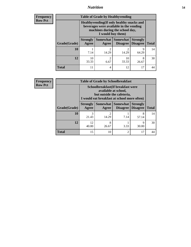## *Nutrition* **54**

**Frequency Row Pct**

| <b>Table of Grade by Healthyvending</b> |                                                                                                                                               |                          |                             |                                    |              |  |
|-----------------------------------------|-----------------------------------------------------------------------------------------------------------------------------------------------|--------------------------|-----------------------------|------------------------------------|--------------|--|
|                                         | Healthyvending (If only healthy snacks and<br>beverages were available in the vending<br>machines during the school day,<br>I would buy them) |                          |                             |                                    |              |  |
| Grade(Grade)                            | <b>Strongly</b><br>Agree                                                                                                                      | <b>Somewhat</b><br>Agree | <b>Somewhat</b><br>Disagree | <b>Strongly</b><br><b>Disagree</b> | <b>Total</b> |  |
| 10                                      | 7.14                                                                                                                                          | $\mathfrak{D}$<br>14.29  | $\mathfrak{D}$<br>14.29     | 9<br>64.29                         | 14           |  |
| 12                                      | 10<br>33.33                                                                                                                                   | $\mathfrak{D}$<br>6.67   | 10<br>33.33                 | 8<br>26.67                         | 30           |  |
| <b>Total</b>                            | 11                                                                                                                                            | 4                        | 12                          | 17                                 |              |  |

**Frequency Row Pct**

| <b>Table of Grade by Schoolbreakfast</b> |                                                                                                                                        |            |                     |                                        |              |  |
|------------------------------------------|----------------------------------------------------------------------------------------------------------------------------------------|------------|---------------------|----------------------------------------|--------------|--|
|                                          | Schoolbreakfast(If breakfast were<br>available at school,<br>but outside the cafeteria,<br>I would eat breakfast at school more often) |            |                     |                                        |              |  |
| Grade(Grade)                             | <b>Strongly</b><br>Agree                                                                                                               | Agree      | Somewhat   Somewhat | <b>Strongly</b><br>Disagree   Disagree | <b>Total</b> |  |
| 10                                       | 3<br>21.43                                                                                                                             | っ<br>14.29 | 7.14                | 8<br>57.14                             | 14           |  |
| 12                                       | 12<br>40.00                                                                                                                            | 8<br>26.67 | 3.33                | Q<br>30.00                             | 30           |  |
| <b>Total</b>                             | 15                                                                                                                                     | 10         | $\mathfrak{D}$      | 17                                     | 44           |  |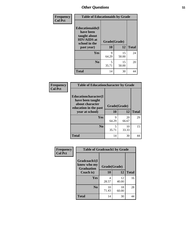| Frequency<br><b>Col Pct</b> | <b>Table of Educationaids by Grade</b>                                                                    |                                   |             |              |  |
|-----------------------------|-----------------------------------------------------------------------------------------------------------|-----------------------------------|-------------|--------------|--|
|                             | <b>Educationaids</b> (I<br>have been<br>taught about<br><b>HIV/AIDS</b> at<br>school in the<br>past year) | Grade(Grade)<br>10                | 12          | <b>Total</b> |  |
|                             | Yes                                                                                                       | 9<br>64.29                        | 15<br>50.00 | 24           |  |
|                             | N <sub>0</sub>                                                                                            | $\overline{\phantom{0}}$<br>35.71 | 15<br>50.00 | 20           |  |
|                             | <b>Total</b>                                                                                              | 14                                | 30          | 44           |  |

| Frequency      | <b>Table of Educationcharacter by Grade</b>                 |              |             |              |  |  |
|----------------|-------------------------------------------------------------|--------------|-------------|--------------|--|--|
| <b>Col Pct</b> | Educationcharacter(I<br>have been taught<br>about character | Grade(Grade) |             |              |  |  |
|                | education in the past<br>year at school)                    | 10           | 12          | <b>Total</b> |  |  |
|                | Yes                                                         | q<br>64.29   | 20<br>66.67 | 29           |  |  |
|                | N <sub>0</sub>                                              | 5<br>35.71   | 10<br>33.33 | 15           |  |  |
|                | <b>Total</b>                                                | 14           | 30          | 44           |  |  |

| <b>Frequency</b> | <b>Table of Gradcoach1 by Grade</b>              |              |             |              |  |
|------------------|--------------------------------------------------|--------------|-------------|--------------|--|
| <b>Col Pct</b>   | Gradcoach1(I<br>know who my<br><b>Graduation</b> | Grade(Grade) |             |              |  |
|                  | Coach is)                                        | 10           | 12          | <b>Total</b> |  |
|                  | Yes                                              | 4<br>28.57   | 12<br>40.00 | 16           |  |
|                  | N <sub>0</sub>                                   | 10<br>71.43  | 18<br>60.00 | 28           |  |
|                  | <b>Total</b>                                     | 14           | 30          | 44           |  |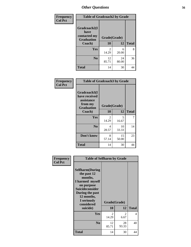| Frequency      | <b>Table of Gradcoach2 by Grade</b> |              |             |              |  |
|----------------|-------------------------------------|--------------|-------------|--------------|--|
| <b>Col Pct</b> |                                     |              |             |              |  |
|                | Gradcoach2(I<br>have                |              |             |              |  |
|                | contacted my<br><b>Graduation</b>   | Grade(Grade) |             |              |  |
|                | Coach)                              | 10           | 12          | <b>Total</b> |  |
|                | Yes                                 | 2<br>14.29   | 6<br>20.00  | 8            |  |
|                | N <sub>0</sub>                      | 12<br>85.71  | 24<br>80.00 | 36           |  |
|                | <b>Total</b>                        | 14           | 30          | 44           |  |

| Frequency<br><b>Col Pct</b> | <b>Table of Gradcoach3 by Grade</b>                                         |              |             |              |
|-----------------------------|-----------------------------------------------------------------------------|--------------|-------------|--------------|
|                             | Gradcoach3(I<br>have received<br>assistance<br>from my<br><b>Graduation</b> | Grade(Grade) |             |              |
|                             | Coach)                                                                      | 10           | 12          | <b>Total</b> |
|                             | <b>Yes</b>                                                                  | 2<br>14.29   | 5<br>16.67  | 7            |
|                             | N <sub>0</sub>                                                              | 4<br>28.57   | 10<br>33.33 | 14           |
|                             | Don't know                                                                  | 8<br>57.14   | 15<br>50.00 | 23           |
|                             | <b>Total</b>                                                                | 14           | 30          | 44           |

| Frequency<br><b>Col Pct</b> | <b>Table of Selfharm by Grade</b>                                                                                                                                                      |                    |             |              |
|-----------------------------|----------------------------------------------------------------------------------------------------------------------------------------------------------------------------------------|--------------------|-------------|--------------|
|                             | <b>Selfharm</b> (During<br>the past 12<br>months,<br>I harmed myself<br>on purpose<br><b>Suicideconsider</b><br>During the past<br>12 months,<br>I seriously<br>considered<br>suicide) | Grade(Grade)<br>10 | 12          | <b>Total</b> |
|                             | Yes                                                                                                                                                                                    | 2<br>14.29         | 2<br>6.67   | 4            |
|                             | N <sub>0</sub>                                                                                                                                                                         | 12<br>85.71        | 28<br>93.33 | 40           |
|                             | Total                                                                                                                                                                                  | 14                 | 30          | 44           |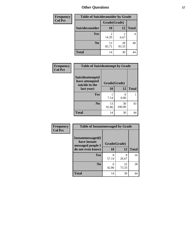| <b>Frequency</b> | <b>Table of Suicideconsider by Grade</b> |              |             |              |  |
|------------------|------------------------------------------|--------------|-------------|--------------|--|
| <b>Col Pct</b>   |                                          | Grade(Grade) |             |              |  |
|                  | Suicideconsider                          | <b>10</b>    | 12          | <b>Total</b> |  |
|                  | <b>Yes</b>                               | 14.29        | 6.67        | 4            |  |
|                  | N <sub>0</sub>                           | 12<br>85.71  | 28<br>93.33 | 40           |  |
|                  | <b>Total</b>                             | 14           | 30          | 44           |  |

| Frequency      | <b>Table of Suicideattempt by Grade</b>              |              |              |              |
|----------------|------------------------------------------------------|--------------|--------------|--------------|
| <b>Col Pct</b> | Suicideattempt(I<br>have attempted<br>suicide in the | Grade(Grade) |              |              |
|                | last year)                                           | 10           | 12           | <b>Total</b> |
|                | Yes                                                  | 7.14         | 0.00         |              |
|                | N <sub>0</sub>                                       | 13<br>92.86  | 30<br>100.00 | 43           |
|                | <b>Total</b>                                         | 14           | 30           | 44           |

| Frequency      | <b>Table of Instantmessaged by Grade</b>               |              |             |              |
|----------------|--------------------------------------------------------|--------------|-------------|--------------|
| <b>Col Pct</b> | Instantmessaged(I<br>have instant<br>messaged people I | Grade(Grade) |             |              |
|                | do not even know)                                      | 10           | 12          | <b>Total</b> |
|                | Yes                                                    | 8<br>57.14   | 8<br>26.67  | 16           |
|                | N <sub>0</sub>                                         | 6<br>42.86   | 22<br>73.33 | 28           |
|                | <b>Total</b>                                           | 14           | 30          | 44           |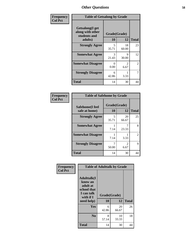| Frequency      | <b>Table of Getsalong by Grade</b>                  |            |                        |                |  |  |  |  |
|----------------|-----------------------------------------------------|------------|------------------------|----------------|--|--|--|--|
| <b>Col Pct</b> | Getsalong(I get<br>along with other<br>students and |            | Grade(Grade)           |                |  |  |  |  |
|                | adults)                                             | 10         | 12                     | <b>Total</b>   |  |  |  |  |
|                | <b>Strongly Agree</b>                               | 5<br>35.71 | 18<br>60.00            | 23             |  |  |  |  |
|                | <b>Somewhat Agree</b>                               | 3<br>21.43 | 9<br>30.00             | 12             |  |  |  |  |
|                | <b>Somewhat Disagree</b>                            | 0<br>0.00  | $\overline{2}$<br>6.67 | $\overline{2}$ |  |  |  |  |
|                | <b>Strongly Disagree</b>                            | 6<br>42.86 | 3.33                   |                |  |  |  |  |
|                | <b>Total</b>                                        | 14         | 30                     | 44             |  |  |  |  |

| Frequency      | <b>Table of Safehome by Grade</b> |                    |                        |              |  |  |
|----------------|-----------------------------------|--------------------|------------------------|--------------|--|--|
| <b>Col Pct</b> | Safehome(I feel<br>safe at home)  | Grade(Grade)<br>10 | 12                     | <b>Total</b> |  |  |
|                | <b>Strongly Agree</b>             | 5<br>35.71         | 20<br>66.67            | 25           |  |  |
|                | <b>Somewhat Agree</b>             | 7.14               | 7<br>23.33             | 8            |  |  |
|                | <b>Somewhat Disagree</b>          | 7.14               | 3.33                   | 2            |  |  |
|                | <b>Strongly Disagree</b>          | 50.00              | $\mathfrak{D}$<br>6.67 | 9            |  |  |
|                | <b>Total</b>                      | 14                 | 30                     | 44           |  |  |

| Frequency      | <b>Table of Adulttalk by Grade</b>                                                                 |                    |             |              |  |  |
|----------------|----------------------------------------------------------------------------------------------------|--------------------|-------------|--------------|--|--|
| <b>Col Pct</b> | <b>Adulttalk</b> (I<br>know an<br>adult at<br>school that<br>I can talk<br>with if I<br>need help) | Grade(Grade)<br>10 | 12          | <b>Total</b> |  |  |
|                | Yes                                                                                                | 6<br>42.86         | 20<br>66.67 | 26           |  |  |
|                | N <sub>0</sub>                                                                                     | 8<br>57.14         | 10<br>33.33 | 18           |  |  |
|                | <b>Total</b>                                                                                       | 14                 | 30          | 44           |  |  |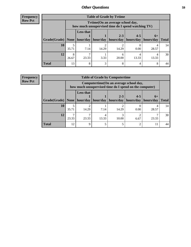| <b>Frequency</b> |
|------------------|
| <b>Row Pct</b>   |

| <b>Table of Grade by Tytime</b> |            |                                                                                        |          |                      |                      |                   |              |  |
|---------------------------------|------------|----------------------------------------------------------------------------------------|----------|----------------------|----------------------|-------------------|--------------|--|
|                                 |            | Tvtime(On an average school day,<br>how much unsupervised time do I spend watching TV) |          |                      |                      |                   |              |  |
| Grade(Grade)                    |            | <b>Less that</b><br>None   hour/day                                                    | hour/day | $2 - 3$<br>hours/day | $4 - 5$<br>hours/day | $6+$<br>hours/day | <b>Total</b> |  |
| 10                              | 5<br>35.71 | 7.14                                                                                   | 14.29    | 14.29                | 0.00                 | 28.57             | 14           |  |
| 12                              | 8<br>26.67 | 23.33                                                                                  | 3.33     | 6<br>20.00           | 13.33                | 13.33             | 30           |  |
| <b>Total</b>                    | 13         | 8                                                                                      | 3        | 8                    |                      | 8                 |              |  |

#### **Frequency Row Pct**

| <b>Table of Grade by Computertime</b> |       |                                                                                                   |                     |           |           |           |              |  |
|---------------------------------------|-------|---------------------------------------------------------------------------------------------------|---------------------|-----------|-----------|-----------|--------------|--|
|                                       |       | Computertime (On an average school day,<br>how much unsupervised time do I spend on the computer) |                     |           |           |           |              |  |
|                                       |       | <b>Less that</b>                                                                                  |                     | $2 - 3$   | $4 - 5$   | $6+$      |              |  |
| Grade(Grade)   None                   |       |                                                                                                   | hour/day   hour/day | hours/day | hours/day | hours/day | <b>Total</b> |  |
| 10                                    | 35.71 | າ<br>14.29                                                                                        | 7.14                | 14.29     | 0.00      | 28.57     | 14           |  |
| 12                                    | 23.33 | 23.33                                                                                             | 13.33               | 10.00     | 6.67      | 23.33     | 30           |  |
| <b>Total</b>                          | 12    | 9                                                                                                 |                     |           |           |           |              |  |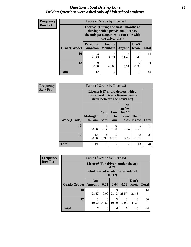### *Questions about Driving Laws* **60** *Driving Questions were asked only of high school students.*

| <b>Frequency</b> | <b>Table of Grade by License1</b> |                                                                                                                                           |             |                        |                      |              |  |  |
|------------------|-----------------------------------|-------------------------------------------------------------------------------------------------------------------------------------------|-------------|------------------------|----------------------|--------------|--|--|
| <b>Row Pct</b>   |                                   | License1(During the first 6 months of<br>driving with a provisional license,<br>the only passengers who can ride with<br>the driver are:) |             |                        |                      |              |  |  |
|                  | Grade(Grade)                      | <b>Parent or</b><br><b>Guardian   Members</b>                                                                                             | Family      | Anyone                 | Don't<br><b>Know</b> | <b>Total</b> |  |  |
|                  | 10                                | 3<br>21.43                                                                                                                                | 5<br>35.71  | 3<br>21.43             | 3<br>21.43           | 14           |  |  |
|                  | 12                                | 9<br>30.00                                                                                                                                | 12<br>40.00 | $\mathfrak{D}$<br>6.67 | 23.33                | 30           |  |  |
|                  | <b>Total</b>                      | 12                                                                                                                                        | 17          | 5                      | 10                   | 44           |  |  |

| Frequency      | <b>Table of Grade by License2</b> |                                                                                                          |                         |                         |                                                      |               |              |
|----------------|-----------------------------------|----------------------------------------------------------------------------------------------------------|-------------------------|-------------------------|------------------------------------------------------|---------------|--------------|
| <b>Row Pct</b> |                                   | License2(17 yr old drivers with a<br>provisional driver's license cannot<br>drive between the hours of:) |                         |                         |                                                      |               |              |
|                | Grade(Grade)                      | <b>Midnight</b><br>to 6am                                                                                | 1am<br>to<br>5am        | 1am<br>to<br><b>6am</b> | N <sub>0</sub><br>curfew<br>for $17$<br>year<br>olds | Don't<br>Know | <b>Total</b> |
|                | 10                                | 50.00                                                                                                    | 7.14                    | $\Omega$<br>0.00        | 7.14                                                 | 5<br>35.71    | 14           |
|                | 12                                | 12<br>40.00                                                                                              | $\overline{4}$<br>13.33 | 5<br>16.67              | 3.33                                                 | 8<br>26.67    | 30           |
|                | <b>Total</b>                      | 19                                                                                                       | 5                       | 5                       | $\mathfrak{D}$                                       | 13            | 44           |

| <b>Frequency</b> | <b>Table of Grade by License3</b> |                                                                           |                  |                   |            |               |              |
|------------------|-----------------------------------|---------------------------------------------------------------------------|------------------|-------------------|------------|---------------|--------------|
| <b>Row Pct</b>   |                                   | License3(For drivers under the age<br>what level of alcohol is considered |                  | of 21,<br>$DUI$ ? |            |               |              |
|                  | Grade(Grade)                      | Any<br><b>Amount</b>                                                      | 0.02             | 0.04              | 0.08       | Don't<br>know | <b>Total</b> |
|                  | 10                                | 4<br>28.57                                                                | $\left($<br>0.00 | 3<br>21.43        | 4<br>28.57 | 21.43         | 14           |
|                  | 12                                | 3<br>10.00                                                                | 8<br>26.67       | 3<br>10.00        | 3<br>10.00 | 13<br>43.33   | 30           |
|                  | <b>Total</b>                      | 7                                                                         | 8                | 6                 | 7          | 16            | 44           |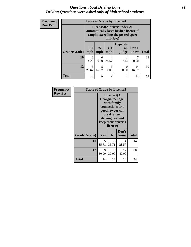### *Questions about Driving Laws* **61** *Driving Questions were asked only of high school students.*

| <b>Frequency</b> | <b>Table of Grade by License4</b> |                         |                                                                                                                         |              |                               |               |              |  |
|------------------|-----------------------------------|-------------------------|-------------------------------------------------------------------------------------------------------------------------|--------------|-------------------------------|---------------|--------------|--|
| <b>Row Pct</b>   |                                   |                         | License4(A driver under 21<br>automatically loses his/her license if<br>caught exceeding the posted speet<br>limit by:) |              |                               |               |              |  |
|                  | Grade(Grade)                      | $15+$<br>mph            | $25+$<br>mph                                                                                                            | $35+$<br>mph | <b>Depends</b><br>on<br>judge | Don't<br>know | <b>Total</b> |  |
|                  | 10                                | $\overline{2}$<br>14.29 | 0<br>0.00                                                                                                               | 4<br>28.57   | 7.14                          | 50.00         | 14           |  |
|                  | 12                                | 8<br>26.67              | 5<br>16.67                                                                                                              | 3<br>10.00   | $\theta$<br>0.00              | 14<br>46.67   | 30           |  |
|                  | <b>Total</b>                      | 10                      | 5                                                                                                                       | 7            |                               | 21            | 44           |  |

| Frequency      | <b>Table of Grade by License5</b> |            |                                                                                                                                                             |               |              |
|----------------|-----------------------------------|------------|-------------------------------------------------------------------------------------------------------------------------------------------------------------|---------------|--------------|
| <b>Row Pct</b> |                                   |            | License5(A)<br>Georgia teenager<br>with family<br>connections or a<br>good lawyer can<br>break a teen<br>driving law and<br>keep their driver's<br>license) |               |              |
|                | Grade(Grade)                      | Yes        | N <sub>0</sub>                                                                                                                                              | Don't<br>know | <b>Total</b> |
|                | 10                                | 5<br>35.71 | 5<br>35.71                                                                                                                                                  | 4<br>28.57    | 14           |
|                | 12                                | 9<br>30.00 | 9<br>30.00                                                                                                                                                  | 12<br>40.00   | 30           |
|                | <b>Total</b>                      | 14         | 14                                                                                                                                                          | 16            | 44           |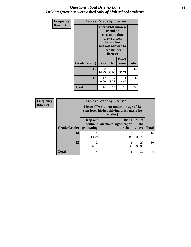### *Questions about Driving Laws* **62** *Driving Questions were asked only of high school students.*

| Frequency      |              | <b>Table of Grade by License6</b> |                                                                                                                                                 |               |              |
|----------------|--------------|-----------------------------------|-------------------------------------------------------------------------------------------------------------------------------------------------|---------------|--------------|
| <b>Row Pct</b> |              |                                   | License <sub>6</sub> (I know a<br>friend or<br>classmate that<br>broke a teen<br>driving law,<br>but was allowed to<br>keep his/her<br>license) |               |              |
|                | Grade(Grade) | Yes                               | N <sub>0</sub>                                                                                                                                  | Don't<br>know | <b>Total</b> |
|                | 10           | 2<br>14.29                        | 7<br>50.00                                                                                                                                      | 5<br>35.71    | 14           |
|                | 12           | 12<br>40.00                       | 7<br>23.33                                                                                                                                      | 11<br>36.67   | 30           |
|                | <b>Total</b> | 14                                | 14                                                                                                                                              | 16            | 44           |

| <b>Frequency</b> |              |                                   | <b>Table of Grade by License7</b>                                                                |                          |              |  |  |
|------------------|--------------|-----------------------------------|--------------------------------------------------------------------------------------------------|--------------------------|--------------|--|--|
| <b>Row Pct</b>   |              |                                   | License7(A student under the age of 18<br>cam loser his/her driving privileges if he<br>or she:) |                          |              |  |  |
|                  | Grade(Grade) | Drop out<br>without<br>graduating | <b>Bring</b><br>alcohol/drugs/weapon<br>to school                                                | All of<br>the<br>  above | <b>Total</b> |  |  |
|                  | 10           | 14.29                             | $\left( \right)$<br>0.00                                                                         | 12<br>85.71              | 14           |  |  |
|                  | 12           | 6.67                              | 3.33                                                                                             | 27<br>90.00              | 30           |  |  |
|                  | <b>Total</b> | 4                                 |                                                                                                  | 39                       | 44           |  |  |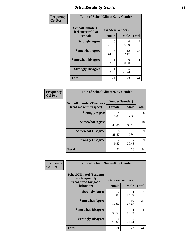# *Select Results by Gender* **63**

| Frequency      | <b>Table of SchoolClimate2 by Gender</b>          |                                 |             |              |  |  |
|----------------|---------------------------------------------------|---------------------------------|-------------|--------------|--|--|
| <b>Col Pct</b> | SchoolClimate2(I<br>feel successful at<br>school) | Gender(Gender)<br><b>Female</b> | <b>Male</b> | <b>Total</b> |  |  |
|                | <b>Strongly Agree</b>                             | 6<br>28.57                      | 6<br>26.09  | 12           |  |  |
|                | <b>Somewhat Agree</b>                             | 13<br>61.90                     | 12<br>52.17 | 25           |  |  |
|                | <b>Somewhat Disagree</b>                          | 4.76                            | 0<br>0.00   |              |  |  |
|                | <b>Strongly Disagree</b>                          | 4.76                            | 5<br>21.74  | 6            |  |  |
|                | <b>Total</b>                                      | 21                              | 23          | 44           |  |  |

| <b>Frequency</b> | <b>Table of SchoolClimate6 by Gender</b>                 |                        |              |    |
|------------------|----------------------------------------------------------|------------------------|--------------|----|
| <b>Col Pct</b>   | <b>SchoolClimate6(Teachers</b><br>treat me with respect) | Gender(Gender)         | <b>Total</b> |    |
|                  |                                                          | <b>Female</b>          | <b>Male</b>  |    |
|                  | <b>Strongly Agree</b>                                    | 4<br>19.05             | 4<br>17.39   | 8  |
|                  | <b>Somewhat Agree</b>                                    | 9<br>42.86             | Q<br>39.13   | 18 |
|                  | <b>Somewhat Disagree</b>                                 | 6<br>28.57             | 3<br>13.04   | 9  |
|                  | <b>Strongly Disagree</b>                                 | $\mathfrak{D}$<br>9.52 | 30.43        | 9  |
|                  | <b>Total</b>                                             | 21                     | 23           | 44 |

| <b>Frequency</b> | <b>Table of SchoolClimate8 by Gender</b>                                             |               |                               |              |  |  |
|------------------|--------------------------------------------------------------------------------------|---------------|-------------------------------|--------------|--|--|
| <b>Col Pct</b>   | <b>SchoolClimate8(Students</b><br>are frequently<br>recognized for good<br>behavior) | <b>Female</b> | Gender(Gender)<br><b>Male</b> | <b>Total</b> |  |  |
|                  | <b>Strongly Agree</b>                                                                | $\Omega$      | 4                             | 4            |  |  |
|                  | <b>Somewhat Agree</b>                                                                | 0.00<br>10    | 17.39<br>10                   | 20           |  |  |
|                  |                                                                                      | 47.62         | 43.48                         |              |  |  |
|                  | <b>Somewhat Disagree</b>                                                             | 7<br>33.33    | 4<br>17.39                    | 11           |  |  |
|                  | <b>Strongly Disagree</b>                                                             | 4<br>19.05    | 5<br>21.74                    | 9            |  |  |
|                  | Total                                                                                | 21            | 23                            | 44           |  |  |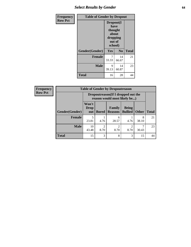# *Select Results by Gender* **64**

| Frequency      |                | <b>Table of Gender by Dropout</b>                            |                |              |  |
|----------------|----------------|--------------------------------------------------------------|----------------|--------------|--|
| <b>Row Pct</b> |                | Dropout(I<br>have<br>thought<br>about<br>dropping<br>school) | out of         |              |  |
|                | Gender(Gender) | Yes                                                          | N <sub>0</sub> | <b>Total</b> |  |
|                | <b>Female</b>  | 7<br>33.33                                                   | 14<br>66.67    | 21           |  |
|                | <b>Male</b>    | 9<br>39.13                                                   | 14<br>60.87    | 23           |  |
|                | <b>Total</b>   | 16                                                           | 28             | 44           |  |

| <b>Frequency</b> | <b>Table of Gender by Dropoutreason</b> |                             |                                                                    |                          |                                |              |              |
|------------------|-----------------------------------------|-----------------------------|--------------------------------------------------------------------|--------------------------|--------------------------------|--------------|--------------|
| <b>Row Pct</b>   |                                         |                             | Dropoutreason(If I dropped out the<br>reason would most likely be) |                          |                                |              |              |
|                  | <b>Gender(Gender)</b>                   | Won't<br><b>Drop</b><br>out | <b>Bored</b>                                                       | Family<br><b>Reasons</b> | <b>Being</b><br><b>Bullied</b> | <b>Other</b> | <b>Total</b> |
|                  | <b>Female</b>                           | 23.81                       | 4.76                                                               | 6<br>28.57               | 4.76                           | 8<br>38.10   | 21           |
|                  | <b>Male</b>                             | 10<br>43.48                 | $\mathfrak{D}$<br>8.70                                             | 2<br>8.70                | ↑<br>8.70                      | 30.43        | 23           |
|                  | <b>Total</b>                            | 15                          | 3                                                                  | 8                        | 3                              | 15           | 44           |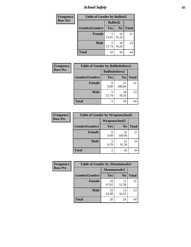*School Safety* **65**

| Frequency      | <b>Table of Gender by Bullied2</b> |                 |                |              |
|----------------|------------------------------------|-----------------|----------------|--------------|
| <b>Row Pct</b> |                                    | <b>Bullied2</b> |                |              |
|                | Gender(Gender)                     | Yes             | N <sub>0</sub> | <b>Total</b> |
|                | <b>Female</b>                      | 5<br>23.81      | 16<br>76.19    | 21           |
|                | <b>Male</b>                        | 21.74           | 18<br>78.26    | 23           |
|                | <b>Total</b>                       | 10              | 34             |              |

| Frequency      | <b>Table of Gender by Bulliedothers2</b> |                       |                |              |
|----------------|------------------------------------------|-----------------------|----------------|--------------|
| <b>Row Pct</b> |                                          | <b>Bulliedothers2</b> |                |              |
|                | Gender(Gender)                           | Yes                   | N <sub>0</sub> | <b>Total</b> |
|                | <b>Female</b>                            | 0.00                  | 21<br>100.00   | 21           |
|                | <b>Male</b>                              | 21.74                 | 18<br>78.26    | 23           |
|                | <b>Total</b>                             | 5                     | 39             | 44           |

| <b>Frequency</b> | <b>Table of Gender by Weaponschool2</b> |                      |                |              |
|------------------|-----------------------------------------|----------------------|----------------|--------------|
| <b>Row Pct</b>   |                                         | <b>Weaponschool2</b> |                |              |
|                  | Gender(Gender)                          | Yes                  | N <sub>0</sub> | <b>Total</b> |
|                  | <b>Female</b>                           | 0.00                 | 21<br>100.00   | 21           |
|                  | <b>Male</b>                             | 8.70                 | 21<br>91.30    | 23           |
|                  | <b>Total</b>                            | 2                    | 42             | 44           |

| <b>Frequency</b> | <b>Table of Gender by Absentunsafe2</b> |               |                |              |
|------------------|-----------------------------------------|---------------|----------------|--------------|
| <b>Row Pct</b>   |                                         | Absentunsafe2 |                |              |
|                  | Gender(Gender)                          | Yes           | N <sub>0</sub> | <b>Total</b> |
|                  | <b>Female</b>                           | 10<br>47.62   | 11<br>52.38    | 21           |
|                  | <b>Male</b>                             | 10<br>43.48   | 13<br>56.52    | 23           |
|                  | <b>Total</b>                            | 20            | 24             | 44           |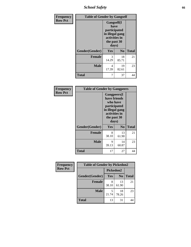*School Safety* **66**

| Frequency      | <b>Table of Gender by Gangself</b> |                                                                                                |                |              |
|----------------|------------------------------------|------------------------------------------------------------------------------------------------|----------------|--------------|
| <b>Row Pct</b> |                                    | Gangself(I<br>have<br>participated<br>in illegal gang<br>activities in<br>the past 30<br>days) |                |              |
|                | Gender(Gender)                     | Yes                                                                                            | N <sub>0</sub> | <b>Total</b> |
|                | <b>Female</b>                      | 3<br>14.29                                                                                     | 18<br>85.71    | 21           |
|                | <b>Male</b>                        | 4<br>17.39                                                                                     | 19<br>82.61    | 23           |
|                | <b>Total</b>                       | 7                                                                                              | 37             | 44           |

| Frequency      | <b>Table of Gender by Gangpeers</b> |                                                                                                                             |                |              |
|----------------|-------------------------------------|-----------------------------------------------------------------------------------------------------------------------------|----------------|--------------|
| <b>Row Pct</b> |                                     | <b>Gangpeers</b> (I<br>have friends<br>who have<br>participated<br>in illegal gang<br>activities in<br>the past 30<br>days) |                |              |
|                | Gender(Gender)                      | Yes                                                                                                                         | N <sub>0</sub> | <b>Total</b> |
|                | <b>Female</b>                       | 8<br>38.10                                                                                                                  | 13<br>61.90    | 21           |
|                | <b>Male</b>                         | 9<br>39.13                                                                                                                  | 14<br>60.87    | 23           |
|                | Total                               | 17                                                                                                                          | 27             | 44           |

| Frequency      | <b>Table of Gender by Pickedon2</b> |           |                |              |
|----------------|-------------------------------------|-----------|----------------|--------------|
| <b>Row Pct</b> |                                     | Pickedon2 |                |              |
|                | Gender(Gender)                      | Yes       | N <sub>0</sub> | <b>Total</b> |
|                | <b>Female</b>                       | 38.10     | 13<br>61.90    | 21           |
|                | <b>Male</b>                         | 21.74     | 18<br>78.26    | 23           |
|                | <b>Total</b>                        | 13        | 31             | 44           |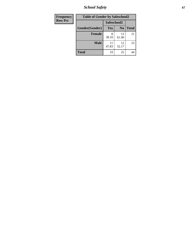*School Safety* **67**

| Frequency      | <b>Table of Gender by Safeschool2</b> |             |                |              |  |
|----------------|---------------------------------------|-------------|----------------|--------------|--|
| <b>Row Pct</b> | Safeschool2                           |             |                |              |  |
|                | Gender(Gender)                        | <b>Yes</b>  | N <sub>0</sub> | <b>Total</b> |  |
|                | <b>Female</b>                         | 38.10       | 13<br>61.90    | 21           |  |
|                | <b>Male</b>                           | 11<br>47.83 | 12<br>52.17    | 23           |  |
|                | <b>Total</b>                          | 19          | 25             | 44           |  |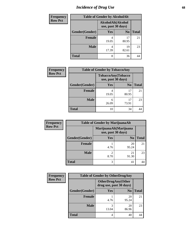# *Incidence of Drug Use* 68

| <b>Frequency</b> | <b>Table of Gender by AlcoholAlt</b> |                                          |                |              |  |  |
|------------------|--------------------------------------|------------------------------------------|----------------|--------------|--|--|
| <b>Row Pct</b>   |                                      | AlcoholAlt(Alcohol<br>use, past 30 days) |                |              |  |  |
|                  | Gender(Gender)                       | <b>Yes</b>                               | N <sub>0</sub> | <b>Total</b> |  |  |
|                  | <b>Female</b>                        | 4<br>19.05                               | 17<br>80.95    | 21           |  |  |
|                  | <b>Male</b>                          | 4<br>17.39                               | 19<br>82.61    | 23           |  |  |
|                  | <b>Total</b>                         | 8                                        | 36             | 44           |  |  |

| <b>Frequency</b> | <b>Table of Gender by TobaccoAny</b> |            |                                          |              |
|------------------|--------------------------------------|------------|------------------------------------------|--------------|
| <b>Row Pct</b>   |                                      |            | TobaccoAny(Tobacco<br>use, past 30 days) |              |
|                  | Gender(Gender)                       | Yes        | N <sub>0</sub>                           | <b>Total</b> |
|                  | Female                               | 4<br>19.05 | 17<br>80.95                              | 21           |
|                  | <b>Male</b>                          | 6<br>26.09 | 17<br>73.91                              | 23           |
|                  | <b>Total</b>                         | 10         | 34                                       |              |

| <b>Frequency</b> | <b>Table of Gender by MarijuanaAlt</b> |                        |                                              |              |
|------------------|----------------------------------------|------------------------|----------------------------------------------|--------------|
| <b>Row Pct</b>   |                                        |                        | MarijuanaAlt(Marijuana<br>use, past 30 days) |              |
|                  | Gender(Gender)                         | Yes                    | N <sub>0</sub>                               | <b>Total</b> |
|                  | Female                                 | 4.76                   | 20<br>95.24                                  | 21           |
|                  | <b>Male</b>                            | $\mathfrak{D}$<br>8.70 | 21<br>91.30                                  | 23           |
|                  | <b>Total</b>                           | 3                      | 41                                           |              |

| <b>Frequency</b> | <b>Table of Gender by OtherDrugAny</b> |                         |                           |              |
|------------------|----------------------------------------|-------------------------|---------------------------|--------------|
| <b>Row Pct</b>   |                                        | drug use, past 30 days) | <b>OtherDrugAny(Other</b> |              |
|                  | Gender(Gender)                         | <b>Yes</b>              | N <sub>0</sub>            | <b>Total</b> |
|                  | <b>Female</b>                          | 4.76                    | 20<br>95.24               | 21           |
|                  | <b>Male</b>                            | 3<br>13.04              | 20<br>86.96               | 23           |
|                  | <b>Total</b>                           | 4                       | 40                        | 44           |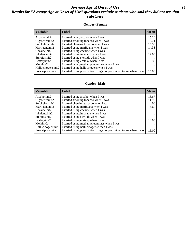## *Average Age at Onset of Use* **69** *Results for "Average Age at Onset of Use" questions exclude students who said they did not use that substance*

### **Gender=Female**

| <b>Variable</b>    | <b>Label</b>                                                       | <b>Mean</b> |
|--------------------|--------------------------------------------------------------------|-------------|
| Alcoholinit2       | I started using alcohol when I was                                 | 15.20       |
| Cigarettesinit2    | I started smoking tobacco when I was                               | 13.71       |
| Smokelessinit2     | I started chewing tobacco when I was                               | 14.50       |
| Marijuanainit2     | I started using marijuana when I was                               | 14.33       |
| Cocaineinit2       | I started using cocaine when I was                                 |             |
| Inhalantsinit2     | I started using inhalants when I was                               | 12.00       |
| Steroidsinit2      | I started using steroids when I was                                |             |
| Ecstasyinit2       | I started using ecstasy when I was                                 | 16.33       |
| Methinit2          | I started using methamphetamines when I was                        |             |
| Hallucinogensinit2 | I started using hallucinogens when I was                           |             |
| Prescription in t2 | I started using prescription drugs not prescribed to me when I was | 15.00       |

#### **Gender=Male**

| <b>Variable</b>    | Label                                                              | <b>Mean</b> |
|--------------------|--------------------------------------------------------------------|-------------|
| Alcoholinit2       | I started using alcohol when I was                                 | 13.67       |
| Cigarettesinit2    | I started smoking tobacco when I was                               | 11.75       |
| Smokelessinit2     | I started chewing tobacco when I was                               | 14.00       |
| Marijuanainit2     | I started using marijuana when I was                               | 14.67       |
| Cocaineinit2       | I started using cocaine when I was                                 |             |
| Inhalantsinit2     | I started using inhalants when I was                               |             |
| Steroidsinit2      | I started using steroids when I was                                |             |
| Ecstasyinit2       | I started using ecstasy when I was                                 | 14.00       |
| Methinit2          | I started using methamphetamines when I was                        |             |
| Hallucinogensinit2 | I started using hallucinogens when I was                           |             |
| Prescriptioninit2  | I started using prescription drugs not prescribed to me when I was | 15.00       |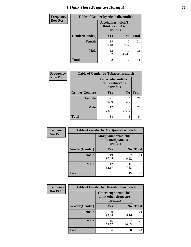# *I Think These Drugs are Harmful* **70**

| <b>Frequency</b> | <b>Table of Gender by Alcoholharmdich</b> |                                                   |                        |              |
|------------------|-------------------------------------------|---------------------------------------------------|------------------------|--------------|
| <b>Row Pct</b>   |                                           | Alcoholharmdich(I<br>think alcohol is<br>harmful) |                        |              |
|                  | Gender(Gender)                            | <b>Yes</b>                                        | N <sub>0</sub>         | <b>Total</b> |
|                  | <b>Female</b>                             | 19<br>90.48                                       | $\mathfrak{D}$<br>9.52 | 21           |
|                  | <b>Male</b>                               | 13<br>56.52                                       | 10<br>43.48            | 23           |
|                  | <b>Total</b>                              | 32                                                | 12                     | 44           |

| Frequency      | <b>Table of Gender by Tobaccoharmdich</b> |                              |                   |              |
|----------------|-------------------------------------------|------------------------------|-------------------|--------------|
| <b>Row Pct</b> |                                           | think tobacco is<br>harmful) | Tobaccoharmdich(I |              |
|                | Gender(Gender)                            | Yes                          | N <sub>0</sub>    | <b>Total</b> |
|                | <b>Female</b>                             | 21<br>100.00                 | 0.00              | 21           |
|                | <b>Male</b>                               | 17<br>73.91                  | 6<br>26.09        | 23           |
|                | <b>Total</b>                              | 38                           | 6                 |              |

| Frequency      | <b>Table of Gender by Marijuanaharmdich</b> |                                                       |                        |              |
|----------------|---------------------------------------------|-------------------------------------------------------|------------------------|--------------|
| <b>Row Pct</b> |                                             | Marijuanaharmdich(I<br>think marijuana is<br>harmful) |                        |              |
|                | Gender(Gender)                              | <b>Yes</b>                                            | N <sub>0</sub>         | <b>Total</b> |
|                | <b>Female</b>                               | 19<br>90.48                                           | $\mathfrak{D}$<br>9.52 | 21           |
|                | <b>Male</b>                                 | 12<br>52.17                                           | 11<br>47.83            | 23           |
|                | <b>Total</b>                                | 31                                                    | 13                     | 44           |

| Frequency      | <b>Table of Gender by Otherdrugharmdich</b> |                                                          |                |              |
|----------------|---------------------------------------------|----------------------------------------------------------|----------------|--------------|
| <b>Row Pct</b> |                                             | Otherdrugharmdich(I<br>think other drugs are<br>harmful) |                |              |
|                | Gender(Gender)                              | <b>Yes</b>                                               | N <sub>0</sub> | <b>Total</b> |
|                | <b>Female</b>                               | 20<br>95.24                                              | 4.76           | 21           |
|                | <b>Male</b>                                 | 16<br>69.57                                              | 30.43          | 23           |
|                | <b>Total</b>                                | 36                                                       | 8              | 44           |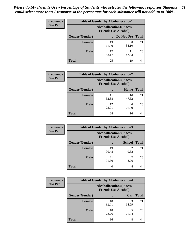| <b>Frequency</b> | <b>Table of Gender by Alcohollocation1</b> |                                                               |             |              |
|------------------|--------------------------------------------|---------------------------------------------------------------|-------------|--------------|
| <b>Row Pct</b>   |                                            | <b>Alcohollocation1(Places</b><br><b>Friends Use Alcohol)</b> |             |              |
|                  | Gender(Gender)                             |                                                               | Do Not Use  | <b>Total</b> |
|                  | <b>Female</b>                              | 13<br>61.90                                                   | 8<br>38.10  | 21           |
|                  | <b>Male</b>                                | 12<br>52.17                                                   | 11<br>47.83 | 23           |
|                  | Total                                      | 25                                                            | 19          |              |

| <b>Frequency</b> | <b>Table of Gender by Alcohollocation2</b> |             |                                                               |              |
|------------------|--------------------------------------------|-------------|---------------------------------------------------------------|--------------|
| <b>Row Pct</b>   |                                            |             | <b>Alcohollocation2(Places</b><br><b>Friends Use Alcohol)</b> |              |
|                  | Gender(Gender)                             |             | <b>Home</b>                                                   | <b>Total</b> |
|                  | <b>Female</b>                              | 52.38       | 10<br>47.62                                                   | 21           |
|                  | <b>Male</b>                                | 17<br>73.91 | 6<br>26.09                                                    | 23           |
|                  | <b>Total</b>                               | 28          | 16                                                            |              |

| Frequency      | <b>Table of Gender by Alcohollocation3</b> |                                                               |                                     |              |
|----------------|--------------------------------------------|---------------------------------------------------------------|-------------------------------------|--------------|
| <b>Row Pct</b> |                                            | <b>Alcohollocation3(Places</b><br><b>Friends Use Alcohol)</b> |                                     |              |
|                | Gender(Gender)                             |                                                               | <b>School</b>                       | <b>Total</b> |
|                | <b>Female</b>                              | 19<br>90.48                                                   | $\overline{2}$<br>9.52              | 21           |
|                | <b>Male</b>                                | 21<br>91.30                                                   | $\mathcal{D}_{\mathcal{A}}$<br>8.70 | 23           |
|                | <b>Total</b>                               | 40                                                            | 4                                   | 44           |

| Frequency      |                | <b>Table of Gender by Alcohollocation4</b>                    |       |              |
|----------------|----------------|---------------------------------------------------------------|-------|--------------|
| <b>Row Pct</b> |                | <b>Alcohollocation4(Places</b><br><b>Friends Use Alcohol)</b> |       |              |
|                | Gender(Gender) |                                                               | Car   | <b>Total</b> |
|                | <b>Female</b>  | 18<br>85.71                                                   | 14.29 | 21           |
|                | <b>Male</b>    | 18<br>78.26                                                   | 21.74 | 23           |
|                | <b>Total</b>   | 36                                                            | 8     |              |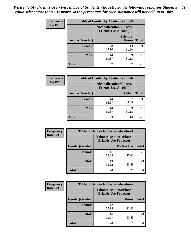| <b>Frequency</b> | <b>Table of Gender by Alcohollocation5</b>                     |             |                                 |              |
|------------------|----------------------------------------------------------------|-------------|---------------------------------|--------------|
| <b>Row Pct</b>   | <b>Alcohollocation5</b> (Places<br><b>Friends Use Alcohol)</b> |             |                                 |              |
|                  | Gender(Gender)                                                 | $\bullet$   | <b>Friend's</b><br><b>House</b> | <b>Total</b> |
|                  | <b>Female</b>                                                  | 8<br>38.10  | 13<br>61.90                     | 21           |
|                  | <b>Male</b>                                                    | 14<br>60.87 | 9<br>39.13                      | 23           |
|                  | <b>Total</b>                                                   | 22          | 22                              |              |

| Frequency      | <b>Table of Gender by Alcohollocation6</b> |                                                               |              |              |
|----------------|--------------------------------------------|---------------------------------------------------------------|--------------|--------------|
| <b>Row Pct</b> |                                            | <b>Alcohollocation6(Places</b><br><b>Friends Use Alcohol)</b> |              |              |
|                | Gender(Gender)                             |                                                               | <b>Other</b> | <b>Total</b> |
|                | <b>Female</b>                              | 14<br>66.67                                                   | 33.33        | 21           |
|                | <b>Male</b>                                | 14<br>60.87                                                   | Q<br>39.13   | 23           |
|                | <b>Total</b>                               | 28                                                            | 16           |              |

| Frequency      | <b>Table of Gender by Tobaccolocation1</b> |                                                               |             |              |
|----------------|--------------------------------------------|---------------------------------------------------------------|-------------|--------------|
| <b>Row Pct</b> |                                            | <b>Tobaccolocation1(Places</b><br><b>Friends Use Tobacco)</b> |             |              |
|                | Gender(Gender)                             |                                                               | Do Not Use  | <b>Total</b> |
|                | Female                                     | 11<br>52.38                                                   | 10<br>47.62 | 21           |
|                | <b>Male</b>                                | 13<br>56.52                                                   | 10<br>43.48 | 23           |
|                | <b>Total</b>                               | 24                                                            | 20          | 44           |

| <b>Frequency</b> | <b>Table of Gender by Tobaccolocation2</b> |                                                               |            |              |
|------------------|--------------------------------------------|---------------------------------------------------------------|------------|--------------|
| <b>Row Pct</b>   |                                            | <b>Tobaccolocation2(Places</b><br><b>Friends Use Tobacco)</b> |            |              |
|                  | Gender(Gender)                             |                                                               | Home       | <b>Total</b> |
|                  | Female                                     | 12<br>57.14                                                   | Q<br>42.86 | 21           |
|                  | <b>Male</b>                                | 16<br>69.57                                                   | 30.43      | 23           |
|                  | <b>Total</b>                               | 28                                                            | 16         | 44           |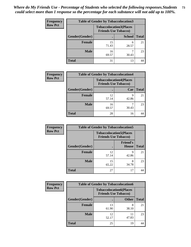| <b>Frequency</b> |                | <b>Table of Gender by Tobaccolocation3</b> |                                                               |              |
|------------------|----------------|--------------------------------------------|---------------------------------------------------------------|--------------|
| <b>Row Pct</b>   |                |                                            | <b>Tobaccolocation3(Places</b><br><b>Friends Use Tobacco)</b> |              |
|                  | Gender(Gender) |                                            | <b>School</b>                                                 | <b>Total</b> |
|                  | <b>Female</b>  | 15<br>71.43                                | 6<br>28.57                                                    | 21           |
|                  | <b>Male</b>    | 16<br>69.57                                | 30.43                                                         | 23           |
|                  | <b>Total</b>   | 31                                         | 13                                                            |              |

| <b>Frequency</b> | <b>Table of Gender by Tobaccolocation4</b> |             |                                                               |              |
|------------------|--------------------------------------------|-------------|---------------------------------------------------------------|--------------|
| <b>Row Pct</b>   |                                            |             | <b>Tobaccolocation4(Places</b><br><b>Friends Use Tobacco)</b> |              |
|                  | Gender(Gender)                             |             | Car                                                           | <b>Total</b> |
|                  | <b>Female</b>                              | 12<br>57.14 | Q<br>42.86                                                    | 21           |
|                  | <b>Male</b>                                | 16<br>69.57 | 30.43                                                         | 23           |
|                  | <b>Total</b>                               | 28          | 16                                                            |              |

| <b>Frequency</b> | <b>Table of Gender by Tobaccolocation5</b>                    |             |                                 |              |
|------------------|---------------------------------------------------------------|-------------|---------------------------------|--------------|
| <b>Row Pct</b>   | <b>Tobaccolocation5(Places</b><br><b>Friends Use Tobacco)</b> |             |                                 |              |
|                  | Gender(Gender)                                                |             | <b>Friend's</b><br><b>House</b> | <b>Total</b> |
|                  | <b>Female</b>                                                 | 12<br>57.14 | q<br>42.86                      | 21           |
|                  | <b>Male</b>                                                   | 15<br>65.22 | 8<br>34.78                      | 23           |
|                  | <b>Total</b>                                                  | 27          | 17                              | 44           |

| <b>Frequency</b> | <b>Table of Gender by Tobaccolocation6</b> |                                                               |              |              |
|------------------|--------------------------------------------|---------------------------------------------------------------|--------------|--------------|
| <b>Row Pct</b>   |                                            | <b>Tobaccolocation6(Places</b><br><b>Friends Use Tobacco)</b> |              |              |
|                  | Gender(Gender)                             |                                                               | <b>Other</b> | <b>Total</b> |
|                  | Female                                     | 13<br>61.90                                                   | 8<br>38.10   | 21           |
|                  | <b>Male</b>                                | 12<br>52.17                                                   | 11<br>47.83  | 23           |
|                  | <b>Total</b>                               | 25                                                            | 19           | 44           |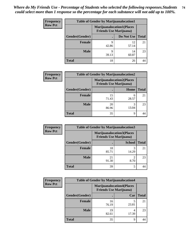| <b>Frequency</b> | <b>Table of Gender by Marijuanalocation1</b> |                                                                    |             |              |  |
|------------------|----------------------------------------------|--------------------------------------------------------------------|-------------|--------------|--|
| <b>Row Pct</b>   |                                              | <b>Marijuanalocation1(Places</b><br><b>Friends Use Marijuana</b> ) |             |              |  |
|                  | Gender(Gender)                               |                                                                    | Do Not Use  | <b>Total</b> |  |
|                  | <b>Female</b>                                | q<br>42.86                                                         | 12<br>57.14 | 21           |  |
|                  | <b>Male</b>                                  | Q<br>39.13                                                         | 14<br>60.87 | 23           |  |
|                  | <b>Total</b>                                 | 18                                                                 | 26          |              |  |

| <b>Frequency</b> | <b>Table of Gender by Marijuanalocation2</b> |             |                                                                    |              |
|------------------|----------------------------------------------|-------------|--------------------------------------------------------------------|--------------|
| <b>Row Pct</b>   |                                              |             | <b>Marijuanalocation2(Places</b><br><b>Friends Use Marijuana</b> ) |              |
|                  | Gender(Gender)                               |             | Home                                                               | <b>Total</b> |
|                  | <b>Female</b>                                | 15<br>71.43 | 6<br>28.57                                                         | 21           |
|                  | <b>Male</b>                                  | 20<br>86.96 | 13.04                                                              | 23           |
|                  | <b>Total</b>                                 | 35          | 9                                                                  |              |

| Frequency      | <b>Table of Gender by Marijuanalocation3</b> |                                                                    |               |              |
|----------------|----------------------------------------------|--------------------------------------------------------------------|---------------|--------------|
| <b>Row Pct</b> |                                              | <b>Marijuanalocation3(Places</b><br><b>Friends Use Marijuana</b> ) |               |              |
|                | Gender(Gender)                               |                                                                    | <b>School</b> | <b>Total</b> |
|                | Female                                       | 18<br>85.71                                                        | 3<br>14.29    | 21           |
|                | <b>Male</b>                                  | 21<br>91.30                                                        | 8.70          | 23           |
|                | <b>Total</b>                                 | 39                                                                 | 5             | 44           |

| Frequency      | <b>Table of Gender by Marijuanalocation4</b> |                                |                                  |              |  |
|----------------|----------------------------------------------|--------------------------------|----------------------------------|--------------|--|
| <b>Row Pct</b> |                                              | <b>Friends Use Marijuana</b> ) | <b>Marijuanalocation4(Places</b> |              |  |
|                | Gender(Gender)                               |                                | Car                              | <b>Total</b> |  |
|                | <b>Female</b>                                | 16<br>76.19                    | 23.81                            | 21           |  |
|                | <b>Male</b>                                  | 19<br>82.61                    | 17.39                            | 23           |  |
|                | <b>Total</b>                                 | 35                             | q                                |              |  |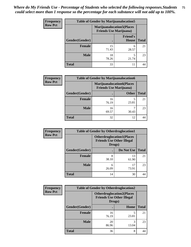| <b>Frequency</b> | <b>Table of Gender by Marijuanalocation5</b> |                                                                     |                          |              |
|------------------|----------------------------------------------|---------------------------------------------------------------------|--------------------------|--------------|
| <b>Row Pct</b>   |                                              | <b>Marijuanalocation5</b> (Places<br><b>Friends Use Marijuana</b> ) |                          |              |
|                  | Gender(Gender)                               |                                                                     | <b>Friend's</b><br>House | <b>Total</b> |
|                  | <b>Female</b>                                | 15<br>71.43                                                         | 6<br>28.57               | 21           |
|                  | <b>Male</b>                                  | 18<br>78.26                                                         | 21.74                    | 23           |
|                  | <b>Total</b>                                 | 33                                                                  | 11                       | 44           |

| <b>Frequency</b> | <b>Table of Gender by Marijuanalocation6</b> |                                                                    |              |              |
|------------------|----------------------------------------------|--------------------------------------------------------------------|--------------|--------------|
| <b>Row Pct</b>   |                                              | <b>Marijuanalocation6(Places</b><br><b>Friends Use Marijuana</b> ) |              |              |
|                  | Gender(Gender)                               |                                                                    | <b>Other</b> | <b>Total</b> |
|                  | <b>Female</b>                                | 16<br>76.19                                                        | 23.81        | 21           |
|                  | <b>Male</b>                                  | 16<br>69.57                                                        | 30.43        | 23           |
|                  | Total                                        | 32                                                                 | 12           |              |

| <b>Frequency</b> | <b>Table of Gender by Otherdruglocation1</b> |                                                                                |             |              |
|------------------|----------------------------------------------|--------------------------------------------------------------------------------|-------------|--------------|
| <b>Row Pct</b>   |                                              | <b>Otherdruglocation1(Places</b><br><b>Friends Use Other Illegal</b><br>Drugs) |             |              |
|                  | Gender(Gender)                               |                                                                                | Do Not Use  | <b>Total</b> |
|                  | Female                                       | 8<br>38.10                                                                     | 13<br>61.90 | 21           |
|                  | <b>Male</b>                                  | 6<br>26.09                                                                     | 17<br>73.91 | 23           |
|                  | <b>Total</b>                                 | 14                                                                             | 30          |              |

| <b>Frequency</b> | <b>Table of Gender by Otherdruglocation2</b>                                   |             |            |              |
|------------------|--------------------------------------------------------------------------------|-------------|------------|--------------|
| <b>Row Pct</b>   | <b>Otherdruglocation2(Places</b><br><b>Friends Use Other Illegal</b><br>Drugs) |             |            |              |
|                  | Gender(Gender)                                                                 |             | Home       | <b>Total</b> |
|                  | Female                                                                         | 16<br>76.19 | 23.81      | 21           |
|                  | <b>Male</b>                                                                    | 20<br>86.96 | 3<br>13.04 | 23           |
|                  | <b>Total</b>                                                                   | 36          | 8          | 44           |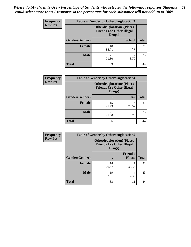| <b>Frequency</b> | <b>Table of Gender by Otherdruglocation3</b> |                                                                                |               |              |
|------------------|----------------------------------------------|--------------------------------------------------------------------------------|---------------|--------------|
| <b>Row Pct</b>   |                                              | <b>Otherdruglocation3(Places</b><br><b>Friends Use Other Illegal</b><br>Drugs) |               |              |
|                  | Gender(Gender)                               |                                                                                | <b>School</b> | <b>Total</b> |
|                  | <b>Female</b>                                | 18<br>85.71                                                                    | 3<br>14.29    | 21           |
|                  | <b>Male</b>                                  | 21<br>91.30                                                                    | ◠<br>8.70     | 23           |
|                  | <b>Total</b>                                 | 39                                                                             | 5             |              |

| Frequency      | <b>Table of Gender by Otherdruglocation4</b> |                                                                                |                        |              |  |
|----------------|----------------------------------------------|--------------------------------------------------------------------------------|------------------------|--------------|--|
| <b>Row Pct</b> |                                              | <b>Otherdruglocation4(Places</b><br><b>Friends Use Other Illegal</b><br>Drugs) |                        |              |  |
|                | Gender(Gender)                               |                                                                                | Car                    | <b>Total</b> |  |
|                | <b>Female</b>                                | 15<br>71.43                                                                    | 6<br>28.57             | 21           |  |
|                | <b>Male</b>                                  | 21<br>91.30                                                                    | $\mathfrak{D}$<br>8.70 | 23           |  |
|                | <b>Total</b>                                 | 36                                                                             | 8                      |              |  |

| <b>Frequency</b> | <b>Table of Gender by Otherdruglocation5</b> |             |                                                                                 |              |
|------------------|----------------------------------------------|-------------|---------------------------------------------------------------------------------|--------------|
| <b>Row Pct</b>   |                                              |             | <b>Otherdruglocation5(Places)</b><br><b>Friends Use Other Illegal</b><br>Drugs) |              |
|                  | Gender(Gender)                               |             | <b>Friend's</b><br>House                                                        | <b>Total</b> |
|                  | <b>Female</b>                                | 14<br>66.67 | 33.33                                                                           | 21           |
|                  | <b>Male</b>                                  | 19<br>82.61 | 4<br>17.39                                                                      | 23           |
|                  | <b>Total</b>                                 | 33          | 11                                                                              |              |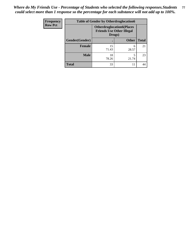| <b>Frequency</b> | <b>Table of Gender by Otherdruglocation6</b> |                                                                                |              |              |
|------------------|----------------------------------------------|--------------------------------------------------------------------------------|--------------|--------------|
| <b>Row Pct</b>   |                                              | <b>Otherdruglocation6(Places</b><br><b>Friends Use Other Illegal</b><br>Drugs) |              |              |
|                  | Gender(Gender)                               |                                                                                | <b>Other</b> | <b>Total</b> |
|                  | <b>Female</b>                                | 15<br>71.43                                                                    | 6<br>28.57   | 21           |
|                  | <b>Male</b>                                  | 18<br>78.26                                                                    | 21.74        | 23           |
|                  | <b>Total</b>                                 | 33                                                                             | 11           | 44           |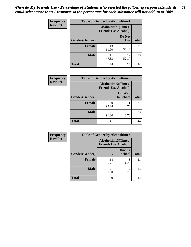| <b>Frequency</b> | <b>Table of Gender by Alcoholtime1</b> |                                                          |                      |              |
|------------------|----------------------------------------|----------------------------------------------------------|----------------------|--------------|
| <b>Row Pct</b>   |                                        | <b>Alcoholtime1(Times</b><br><b>Friends Use Alcohol)</b> |                      |              |
|                  | Gender(Gender)                         | $\bullet$                                                | Do Not<br><b>Use</b> | <b>Total</b> |
|                  | <b>Female</b>                          | 13<br>61.90                                              | 8<br>38.10           | 21           |
|                  | <b>Male</b>                            | 47.83                                                    | 12<br>52.17          | 23           |
|                  | <b>Total</b>                           | 24                                                       | 20                   | 44           |

| <b>Frequency</b> | <b>Table of Gender by Alcoholtime2</b> |                                                          |                            |              |
|------------------|----------------------------------------|----------------------------------------------------------|----------------------------|--------------|
| <b>Row Pct</b>   |                                        | <b>Alcoholtime2(Times</b><br><b>Friends Use Alcohol)</b> |                            |              |
|                  | Gender(Gender)                         |                                                          | <b>On Way</b><br>to School | <b>Total</b> |
|                  | <b>Female</b>                          | 20<br>95.24                                              | 4.76                       | 21           |
|                  | <b>Male</b>                            | 21<br>91.30                                              | 2<br>8.70                  | 23           |
|                  | <b>Total</b>                           | 41                                                       | 3                          |              |

| <b>Frequency</b> | <b>Table of Gender by Alcoholtime3</b> |                                                          |                                |              |
|------------------|----------------------------------------|----------------------------------------------------------|--------------------------------|--------------|
| <b>Row Pct</b>   |                                        | <b>Alcoholtime3(Times</b><br><b>Friends Use Alcohol)</b> |                                |              |
|                  | <b>Gender</b> (Gender)                 |                                                          | <b>During</b><br><b>School</b> | <b>Total</b> |
|                  | Female                                 | 18<br>85.71                                              | 3<br>14.29                     | 21           |
|                  | <b>Male</b>                            | 21<br>91.30                                              | $\mathfrak{D}$<br>8.70         | 23           |
|                  | <b>Total</b>                           | 39                                                       | 5                              | 44           |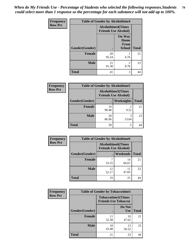*When do My Friends Use - Percentage of Students who selected the following responses.Students could select more than 1 response so the percentage for each substance will not add up to 100%.* **79**

| <b>Frequency</b> | <b>Table of Gender by Alcoholtime4</b> |                                                          |                                         |              |
|------------------|----------------------------------------|----------------------------------------------------------|-----------------------------------------|--------------|
| <b>Row Pct</b>   |                                        | <b>Alcoholtime4(Times</b><br><b>Friends Use Alcohol)</b> |                                         |              |
|                  | Gender(Gender)                         |                                                          | <b>On Way</b><br>Home<br>From<br>School | <b>Total</b> |
|                  | <b>Female</b>                          | 20<br>95.24                                              | 4.76                                    | 21           |
|                  | <b>Male</b>                            | 21<br>91.30                                              | $\overline{c}$<br>8.70                  | 23           |
|                  | <b>Total</b>                           | 41                                                       | 3                                       | 44           |

| <b>Frequency</b> | <b>Table of Gender by Alcoholtime5</b> |             |                                                           |              |
|------------------|----------------------------------------|-------------|-----------------------------------------------------------|--------------|
| <b>Row Pct</b>   |                                        |             | <b>Alcoholtime5</b> (Times<br><b>Friends Use Alcohol)</b> |              |
|                  | Gender(Gender)                         |             | Weeknights                                                | <b>Total</b> |
|                  | <b>Female</b>                          | 19<br>90.48 | $\overline{c}$<br>9.52                                    | 21           |
|                  | <b>Male</b>                            | 20<br>86.96 | 3<br>13.04                                                | 23           |
|                  | <b>Total</b>                           | 39          | 5                                                         | 44           |

| <b>Frequency</b> | <b>Table of Gender by Alcoholtime6</b> |                                                          |             |              |
|------------------|----------------------------------------|----------------------------------------------------------|-------------|--------------|
| <b>Row Pct</b>   |                                        | <b>Alcoholtime6(Times</b><br><b>Friends Use Alcohol)</b> |             |              |
|                  | Gender(Gender)                         |                                                          | Weekends    | <b>Total</b> |
|                  | Female                                 | 33.33                                                    | 14<br>66.67 | 21           |
|                  | <b>Male</b>                            | 12<br>52.17                                              | 47.83       | 23           |
|                  | <b>Total</b>                           | 19                                                       | 25          | 44           |

| Frequency      | <b>Table of Gender by Tobaccotime1</b> |                             |                           |              |
|----------------|----------------------------------------|-----------------------------|---------------------------|--------------|
| <b>Row Pct</b> |                                        | <b>Friends Use Tobacco)</b> | <b>Tobaccotime1(Times</b> |              |
|                | Gender(Gender)                         |                             | Do Not<br><b>Use</b>      | <b>Total</b> |
|                | Female                                 | 11<br>52.38                 | 10<br>47.62               | 21           |
|                | <b>Male</b>                            | 10<br>43.48                 | 13<br>56.52               | 23           |
|                | <b>Total</b>                           | 21                          | 23                        | 44           |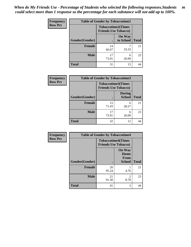| <b>Frequency</b> |                | <b>Table of Gender by Tobaccotime2</b>                   |                            |              |
|------------------|----------------|----------------------------------------------------------|----------------------------|--------------|
| <b>Row Pct</b>   |                | <b>Tobaccotime2(Times</b><br><b>Friends Use Tobacco)</b> |                            |              |
|                  | Gender(Gender) |                                                          | <b>On Way</b><br>to School | <b>Total</b> |
|                  | <b>Female</b>  | 14<br>66.67                                              | 33.33                      | 21           |
|                  | <b>Male</b>    | 17<br>73.91                                              | 6<br>26.09                 | 23           |
|                  | <b>Total</b>   | 31                                                       | 13                         | 44           |

| Frequency      | <b>Table of Gender by Tobaccotime3</b> |                                                          |                                |              |
|----------------|----------------------------------------|----------------------------------------------------------|--------------------------------|--------------|
| <b>Row Pct</b> |                                        | <b>Tobaccotime3(Times</b><br><b>Friends Use Tobacco)</b> |                                |              |
|                | Gender(Gender)                         |                                                          | <b>During</b><br><b>School</b> | <b>Total</b> |
|                | Female                                 | 15<br>71.43                                              | 6<br>28.57                     | 21           |
|                | <b>Male</b>                            | 17<br>73.91                                              | 6<br>26.09                     | 23           |
|                | <b>Total</b>                           | 32                                                       | 12                             |              |

| Frequency      | <b>Table of Gender by Tobaccotime4</b> |                                                          |                                                |              |
|----------------|----------------------------------------|----------------------------------------------------------|------------------------------------------------|--------------|
| <b>Row Pct</b> |                                        | <b>Tobaccotime4(Times</b><br><b>Friends Use Tobacco)</b> |                                                |              |
|                | Gender(Gender)                         |                                                          | <b>On Way</b><br>Home<br>From<br><b>School</b> | <b>Total</b> |
|                | <b>Female</b>                          | 20<br>95.24                                              | 4.76                                           | 21           |
|                | <b>Male</b>                            | 21<br>91.30                                              | 2<br>8.70                                      | 23           |
|                | <b>Total</b>                           | 41                                                       | 3                                              | 44           |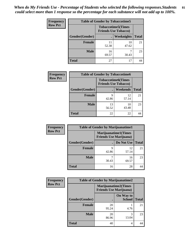| <b>Frequency</b> | <b>Table of Gender by Tobaccotime5</b> |                                                           |                   |              |  |
|------------------|----------------------------------------|-----------------------------------------------------------|-------------------|--------------|--|
| <b>Row Pct</b>   |                                        | <b>Tobaccotime5</b> (Times<br><b>Friends Use Tobacco)</b> |                   |              |  |
|                  | Gender(Gender)                         |                                                           | <b>Weeknights</b> | <b>Total</b> |  |
|                  | <b>Female</b>                          | 11<br>52.38                                               | 10<br>47.62       | 21           |  |
|                  | <b>Male</b>                            | 16<br>69.57                                               | 30.43             | 23           |  |
|                  | <b>Total</b>                           | 27                                                        | 17                | 44           |  |

| <b>Frequency</b> | <b>Table of Gender by Tobaccotime6</b> |                                                          |                 |              |
|------------------|----------------------------------------|----------------------------------------------------------|-----------------|--------------|
| <b>Row Pct</b>   |                                        | <b>Tobaccotime6(Times</b><br><b>Friends Use Tobacco)</b> |                 |              |
|                  | Gender(Gender)                         |                                                          | <b>Weekends</b> | <b>Total</b> |
|                  | Female                                 | q<br>42.86                                               | 12<br>57.14     | 21           |
|                  | <b>Male</b>                            | 13<br>56.52                                              | 10<br>43.48     | 23           |
|                  | <b>Total</b>                           | 22                                                       | 22              |              |

| <b>Frequency</b> | <b>Table of Gender by Marijuanatime1</b> |                                |                             |              |
|------------------|------------------------------------------|--------------------------------|-----------------------------|--------------|
| <b>Row Pct</b>   |                                          | <b>Friends Use Marijuana</b> ) | <b>Marijuanatime1(Times</b> |              |
|                  | Gender(Gender)                           |                                | Do Not Use                  | <b>Total</b> |
|                  | <b>Female</b>                            | q<br>42.86                     | 12<br>57.14                 | 21           |
|                  | <b>Male</b>                              | 30.43                          | 16<br>69.57                 | 23           |
|                  | <b>Total</b>                             | 16                             | 28                          | 44           |

| <b>Frequency</b> | <b>Table of Gender by Marijuanatime2</b>                      |             |                            |              |
|------------------|---------------------------------------------------------------|-------------|----------------------------|--------------|
| <b>Row Pct</b>   | <b>Marijuanatime2(Times</b><br><b>Friends Use Marijuana</b> ) |             |                            |              |
|                  | Gender(Gender)                                                |             | On Way to<br><b>School</b> | <b>Total</b> |
|                  | Female                                                        | 20<br>95.24 | 4.76                       | 21           |
|                  | <b>Male</b>                                                   | 20<br>86.96 | 3<br>13.04                 | 23           |
|                  | <b>Total</b>                                                  | 40          | 4                          | 44           |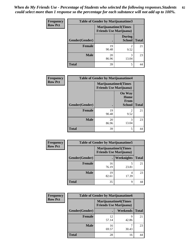| <b>Frequency</b> | Table of Gender by Marijuanatime3 |                                                        |                                |              |
|------------------|-----------------------------------|--------------------------------------------------------|--------------------------------|--------------|
| <b>Row Pct</b>   |                                   | Marijuanatime3(Times<br><b>Friends Use Marijuana</b> ) |                                |              |
|                  | Gender(Gender)                    |                                                        | <b>During</b><br><b>School</b> | <b>Total</b> |
|                  | <b>Female</b>                     | 19<br>90.48                                            | $\mathfrak{D}$<br>9.52         | 21           |
|                  | <b>Male</b>                       | 20<br>86.96                                            | 3<br>13.04                     | 23           |
|                  | <b>Total</b>                      | 39                                                     | 5                              | 44           |

| Frequency      | <b>Table of Gender by Marijuanatime4</b> |                                |                                      |              |
|----------------|------------------------------------------|--------------------------------|--------------------------------------|--------------|
| <b>Row Pct</b> |                                          | <b>Friends Use Marijuana</b> ) | <b>Marijuanatime4</b> (Times         |              |
|                |                                          |                                | <b>On Way</b><br>Home<br><b>From</b> |              |
|                | Gender(Gender)                           |                                | <b>School</b>                        | <b>Total</b> |
|                | <b>Female</b>                            | 19<br>90.48                    | $\mathfrak{D}$<br>9.52               | 21           |
|                | <b>Male</b>                              | 20<br>86.96                    | 3<br>13.04                           | 23           |
|                | <b>Total</b>                             | 39                             | 5                                    | 44           |

| Frequency      | <b>Table of Gender by Marijuanatime5</b> |             |                                                                |              |  |
|----------------|------------------------------------------|-------------|----------------------------------------------------------------|--------------|--|
| <b>Row Pct</b> |                                          |             | <b>Marijuanatime5</b> (Times<br><b>Friends Use Marijuana</b> ) |              |  |
|                | Gender(Gender)                           |             | <b>Weeknights</b>                                              | <b>Total</b> |  |
|                | <b>Female</b>                            | 16<br>76.19 | 23.81                                                          | 21           |  |
|                | <b>Male</b>                              | 19<br>82.61 | 4<br>17.39                                                     | 23           |  |
|                | <b>Total</b>                             | 35          | 9                                                              | 44           |  |

| Frequency      |                | <b>Table of Gender by Marijuanatime6</b>                      |                 |              |
|----------------|----------------|---------------------------------------------------------------|-----------------|--------------|
| <b>Row Pct</b> |                | <b>Marijuanatime6(Times</b><br><b>Friends Use Marijuana</b> ) |                 |              |
|                | Gender(Gender) |                                                               | <b>Weekends</b> | <b>Total</b> |
|                | <b>Female</b>  | 12<br>57.14                                                   | q<br>42.86      | 21           |
|                | <b>Male</b>    | 16<br>69.57                                                   | 30.43           | 23           |
|                | <b>Total</b>   | 28                                                            | 16              | 44           |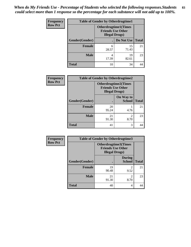*When do My Friends Use - Percentage of Students who selected the following responses.Students could select more than 1 response so the percentage for each substance will not add up to 100%.* **83**

| <b>Frequency</b> | <b>Table of Gender by Otherdrugtime1</b> |                                                                                    |                    |    |  |
|------------------|------------------------------------------|------------------------------------------------------------------------------------|--------------------|----|--|
| <b>Row Pct</b>   |                                          | <b>Otherdrugtime1</b> (Times<br><b>Friends Use Other</b><br><b>Illegal Drugs</b> ) |                    |    |  |
|                  | Gender(Gender)                           |                                                                                    | Do Not Use   Total |    |  |
|                  | <b>Female</b>                            | 6<br>28.57                                                                         | 15<br>71.43        | 21 |  |
|                  | <b>Male</b>                              | 4<br>17.39                                                                         | 19<br>82.61        | 23 |  |
|                  | <b>Total</b>                             | 10                                                                                 | 34                 |    |  |

| Frequency      | <b>Table of Gender by Otherdrugtime2</b> |                                                                                   |                            |              |
|----------------|------------------------------------------|-----------------------------------------------------------------------------------|----------------------------|--------------|
| <b>Row Pct</b> |                                          | <b>Otherdrugtime2(Times</b><br><b>Friends Use Other</b><br><b>Illegal Drugs</b> ) |                            |              |
|                | Gender(Gender)                           |                                                                                   | On Way to<br><b>School</b> | <b>Total</b> |
|                | <b>Female</b>                            | 20<br>95.24                                                                       | 4.76                       | 21           |
|                | <b>Male</b>                              | 21<br>91.30                                                                       | $\mathfrak{D}$<br>8.70     | 23           |
|                | <b>Total</b>                             | 41                                                                                | 3                          | 44           |

| Frequency      | <b>Table of Gender by Otherdrugtime3</b> |                        |                                                  |              |
|----------------|------------------------------------------|------------------------|--------------------------------------------------|--------------|
| <b>Row Pct</b> |                                          | <b>Illegal Drugs</b> ) | Otherdrugtime3(Times<br><b>Friends Use Other</b> |              |
|                | Gender(Gender)                           |                        | <b>During</b><br><b>School</b>                   | <b>Total</b> |
|                | <b>Female</b>                            | 19<br>90.48            | 2<br>9.52                                        | 21           |
|                | <b>Male</b>                              | 21<br>91.30            | $\overline{c}$<br>8.70                           | 23           |
|                | <b>Total</b>                             | 40                     | 4                                                | 44           |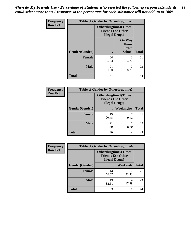*When do My Friends Use - Percentage of Students who selected the following responses.Students could select more than 1 response so the percentage for each substance will not add up to 100%.* **84**

| <b>Frequency</b> | <b>Table of Gender by Otherdrugtime4</b> |                                                                                   |                                                |              |  |
|------------------|------------------------------------------|-----------------------------------------------------------------------------------|------------------------------------------------|--------------|--|
| <b>Row Pct</b>   |                                          | <b>Otherdrugtime4(Times</b><br><b>Friends Use Other</b><br><b>Illegal Drugs</b> ) |                                                |              |  |
|                  | Gender(Gender)                           |                                                                                   | <b>On Way</b><br>Home<br>From<br><b>School</b> | <b>Total</b> |  |
|                  | <b>Female</b>                            | 20<br>95.24                                                                       | 4.76                                           | 21           |  |
|                  | <b>Male</b>                              | 21<br>91.30                                                                       | $\mathfrak{D}$<br>8.70                         | 23           |  |
|                  | <b>Total</b>                             | 41                                                                                | 3                                              | 44           |  |

| <b>Frequency</b> | <b>Table of Gender by Otherdrugtime5</b> |                                                                                    |                        |              |
|------------------|------------------------------------------|------------------------------------------------------------------------------------|------------------------|--------------|
| <b>Row Pct</b>   |                                          | <b>Otherdrugtime5</b> (Times<br><b>Friends Use Other</b><br><b>Illegal Drugs</b> ) |                        |              |
|                  | Gender(Gender)                           |                                                                                    | Weeknights             | <b>Total</b> |
|                  | <b>Female</b>                            | 19<br>90.48                                                                        | $\mathfrak{D}$<br>9.52 | 21           |
|                  | <b>Male</b>                              | 21<br>91.30                                                                        | ↑<br>8.70              | 23           |
|                  | <b>Total</b>                             | 40                                                                                 | 4                      |              |

| <b>Frequency</b> |                | <b>Table of Gender by Otherdrugtime6</b>                                          |            |              |  |
|------------------|----------------|-----------------------------------------------------------------------------------|------------|--------------|--|
| <b>Row Pct</b>   |                | <b>Otherdrugtime6(Times</b><br><b>Friends Use Other</b><br><b>Illegal Drugs</b> ) |            |              |  |
|                  | Gender(Gender) |                                                                                   | Weekends   | <b>Total</b> |  |
|                  | <b>Female</b>  | 14<br>66.67                                                                       | 33.33      | 21           |  |
|                  | <b>Male</b>    | 19<br>82.61                                                                       | 4<br>17.39 | 23           |  |
|                  | <b>Total</b>   | 33                                                                                | 11         | 44           |  |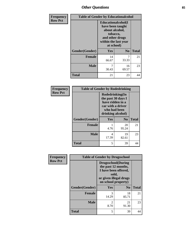## *Other Questions* **85**

| Frequency      |                | <b>Table of Gender by Educationalcohol</b>                                                                                    |                |              |  |
|----------------|----------------|-------------------------------------------------------------------------------------------------------------------------------|----------------|--------------|--|
| <b>Row Pct</b> |                | Educationalcohol(I<br>have been taught<br>about alcohol,<br>tobacco,<br>and other drugs<br>within the last year<br>at school) |                |              |  |
|                | Gender(Gender) | Yes                                                                                                                           | N <sub>0</sub> | <b>Total</b> |  |
|                | Female         | 14<br>66.67                                                                                                                   | 7<br>33.33     | 21           |  |
|                | <b>Male</b>    | 7<br>30.43                                                                                                                    | 16<br>69.57    | 23           |  |
|                | Total          | 21                                                                                                                            | 23             | 44           |  |

| Frequency      | <b>Table of Gender by Rodedrinking</b> |                                                                                                                     |                |              |
|----------------|----------------------------------------|---------------------------------------------------------------------------------------------------------------------|----------------|--------------|
| <b>Row Pct</b> |                                        | Rodedrinking(In<br>the past 30 days I<br>have ridden in a<br>car with a driver<br>who had been<br>drinking alcohol) |                |              |
|                | Gender(Gender)                         | Yes                                                                                                                 | N <sub>0</sub> | <b>Total</b> |
|                | <b>Female</b>                          | 4.76                                                                                                                | 20<br>95.24    | 21           |
|                | <b>Male</b>                            | 4<br>17.39                                                                                                          | 19<br>82.61    | 23           |
|                | <b>Total</b>                           | 5                                                                                                                   | 39             | 44           |

| Frequency      | <b>Table of Gender by Drugsschool</b> |                                                                                                                                     |                |              |
|----------------|---------------------------------------|-------------------------------------------------------------------------------------------------------------------------------------|----------------|--------------|
| <b>Row Pct</b> |                                       | <b>Drugsschool</b> (During<br>the past 12 months,<br>I have been offered,<br>sold,<br>or given illegal drugs<br>on school property) |                |              |
|                | Gender(Gender)                        | Yes                                                                                                                                 | N <sub>0</sub> | <b>Total</b> |
|                | <b>Female</b>                         | 3<br>14.29                                                                                                                          | 18<br>85.71    | 21           |
|                | <b>Male</b>                           | 2<br>8.70                                                                                                                           | 21<br>91.30    | 23           |
|                | <b>Total</b>                          | 5                                                                                                                                   | 39             |              |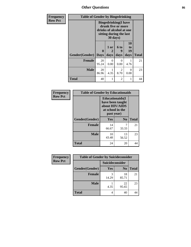*Other Questions* **86**

| <b>Frequency</b> | <b>Table of Gender by Bingedrinking</b> |                                                                                                                       |              |                        |                               |              |
|------------------|-----------------------------------------|-----------------------------------------------------------------------------------------------------------------------|--------------|------------------------|-------------------------------|--------------|
| <b>Row Pct</b>   |                                         | <b>Bingedrinking</b> (I have<br>drunk five or more<br>drinks of alcohol at one<br>sitting during the last<br>30 days) |              |                        |                               |              |
|                  | Gender(Gender)                          | $\mathbf{0}$<br><b>Days</b>                                                                                           | 1 or<br>days | 6 to<br>9<br>days      | <b>10</b><br>to<br>19<br>days | <b>Total</b> |
|                  | <b>Female</b>                           | 20<br>95.24                                                                                                           | 0<br>0.00    | $\Omega$<br>0.00       | 4.76                          | 21           |
|                  | Male                                    | 20<br>86.96                                                                                                           | 4.35         | $\mathfrak{D}$<br>8.70 | 0<br>0.00                     | 23           |
|                  | <b>Total</b>                            | 40                                                                                                                    | 1            | 2                      | 1                             | 44           |

| Frequency<br><b>Row Pct</b> | <b>Table of Gender by Educationaids</b> |                                                                                                 |                |              |
|-----------------------------|-----------------------------------------|-------------------------------------------------------------------------------------------------|----------------|--------------|
|                             |                                         | <b>Educationaids</b> (I<br>have been taught<br>about HIV/AIDS<br>at school in the<br>past year) |                |              |
|                             | Gender(Gender)                          | <b>Yes</b>                                                                                      | N <sub>0</sub> | <b>Total</b> |
|                             | <b>Female</b>                           | 14<br>66.67                                                                                     | 7<br>33.33     | 21           |
|                             | <b>Male</b>                             | 10<br>43.48                                                                                     | 13<br>56.52    | 23           |
|                             | <b>Total</b>                            | 24                                                                                              | 20             | 44           |

| Frequency      | <b>Table of Gender by Suicideconsider</b> |                 |                |              |  |
|----------------|-------------------------------------------|-----------------|----------------|--------------|--|
| <b>Row Pct</b> |                                           | Suicideconsider |                |              |  |
|                | Gender(Gender)                            | Yes             | N <sub>0</sub> | <b>Total</b> |  |
|                | <b>Female</b>                             | 14.29           | 18<br>85.71    | 21           |  |
|                | <b>Male</b>                               | 4.35            | 22<br>95.65    | 23           |  |
|                | <b>Total</b>                              |                 | 40             | 44           |  |